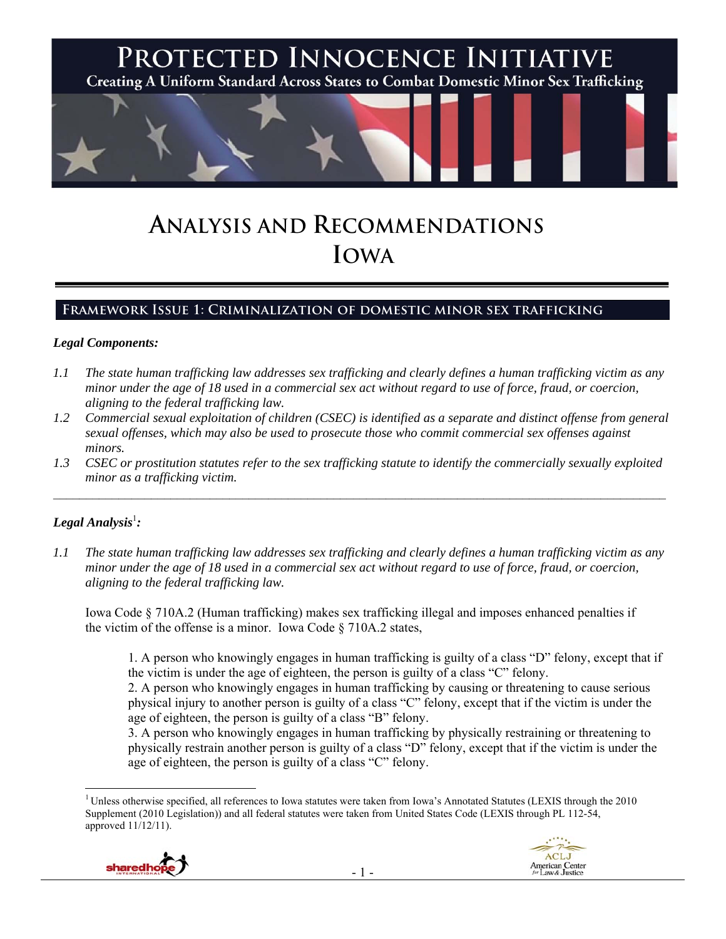

# **ANALYSIS AND RECOMMENDATIONS IOWA**

## **Framework Issue 1: Criminalization of domestic minor sex trafficking**

#### *Legal Components:*

- *1.1 The state human trafficking law addresses sex trafficking and clearly defines a human trafficking victim as any minor under the age of 18 used in a commercial sex act without regard to use of force, fraud, or coercion, aligning to the federal trafficking law.*
- *1.2 Commercial sexual exploitation of children (CSEC) is identified as a separate and distinct offense from general sexual offenses, which may also be used to prosecute those who commit commercial sex offenses against minors.*
- *1.3 CSEC or prostitution statutes refer to the sex trafficking statute to identify the commercially sexually exploited minor as a trafficking victim.*   $\mathcal{L}_\mathcal{L} = \{ \mathcal{L}_\mathcal{L} = \{ \mathcal{L}_\mathcal{L} = \{ \mathcal{L}_\mathcal{L} = \{ \mathcal{L}_\mathcal{L} = \{ \mathcal{L}_\mathcal{L} = \{ \mathcal{L}_\mathcal{L} = \{ \mathcal{L}_\mathcal{L} = \{ \mathcal{L}_\mathcal{L} = \{ \mathcal{L}_\mathcal{L} = \{ \mathcal{L}_\mathcal{L} = \{ \mathcal{L}_\mathcal{L} = \{ \mathcal{L}_\mathcal{L} = \{ \mathcal{L}_\mathcal{L} = \{ \mathcal{L}_\mathcal{$

## $\bm{\mathit{Legal\, Analysis}^{\text{l}}:}$

 $\overline{a}$ 

*1.1 The state human trafficking law addresses sex trafficking and clearly defines a human trafficking victim as any minor under the age of 18 used in a commercial sex act without regard to use of force, fraud, or coercion, aligning to the federal trafficking law.* 

Iowa Code § 710A.2 (Human trafficking) makes sex trafficking illegal and imposes enhanced penalties if the victim of the offense is a minor. Iowa Code § 710A.2 states,

1. A person who knowingly engages in human trafficking is guilty of a class "D" felony, except that if the victim is under the age of eighteen, the person is guilty of a class "C" felony.

2. A person who knowingly engages in human trafficking by causing or threatening to cause serious physical injury to another person is guilty of a class "C" felony, except that if the victim is under the age of eighteen, the person is guilty of a class "B" felony.

3. A person who knowingly engages in human trafficking by physically restraining or threatening to physically restrain another person is guilty of a class "D" felony, except that if the victim is under the age of eighteen, the person is guilty of a class "C" felony.

<sup>1</sup> Unless otherwise specified, all references to Iowa statutes were taken from Iowa's Annotated Statutes (LEXIS through the 2010 Supplement (2010 Legislation)) and all federal statutes were taken from United States Code (LEXIS through PL 112-54, approved 11/12/11).



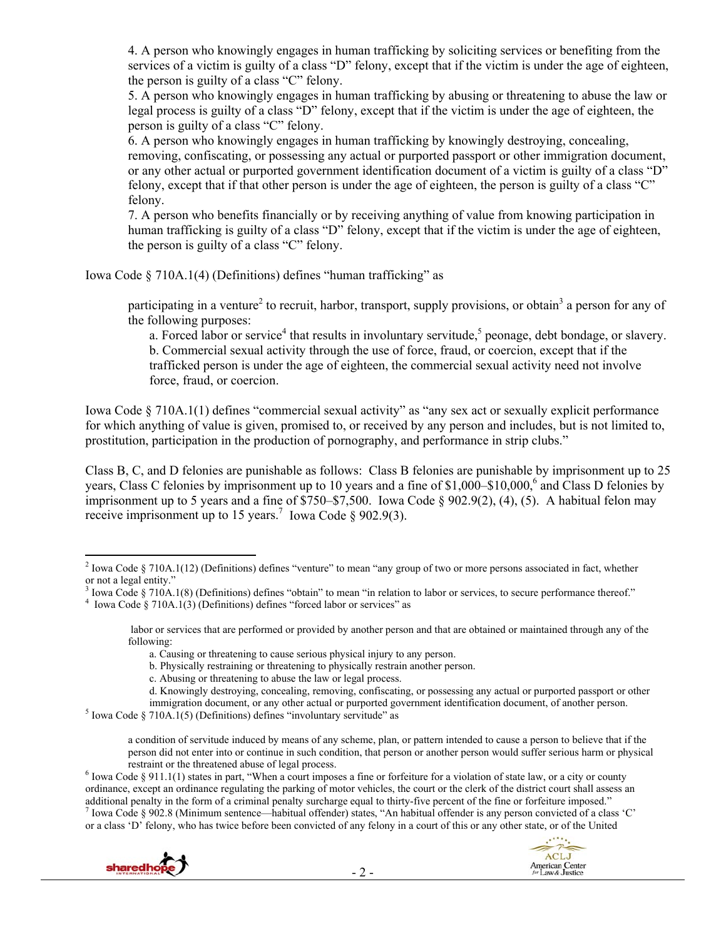4. A person who knowingly engages in human trafficking by soliciting services or benefiting from the services of a victim is guilty of a class "D" felony, except that if the victim is under the age of eighteen, the person is guilty of a class "C" felony.

5. A person who knowingly engages in human trafficking by abusing or threatening to abuse the law or legal process is guilty of a class "D" felony, except that if the victim is under the age of eighteen, the person is guilty of a class "C" felony.

6. A person who knowingly engages in human trafficking by knowingly destroying, concealing, removing, confiscating, or possessing any actual or purported passport or other immigration document, or any other actual or purported government identification document of a victim is guilty of a class "D" felony, except that if that other person is under the age of eighteen, the person is guilty of a class "C" felony.

7. A person who benefits financially or by receiving anything of value from knowing participation in human trafficking is guilty of a class "D" felony, except that if the victim is under the age of eighteen, the person is guilty of a class "C" felony.

Iowa Code § 710A.1(4) (Definitions) defines "human trafficking" as

participating in a venture<sup>2</sup> to recruit, harbor, transport, supply provisions, or obtain<sup>3</sup> a person for any of the following purposes:

a. Forced labor or service<sup>4</sup> that results in involuntary servitude,<sup>5</sup> peonage, debt bondage, or slavery. b. Commercial sexual activity through the use of force, fraud, or coercion, except that if the trafficked person is under the age of eighteen, the commercial sexual activity need not involve force, fraud, or coercion.

Iowa Code § 710A.1(1) defines "commercial sexual activity" as "any sex act or sexually explicit performance for which anything of value is given, promised to, or received by any person and includes, but is not limited to, prostitution, participation in the production of pornography, and performance in strip clubs."

Class B, C, and D felonies are punishable as follows: Class B felonies are punishable by imprisonment up to 25 years, Class C felonies by imprisonment up to 10 years and a fine of \$1,000–\$10,000,<sup>6</sup> and Class D felonies by imprisonment up to 5 years and a fine of \$750–\$7,500. Iowa Code § 902.9(2), (4), (5). A habitual felon may receive imprisonment up to 15 years.<sup>7</sup> Iowa Code § 902.9(3).

d. Knowingly destroying, concealing, removing, confiscating, or possessing any actual or purported passport or other

restraint or the threatened abuse of legal process.<br><sup>6</sup> Iowa Code § 911.1(1) states in part, "When a court imposes a fine or forfeiture for a violation of state law, or a city or county ordinance, except an ordinance regulating the parking of motor vehicles, the court or the clerk of the district court shall assess an additional penalty in the form of a criminal penalty surcharge equal to thirty-five percent of the fine or forfeiture imposed."  $^7$  Iowa Code § 902.8 (Minimum sentence—habitual offender) states, "An habitual offender is any person convicted of a class 'C' or a class 'D' felony, who has twice before been convicted of any felony in a court of this or any other state, or of the United



<sup>&</sup>lt;sup>2</sup> Iowa Code § 710A.1(12) (Definitions) defines "venture" to mean "any group of two or more persons associated in fact, whether or not a legal entity."

<sup>&</sup>lt;sup>3</sup> Iowa Code § 710A.1(8) (Definitions) defines "obtain" to mean "in relation to labor or services, to secure performance thereof."<br><sup>4</sup> Joure Code § 710A.1(3) (Definitions) defines "forced labor or services" as

<sup>&</sup>lt;sup>4</sup> Iowa Code § 710A.1(3) (Definitions) defines "forced labor or services" as

labor or services that are performed or provided by another person and that are obtained or maintained through any of the following:

a. Causing or threatening to cause serious physical injury to any person.

b. Physically restraining or threatening to physically restrain another person.

c. Abusing or threatening to abuse the law or legal process.

immigration document, or any other actual or purported government identification document, of another person.

 $<sup>5</sup>$  Iowa Code § 710A.1(5) (Definitions) defines "involuntary servitude" as</sup>

a condition of servitude induced by means of any scheme, plan, or pattern intended to cause a person to believe that if the person did not enter into or continue in such condition, that person or another person would suffer serious harm or physical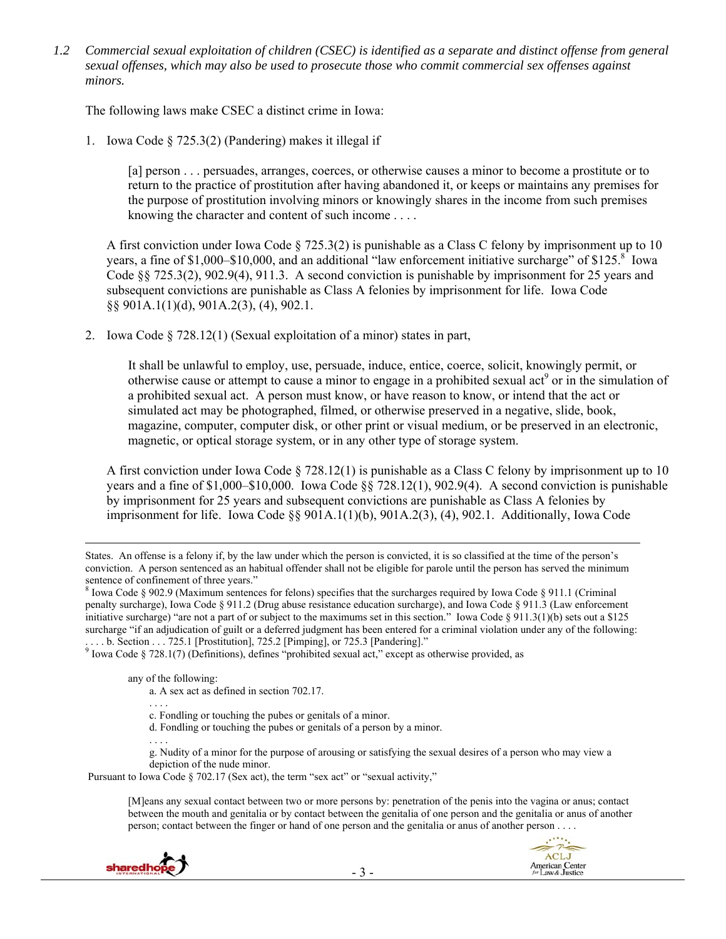*1.2 Commercial sexual exploitation of children (CSEC) is identified as a separate and distinct offense from general sexual offenses, which may also be used to prosecute those who commit commercial sex offenses against minors.* 

The following laws make CSEC a distinct crime in Iowa:

1. Iowa Code § 725.3(2) (Pandering) makes it illegal if

[a] person . . . persuades, arranges, coerces, or otherwise causes a minor to become a prostitute or to return to the practice of prostitution after having abandoned it, or keeps or maintains any premises for the purpose of prostitution involving minors or knowingly shares in the income from such premises knowing the character and content of such income . . . .

A first conviction under Iowa Code § 725.3(2) is punishable as a Class C felony by imprisonment up to 10 years, a fine of \$1,000–\$10,000, and an additional "law enforcement initiative surcharge" of \$125. $8^{\circ}$  lowa Code §§ 725.3(2), 902.9(4), 911.3. A second conviction is punishable by imprisonment for 25 years and subsequent convictions are punishable as Class A felonies by imprisonment for life. Iowa Code §§ 901A.1(1)(d), 901A.2(3), (4), 902.1.

2. Iowa Code § 728.12(1) (Sexual exploitation of a minor) states in part,

It shall be unlawful to employ, use, persuade, induce, entice, coerce, solicit, knowingly permit, or otherwise cause or attempt to cause a minor to engage in a prohibited sexual act<sup>9</sup> or in the simulation of a prohibited sexual act. A person must know, or have reason to know, or intend that the act or simulated act may be photographed, filmed, or otherwise preserved in a negative, slide, book, magazine, computer, computer disk, or other print or visual medium, or be preserved in an electronic, magnetic, or optical storage system, or in any other type of storage system.

A first conviction under Iowa Code  $\S 728.12(1)$  is punishable as a Class C felony by imprisonment up to 10 years and a fine of \$1,000–\$10,000. Iowa Code §§ 728.12(1), 902.9(4). A second conviction is punishable by imprisonment for 25 years and subsequent convictions are punishable as Class A felonies by imprisonment for life. Iowa Code §§ 901A.1(1)(b), 901A.2(3), (4), 902.1. Additionally, Iowa Code

any of the following:

- a. A sex act as defined in section 702.17.
- . . . . c. Fondling or touching the pubes or genitals of a minor.
- d. Fondling or touching the pubes or genitals of a person by a minor.

. . . . g. Nudity of a minor for the purpose of arousing or satisfying the sexual desires of a person who may view a depiction of the nude minor.

Pursuant to Iowa Code § 702.17 (Sex act), the term "sex act" or "sexual activity,"

[M]eans any sexual contact between two or more persons by: penetration of the penis into the vagina or anus; contact between the mouth and genitalia or by contact between the genitalia of one person and the genitalia or anus of another person; contact between the finger or hand of one person and the genitalia or anus of another person . . . .





States. An offense is a felony if, by the law under which the person is convicted, it is so classified at the time of the person's conviction. A person sentenced as an habitual offender shall not be eligible for parole until the person has served the minimum sentence of confinement of three years."

<sup>&</sup>lt;sup>8</sup> Iowa Code § 902.9 (Maximum sentences for felons) specifies that the surcharges required by Iowa Code § 911.1 (Criminal penalty surcharge), Iowa Code § 911.2 (Drug abuse resistance education surcharge), and Iowa Code § 911.3 (Law enforcement initiative surcharge) "are not a part of or subject to the maximums set in this section." Iowa Code § 911.3(1)(b) sets out a \$125 surcharge "if an adjudication of guilt or a deferred judgment has been entered for a criminal violation under any of the following:

<sup>....</sup> b. Section ... 725.1 [Prostitution], 725.2 [Pimping], or 725.3 [Pandering]."<br><sup>9</sup> Iowa Code § 728.1(7) (Definitions), defines "prohibited sexual act," except as otherwise provided, as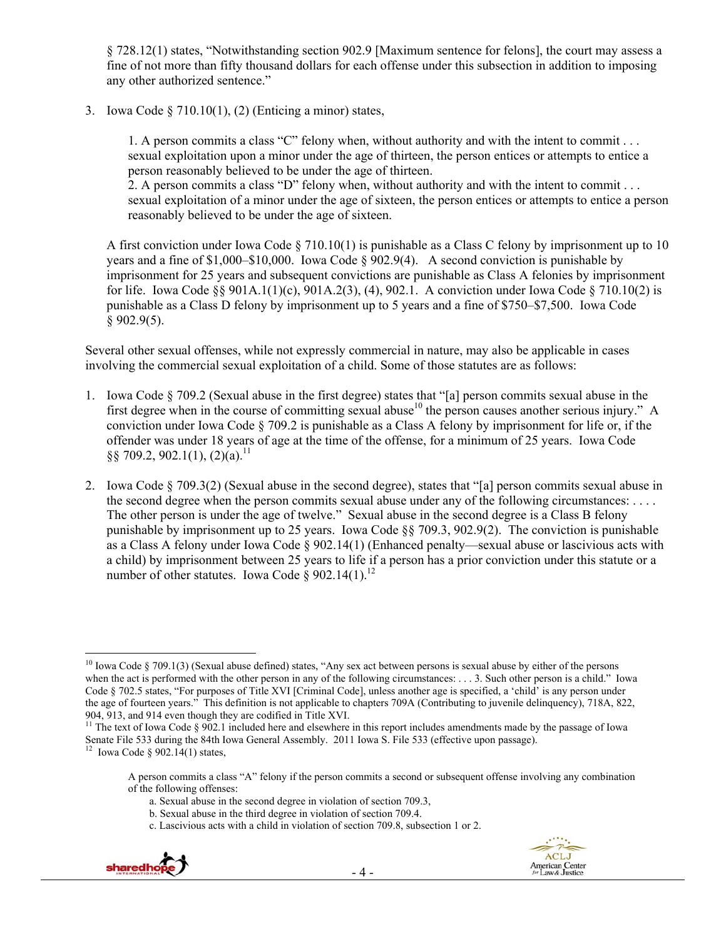§ 728.12(1) states, "Notwithstanding section 902.9 [Maximum sentence for felons], the court may assess a fine of not more than fifty thousand dollars for each offense under this subsection in addition to imposing any other authorized sentence."

3. Iowa Code § 710.10(1), (2) (Enticing a minor) states,

1. A person commits a class "C" felony when, without authority and with the intent to commit . . . sexual exploitation upon a minor under the age of thirteen, the person entices or attempts to entice a person reasonably believed to be under the age of thirteen.

2. A person commits a class "D" felony when, without authority and with the intent to commit . . . sexual exploitation of a minor under the age of sixteen, the person entices or attempts to entice a person reasonably believed to be under the age of sixteen.

A first conviction under Iowa Code  $\S 710.10(1)$  is punishable as a Class C felony by imprisonment up to 10 years and a fine of  $$1,000–$10,000$ . Iowa Code  $§$  902.9(4). A second conviction is punishable by imprisonment for 25 years and subsequent convictions are punishable as Class A felonies by imprisonment for life. Iowa Code  $\S 901A.1(1)(c)$ ,  $901A.2(3)$ ,  $(4)$ ,  $902.1$ . A conviction under Iowa Code  $\S 710.10(2)$  is punishable as a Class D felony by imprisonment up to 5 years and a fine of \$750–\$7,500. Iowa Code  $§$  902.9(5).

Several other sexual offenses, while not expressly commercial in nature, may also be applicable in cases involving the commercial sexual exploitation of a child. Some of those statutes are as follows:

- 1. Iowa Code § 709.2 (Sexual abuse in the first degree) states that "[a] person commits sexual abuse in the first degree when in the course of committing sexual abuse<sup>10</sup> the person causes another serious injury." A conviction under Iowa Code § 709.2 is punishable as a Class A felony by imprisonment for life or, if the offender was under 18 years of age at the time of the offense, for a minimum of 25 years. Iowa Code  $\S$ § 709.2, 902.1(1), (2)(a).<sup>11</sup>
- 2. Iowa Code § 709.3(2) (Sexual abuse in the second degree), states that "[a] person commits sexual abuse in the second degree when the person commits sexual abuse under any of the following circumstances: . . . . The other person is under the age of twelve." Sexual abuse in the second degree is a Class B felony punishable by imprisonment up to 25 years. Iowa Code §§ 709.3, 902.9(2). The conviction is punishable as a Class A felony under Iowa Code § 902.14(1) (Enhanced penalty—sexual abuse or lascivious acts with a child) by imprisonment between 25 years to life if a person has a prior conviction under this statute or a number of other statutes. Iowa Code  $\frac{8}{902.14(1)}$ .<sup>12</sup>

c. Lascivious acts with a child in violation of section 709.8, subsection 1 or 2.





<sup>&</sup>lt;sup>10</sup> Iowa Code § 709.1(3) (Sexual abuse defined) states, "Any sex act between persons is sexual abuse by either of the persons when the act is performed with the other person in any of the following circumstances: . . . 3. Such other person is a child." Iowa Code § 702.5 states, "For purposes of Title XVI [Criminal Code], unless another age is specified, a 'child' is any person under the age of fourteen years." This definition is not applicable to chapters 709A (Contributing to juvenile delinquency), 718A, 822, 904, 913, and 914 even though they are codified in Title XVI.

<sup>&</sup>lt;sup>11</sup> The text of Iowa Code  $\S$  902.1 included here and elsewhere in this report includes amendments made by the passage of Iowa Senate File 533 during the 84th Iowa General Assembly. 2011 Iowa S. File 533 (effective upon passage).<br><sup>12</sup> Iowa Code § 902.14(1) states.

A person commits a class "A" felony if the person commits a second or subsequent offense involving any combination of the following offenses:

a. Sexual abuse in the second degree in violation of section 709.3,

b. Sexual abuse in the third degree in violation of section 709.4.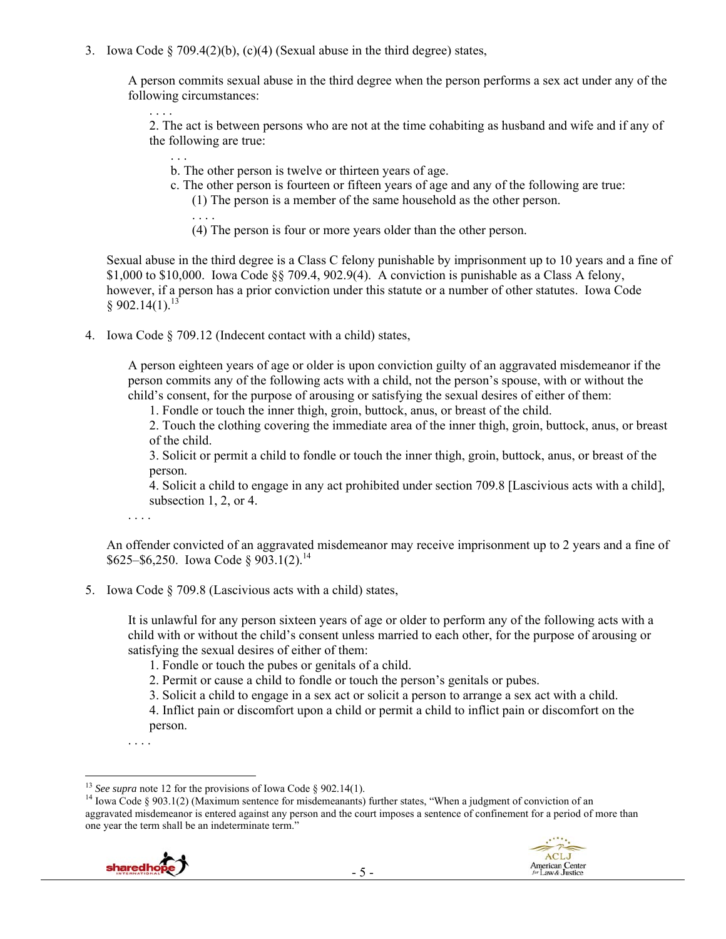3. Iowa Code § 709.4(2)(b), (c)(4) (Sexual abuse in the third degree) states,

A person commits sexual abuse in the third degree when the person performs a sex act under any of the following circumstances:

. . . . 2. The act is between persons who are not at the time cohabiting as husband and wife and if any of the following are true:

- . . . b. The other person is twelve or thirteen years of age.
- c. The other person is fourteen or fifteen years of age and any of the following are true:
	- (1) The person is a member of the same household as the other person.
	- (4) The person is four or more years older than the other person.

Sexual abuse in the third degree is a Class C felony punishable by imprisonment up to 10 years and a fine of \$1,000 to \$10,000. Iowa Code §§ 709.4, 902.9(4). A conviction is punishable as a Class A felony, however, if a person has a prior conviction under this statute or a number of other statutes. Iowa Code  $§ 902.14(1).^{13}$ 

4. Iowa Code § 709.12 (Indecent contact with a child) states,

. . . .

A person eighteen years of age or older is upon conviction guilty of an aggravated misdemeanor if the person commits any of the following acts with a child, not the person's spouse, with or without the child's consent, for the purpose of arousing or satisfying the sexual desires of either of them:

1. Fondle or touch the inner thigh, groin, buttock, anus, or breast of the child.

2. Touch the clothing covering the immediate area of the inner thigh, groin, buttock, anus, or breast of the child.

3. Solicit or permit a child to fondle or touch the inner thigh, groin, buttock, anus, or breast of the person.

4. Solicit a child to engage in any act prohibited under section 709.8 [Lascivious acts with a child], subsection 1, 2, or 4.

. . . .

An offender convicted of an aggravated misdemeanor may receive imprisonment up to 2 years and a fine of  $$625–$6,250. Iowa Code § 903.1(2).<sup>14</sup>$ 

5. Iowa Code § 709.8 (Lascivious acts with a child) states,

It is unlawful for any person sixteen years of age or older to perform any of the following acts with a child with or without the child's consent unless married to each other, for the purpose of arousing or satisfying the sexual desires of either of them:

- 1. Fondle or touch the pubes or genitals of a child.
- 2. Permit or cause a child to fondle or touch the person's genitals or pubes.
- 3. Solicit a child to engage in a sex act or solicit a person to arrange a sex act with a child.

4. Inflict pain or discomfort upon a child or permit a child to inflict pain or discomfort on the person.

. . . .

<sup>&</sup>lt;sup>14</sup> Iowa Code § 903.1(2) (Maximum sentence for misdemeanants) further states, "When a judgment of conviction of an aggravated misdemeanor is entered against any person and the court imposes a sentence of confinement for a period of more than one year the term shall be an indeterminate term."



<sup>&</sup>lt;sup>13</sup> See supra note 12 for the provisions of Iowa Code § 902.14(1).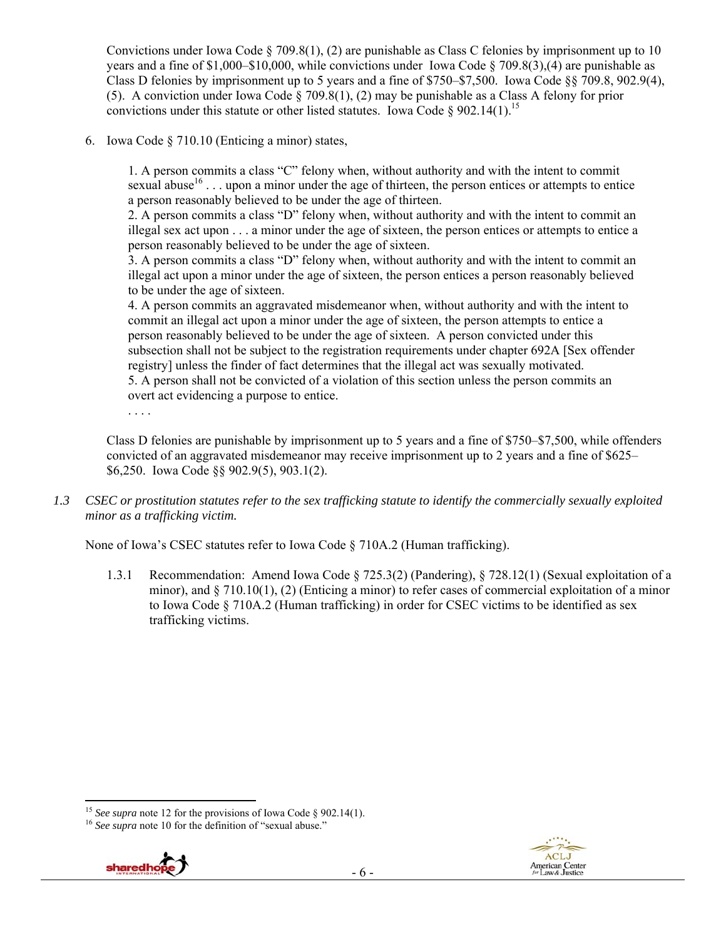Convictions under Iowa Code § 709.8(1), (2) are punishable as Class C felonies by imprisonment up to 10 years and a fine of \$1,000–\$10,000, while convictions under Iowa Code § 709.8(3),(4) are punishable as Class D felonies by imprisonment up to 5 years and a fine of \$750–\$7,500. Iowa Code §§ 709.8, 902.9(4), (5). A conviction under Iowa Code § 709.8(1), (2) may be punishable as a Class A felony for prior convictions under this statute or other listed statutes. Iowa Code § 902.14(1).<sup>15</sup>

6. Iowa Code § 710.10 (Enticing a minor) states,

1. A person commits a class "C" felony when, without authority and with the intent to commit sexual abuse<sup>16</sup>... upon a minor under the age of thirteen, the person entices or attempts to entice a person reasonably believed to be under the age of thirteen.

2. A person commits a class "D" felony when, without authority and with the intent to commit an illegal sex act upon . . . a minor under the age of sixteen, the person entices or attempts to entice a person reasonably believed to be under the age of sixteen.

3. A person commits a class "D" felony when, without authority and with the intent to commit an illegal act upon a minor under the age of sixteen, the person entices a person reasonably believed to be under the age of sixteen.

4. A person commits an aggravated misdemeanor when, without authority and with the intent to commit an illegal act upon a minor under the age of sixteen, the person attempts to entice a person reasonably believed to be under the age of sixteen. A person convicted under this subsection shall not be subject to the registration requirements under chapter 692A [Sex offender registry] unless the finder of fact determines that the illegal act was sexually motivated.

5. A person shall not be convicted of a violation of this section unless the person commits an overt act evidencing a purpose to entice.

. . . .

Class D felonies are punishable by imprisonment up to 5 years and a fine of \$750–\$7,500, while offenders convicted of an aggravated misdemeanor may receive imprisonment up to 2 years and a fine of \$625– \$6,250. Iowa Code §§ 902.9(5), 903.1(2).

*1.3 CSEC or prostitution statutes refer to the sex trafficking statute to identify the commercially sexually exploited minor as a trafficking victim.* 

None of Iowa's CSEC statutes refer to Iowa Code § 710A.2 (Human trafficking).

1.3.1 Recommendation: Amend Iowa Code § 725.3(2) (Pandering), § 728.12(1) (Sexual exploitation of a minor), and  $\S 710.10(1)$ , (2) (Enticing a minor) to refer cases of commercial exploitation of a minor to Iowa Code § 710A.2 (Human trafficking) in order for CSEC victims to be identified as sex trafficking victims.





<sup>&</sup>lt;sup>15</sup> *See supra* note 12 for the provisions of Iowa Code § 902.14(1). <sup>16</sup> *See supra* note 10 for the definition of "sexual abuse."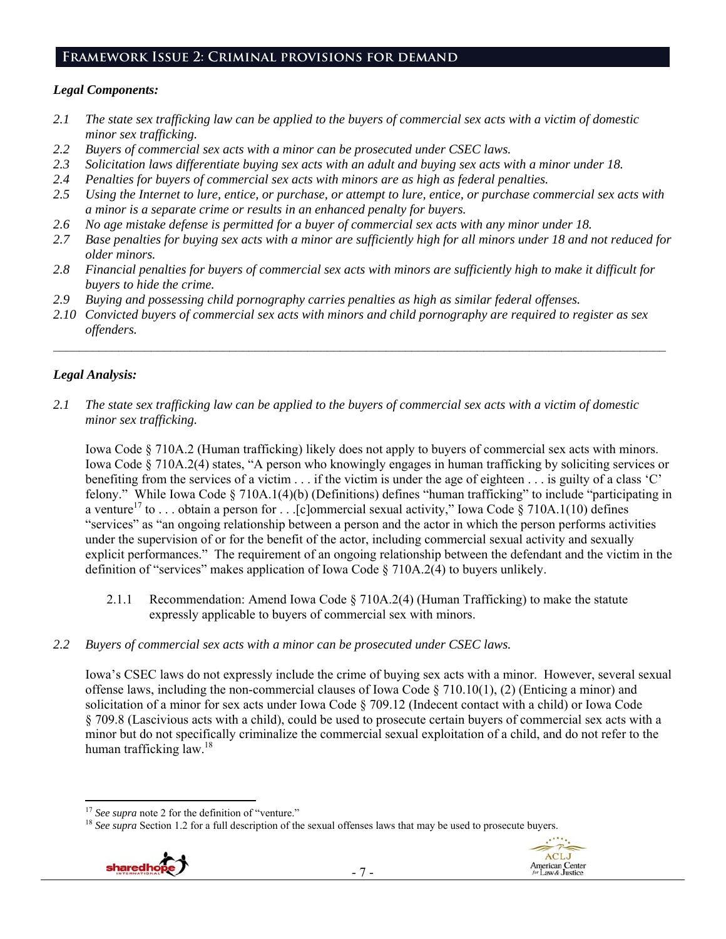#### **Framework Issue 2: Criminal provisions for demand**

#### *Legal Components:*

- *2.1 The state sex trafficking law can be applied to the buyers of commercial sex acts with a victim of domestic minor sex trafficking.*
- *2.2 Buyers of commercial sex acts with a minor can be prosecuted under CSEC laws.*
- *2.3 Solicitation laws differentiate buying sex acts with an adult and buying sex acts with a minor under 18.*
- *2.4 Penalties for buyers of commercial sex acts with minors are as high as federal penalties.*
- *2.5 Using the Internet to lure, entice, or purchase, or attempt to lure, entice, or purchase commercial sex acts with a minor is a separate crime or results in an enhanced penalty for buyers.*
- *2.6 No age mistake defense is permitted for a buyer of commercial sex acts with any minor under 18.*
- *2.7 Base penalties for buying sex acts with a minor are sufficiently high for all minors under 18 and not reduced for older minors.*
- *2.8 Financial penalties for buyers of commercial sex acts with minors are sufficiently high to make it difficult for buyers to hide the crime.*
- *2.9 Buying and possessing child pornography carries penalties as high as similar federal offenses.*
- *2.10 Convicted buyers of commercial sex acts with minors and child pornography are required to register as sex offenders.*

 $\_$ 

## *Legal Analysis:*

*2.1 The state sex trafficking law can be applied to the buyers of commercial sex acts with a victim of domestic minor sex trafficking.* 

Iowa Code § 710A.2 (Human trafficking) likely does not apply to buyers of commercial sex acts with minors. Iowa Code § 710A.2(4) states, "A person who knowingly engages in human trafficking by soliciting services or benefiting from the services of a victim . . . if the victim is under the age of eighteen . . . is guilty of a class 'C' felony." While Iowa Code § 710A.1(4)(b) (Definitions) defines "human trafficking" to include "participating in a venture<sup>17</sup> to . . . obtain a person for . . . [c]ommercial sexual activity," Iowa Code § 710A.1(10) defines "services" as "an ongoing relationship between a person and the actor in which the person performs activities under the supervision of or for the benefit of the actor, including commercial sexual activity and sexually explicit performances." The requirement of an ongoing relationship between the defendant and the victim in the definition of "services" makes application of Iowa Code § 710A.2(4) to buyers unlikely.

2.1.1 Recommendation: Amend Iowa Code § 710A.2(4) (Human Trafficking) to make the statute expressly applicable to buyers of commercial sex with minors.

#### *2.2 Buyers of commercial sex acts with a minor can be prosecuted under CSEC laws.*

Iowa's CSEC laws do not expressly include the crime of buying sex acts with a minor. However, several sexual offense laws, including the non-commercial clauses of Iowa Code  $\S 710.10(1)$ , (2) (Enticing a minor) and solicitation of a minor for sex acts under Iowa Code § 709.12 (Indecent contact with a child) or Iowa Code § 709.8 (Lascivious acts with a child), could be used to prosecute certain buyers of commercial sex acts with a minor but do not specifically criminalize the commercial sexual exploitation of a child, and do not refer to the human trafficking law.<sup>18</sup>

<sup>&</sup>lt;sup>17</sup> *See supra* note 2 for the definition of "venture."<br><sup>18</sup> *See supra* Section 1.2 for a full description of the sexual offenses laws that may be used to prosecute buyers.

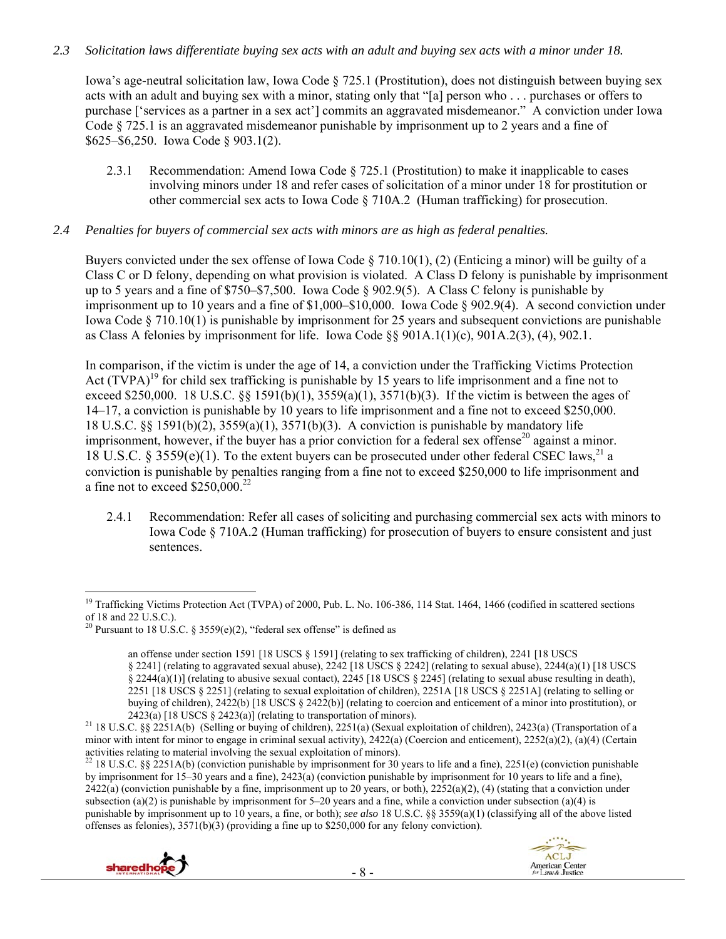## *2.3 Solicitation laws differentiate buying sex acts with an adult and buying sex acts with a minor under 18.*

Iowa's age-neutral solicitation law, Iowa Code § 725.1 (Prostitution), does not distinguish between buying sex acts with an adult and buying sex with a minor, stating only that "[a] person who . . . purchases or offers to purchase ['services as a partner in a sex act'] commits an aggravated misdemeanor." A conviction under Iowa Code § 725.1 is an aggravated misdemeanor punishable by imprisonment up to 2 years and a fine of \$625–\$6,250. Iowa Code § 903.1(2).

2.3.1 Recommendation: Amend Iowa Code § 725.1 (Prostitution) to make it inapplicable to cases involving minors under 18 and refer cases of solicitation of a minor under 18 for prostitution or other commercial sex acts to Iowa Code § 710A.2 (Human trafficking) for prosecution.

#### *2.4 Penalties for buyers of commercial sex acts with minors are as high as federal penalties.*

Buyers convicted under the sex offense of Iowa Code  $\S$  710.10(1), (2) (Enticing a minor) will be guilty of a Class C or D felony, depending on what provision is violated. A Class D felony is punishable by imprisonment up to 5 years and a fine of \$750–\$7,500. Iowa Code § 902.9(5). A Class C felony is punishable by imprisonment up to 10 years and a fine of \$1,000–\$10,000. Iowa Code § 902.9(4). A second conviction under Iowa Code  $\S 710.10(1)$  is punishable by imprisonment for 25 years and subsequent convictions are punishable as Class A felonies by imprisonment for life. Iowa Code §§ 901A.1(1)(c), 901A.2(3), (4), 902.1.

In comparison, if the victim is under the age of 14, a conviction under the Trafficking Victims Protection Act  $(TVPA)^{19}$  for child sex trafficking is punishable by 15 years to life imprisonment and a fine not to exceed \$250,000. 18 U.S.C. §§ 1591(b)(1), 3559(a)(1), 3571(b)(3). If the victim is between the ages of 14–17, a conviction is punishable by 10 years to life imprisonment and a fine not to exceed \$250,000. 18 U.S.C. §§ 1591(b)(2), 3559(a)(1), 3571(b)(3). A conviction is punishable by mandatory life imprisonment, however, if the buyer has a prior conviction for a federal sex offense<sup>20</sup> against a minor. 18 U.S.C. § 3559(e)(1). To the extent buyers can be prosecuted under other federal CSEC laws,<sup>21</sup> a conviction is punishable by penalties ranging from a fine not to exceed \$250,000 to life imprisonment and a fine not to exceed  $$250,000.<sup>22</sup>$ 

2.4.1 Recommendation: Refer all cases of soliciting and purchasing commercial sex acts with minors to Iowa Code § 710A.2 (Human trafficking) for prosecution of buyers to ensure consistent and just sentences.

<sup>&</sup>lt;sup>22</sup> 18 U.S.C. §§ 2251A(b) (conviction punishable by imprisonment for 30 years to life and a fine), 2251(e) (conviction punishable by imprisonment for 15–30 years and a fine), 2423(a) (conviction punishable by imprisonment for 10 years to life and a fine),  $2422(a)$  (conviction punishable by a fine, imprisonment up to 20 years, or both),  $2252(a)(2)$ , (4) (stating that a conviction under subsection (a)(2) is punishable by imprisonment for  $5-20$  years and a fine, while a conviction under subsection (a)(4) is punishable by imprisonment up to 10 years, a fine, or both); *see also* 18 U.S.C. §§ 3559(a)(1) (classifying all of the above listed offenses as felonies), 3571(b)(3) (providing a fine up to \$250,000 for any felony conviction).





 $\overline{a}$ <sup>19</sup> Trafficking Victims Protection Act (TVPA) of 2000, Pub. L. No. 106-386, 114 Stat. 1464, 1466 (codified in scattered sections of 18 and 22 U.S.C.).

<sup>&</sup>lt;sup>20</sup> Pursuant to 18 U.S.C. § 3559(e)(2), "federal sex offense" is defined as

an offense under section 1591 [18 USCS § 1591] (relating to sex trafficking of children), 2241 [18 USCS § 2241] (relating to aggravated sexual abuse), 2242 [18 USCS § 2242] (relating to sexual abuse), 2244(a)(1) [18 USCS § 2244(a)(1)] (relating to abusive sexual contact), 2245 [18 USCS § 2245] (relating to sexual abuse resulting in death), 2251 [18 USCS § 2251] (relating to sexual exploitation of children), 2251A [18 USCS § 2251A] (relating to selling or buying of children), 2422(b) [18 USCS § 2422(b)] (relating to coercion and enticement of a minor into prostitution), or

<sup>2423(</sup>a) [18 USCS § 2423(a)] (relating to transportation of minors).<br><sup>21</sup> 18 U.S.C. §§ 2251A(b) (Selling or buying of children), 2251(a) (Sexual exploitation of children), 2423(a) (Transportation of a minor with intent for minor to engage in criminal sexual activity), 2422(a) (Coercion and enticement), 2252(a)(2), (a)(4) (Certain activities relating to material involving the sexual exploitation of minors).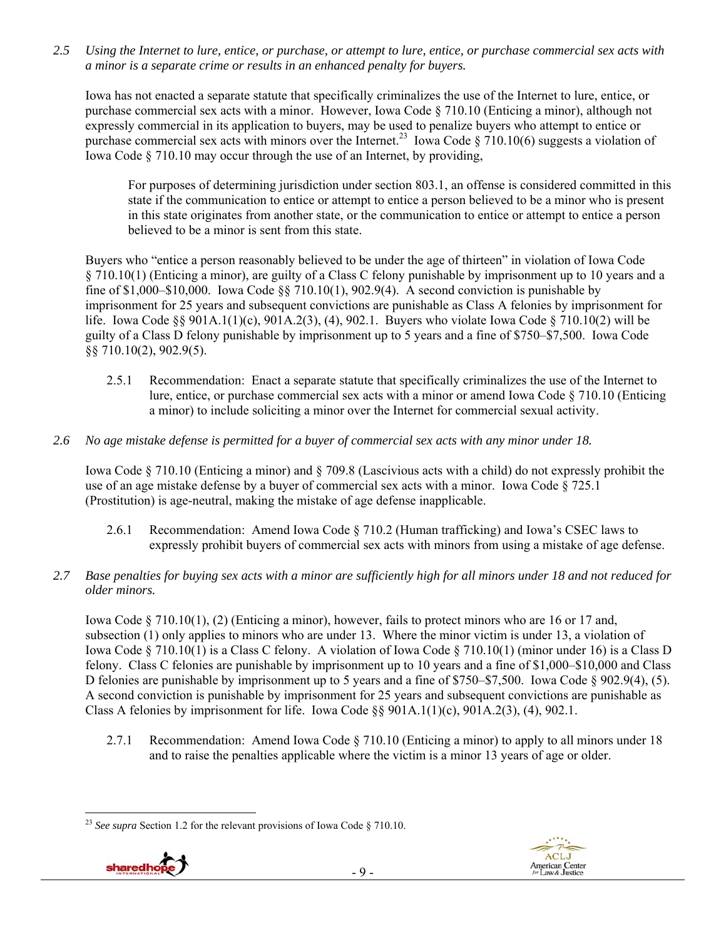*2.5 Using the Internet to lure, entice, or purchase, or attempt to lure, entice, or purchase commercial sex acts with a minor is a separate crime or results in an enhanced penalty for buyers.* 

Iowa has not enacted a separate statute that specifically criminalizes the use of the Internet to lure, entice, or purchase commercial sex acts with a minor. However, Iowa Code § 710.10 (Enticing a minor), although not expressly commercial in its application to buyers, may be used to penalize buyers who attempt to entice or purchase commercial sex acts with minors over the Internet.<sup>23</sup> Iowa Code § 710.10(6) suggests a violation of Iowa Code § 710.10 may occur through the use of an Internet, by providing,

For purposes of determining jurisdiction under section 803.1, an offense is considered committed in this state if the communication to entice or attempt to entice a person believed to be a minor who is present in this state originates from another state, or the communication to entice or attempt to entice a person believed to be a minor is sent from this state.

Buyers who "entice a person reasonably believed to be under the age of thirteen" in violation of Iowa Code § 710.10(1) (Enticing a minor), are guilty of a Class C felony punishable by imprisonment up to 10 years and a fine of \$1,000–\$10,000. Iowa Code  $\S$  710.10(1), 902.9(4). A second conviction is punishable by imprisonment for 25 years and subsequent convictions are punishable as Class A felonies by imprisonment for life. Iowa Code §§ 901A.1(1)(c), 901A.2(3), (4), 902.1. Buyers who violate Iowa Code § 710.10(2) will be guilty of a Class D felony punishable by imprisonment up to 5 years and a fine of \$750–\$7,500. Iowa Code §§ 710.10(2), 902.9(5).

- 2.5.1 Recommendation: Enact a separate statute that specifically criminalizes the use of the Internet to lure, entice, or purchase commercial sex acts with a minor or amend Iowa Code § 710.10 (Enticing a minor) to include soliciting a minor over the Internet for commercial sexual activity.
- *2.6 No age mistake defense is permitted for a buyer of commercial sex acts with any minor under 18.*

Iowa Code § 710.10 (Enticing a minor) and § 709.8 (Lascivious acts with a child) do not expressly prohibit the use of an age mistake defense by a buyer of commercial sex acts with a minor. Iowa Code § 725.1 (Prostitution) is age-neutral, making the mistake of age defense inapplicable.

- 2.6.1 Recommendation: Amend Iowa Code § 710.2 (Human trafficking) and Iowa's CSEC laws to expressly prohibit buyers of commercial sex acts with minors from using a mistake of age defense.
- *2.7 Base penalties for buying sex acts with a minor are sufficiently high for all minors under 18 and not reduced for older minors.*

Iowa Code § 710.10(1), (2) (Enticing a minor), however, fails to protect minors who are 16 or 17 and, subsection (1) only applies to minors who are under 13. Where the minor victim is under 13, a violation of Iowa Code § 710.10(1) is a Class C felony. A violation of Iowa Code § 710.10(1) (minor under 16) is a Class D felony. Class C felonies are punishable by imprisonment up to 10 years and a fine of \$1,000–\$10,000 and Class D felonies are punishable by imprisonment up to 5 years and a fine of \$750–\$7,500. Iowa Code § 902.9(4), (5). A second conviction is punishable by imprisonment for 25 years and subsequent convictions are punishable as Class A felonies by imprisonment for life. Iowa Code  $\S$ § 901A.1(1)(c), 901A.2(3), (4), 902.1.

2.7.1 Recommendation: Amend Iowa Code § 710.10 (Enticing a minor) to apply to all minors under 18 and to raise the penalties applicable where the victim is a minor 13 years of age or older.

 $\overline{a}$ <sup>23</sup> *See supra* Section 1.2 for the relevant provisions of Iowa Code § 710.10.

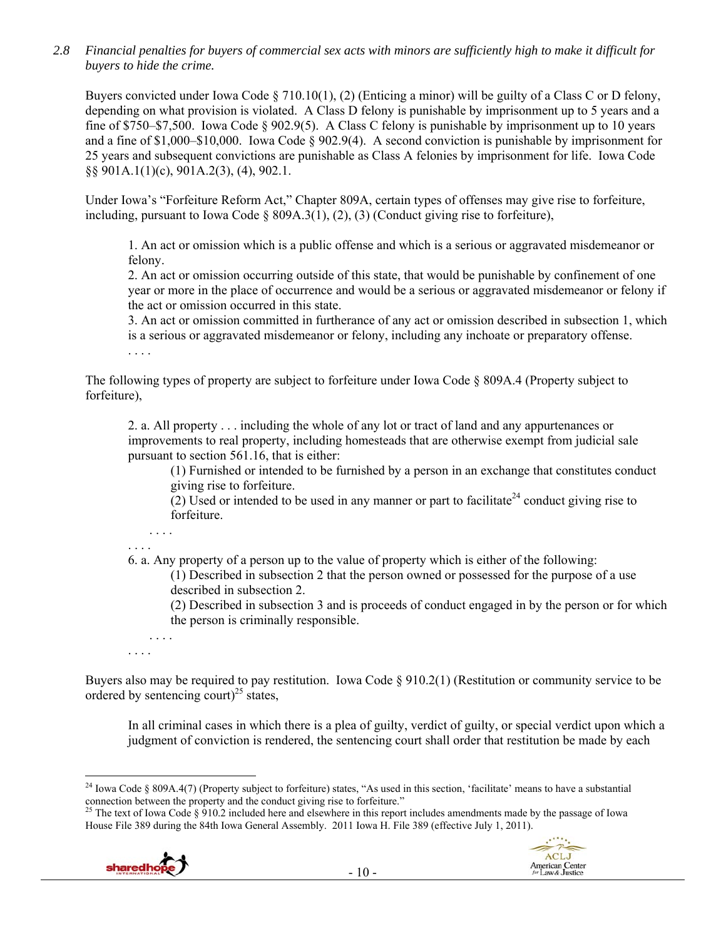*2.8 Financial penalties for buyers of commercial sex acts with minors are sufficiently high to make it difficult for buyers to hide the crime.* 

Buyers convicted under Iowa Code § 710.10(1), (2) (Enticing a minor) will be guilty of a Class C or D felony, depending on what provision is violated. A Class D felony is punishable by imprisonment up to 5 years and a fine of \$750–\$7,500. Iowa Code § 902.9(5). A Class C felony is punishable by imprisonment up to 10 years and a fine of \$1,000–\$10,000. Iowa Code § 902.9(4). A second conviction is punishable by imprisonment for 25 years and subsequent convictions are punishable as Class A felonies by imprisonment for life. Iowa Code §§ 901A.1(1)(c), 901A.2(3), (4), 902.1.

Under Iowa's "Forfeiture Reform Act," Chapter 809A, certain types of offenses may give rise to forfeiture, including, pursuant to Iowa Code  $\S$  809A.3(1), (2), (3) (Conduct giving rise to forfeiture),

1. An act or omission which is a public offense and which is a serious or aggravated misdemeanor or felony.

2. An act or omission occurring outside of this state, that would be punishable by confinement of one year or more in the place of occurrence and would be a serious or aggravated misdemeanor or felony if the act or omission occurred in this state.

3. An act or omission committed in furtherance of any act or omission described in subsection 1, which is a serious or aggravated misdemeanor or felony, including any inchoate or preparatory offense. . . . .

The following types of property are subject to forfeiture under Iowa Code § 809A.4 (Property subject to forfeiture),

2. a. All property . . . including the whole of any lot or tract of land and any appurtenances or improvements to real property, including homesteads that are otherwise exempt from judicial sale pursuant to section 561.16, that is either:

(1) Furnished or intended to be furnished by a person in an exchange that constitutes conduct giving rise to forfeiture.

(2) Used or intended to be used in any manner or part to facilitate<sup>24</sup> conduct giving rise to forfeiture.

. . . . . . . .

6. a. Any property of a person up to the value of property which is either of the following:

(1) Described in subsection 2 that the person owned or possessed for the purpose of a use described in subsection 2.

(2) Described in subsection 3 and is proceeds of conduct engaged in by the person or for which the person is criminally responsible.

. . . . . . . .

Buyers also may be required to pay restitution. Iowa Code § 910.2(1) (Restitution or community service to be ordered by sentencing court)<sup>25</sup> states,

In all criminal cases in which there is a plea of guilty, verdict of guilty, or special verdict upon which a judgment of conviction is rendered, the sentencing court shall order that restitution be made by each

> ACLJ American Center<br>for Law & Justice

House File 389 during the 84th Iowa General Assembly. 2011 Iowa H. File 389 (effective July 1, 2011).



 $\overline{a}$ <sup>24</sup> Iowa Code § 809A.4(7) (Property subject to forfeiture) states, "As used in this section, 'facilitate' means to have a substantial connection between the property and the conduct giving rise to forfeiture."<br><sup>25</sup> The text of Iowa Code § 910.2 included here and elsewhere in this report includes amendments made by the passage of Iowa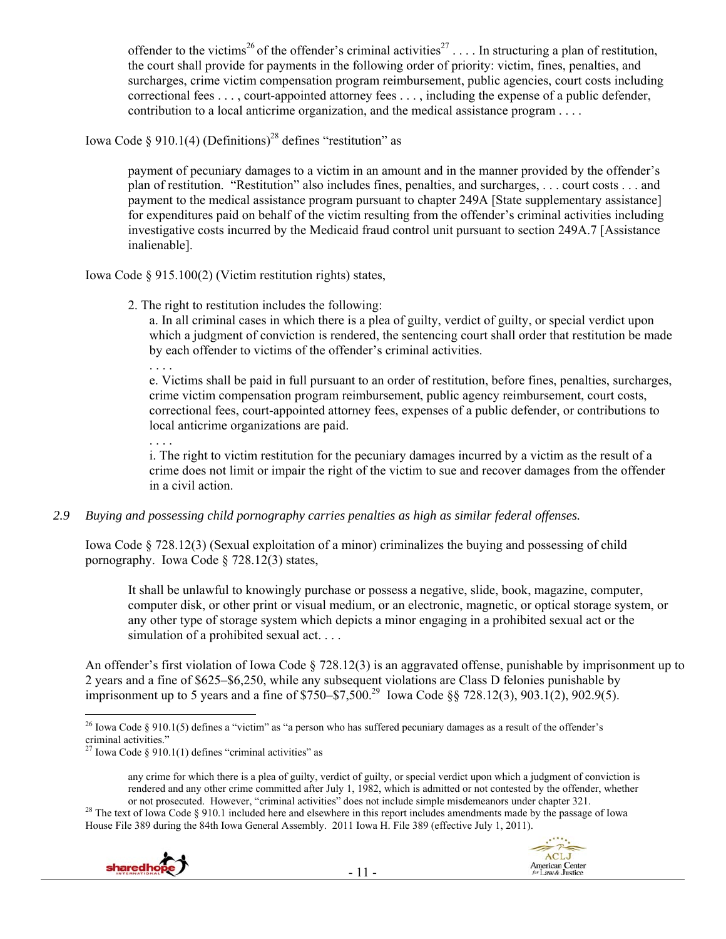offender to the victims<sup>26</sup> of the offender's criminal activities<sup>27</sup> . . . . In structuring a plan of restitution, the court shall provide for payments in the following order of priority: victim, fines, penalties, and surcharges, crime victim compensation program reimbursement, public agencies, court costs including correctional fees . . . , court-appointed attorney fees . . . , including the expense of a public defender, contribution to a local anticrime organization, and the medical assistance program . . . .

Iowa Code § 910.1(4) (Definitions)<sup>28</sup> defines "restitution" as

payment of pecuniary damages to a victim in an amount and in the manner provided by the offender's plan of restitution. "Restitution" also includes fines, penalties, and surcharges, . . . court costs . . . and payment to the medical assistance program pursuant to chapter 249A [State supplementary assistance] for expenditures paid on behalf of the victim resulting from the offender's criminal activities including investigative costs incurred by the Medicaid fraud control unit pursuant to section 249A.7 [Assistance inalienable].

Iowa Code § 915.100(2) (Victim restitution rights) states,

2. The right to restitution includes the following:

a. In all criminal cases in which there is a plea of guilty, verdict of guilty, or special verdict upon which a judgment of conviction is rendered, the sentencing court shall order that restitution be made by each offender to victims of the offender's criminal activities.

. . . . e. Victims shall be paid in full pursuant to an order of restitution, before fines, penalties, surcharges, crime victim compensation program reimbursement, public agency reimbursement, court costs, correctional fees, court-appointed attorney fees, expenses of a public defender, or contributions to local anticrime organizations are paid.

. . . . i. The right to victim restitution for the pecuniary damages incurred by a victim as the result of a crime does not limit or impair the right of the victim to sue and recover damages from the offender in a civil action.

## *2.9 Buying and possessing child pornography carries penalties as high as similar federal offenses.*

Iowa Code § 728.12(3) (Sexual exploitation of a minor) criminalizes the buying and possessing of child pornography. Iowa Code § 728.12(3) states,

It shall be unlawful to knowingly purchase or possess a negative, slide, book, magazine, computer, computer disk, or other print or visual medium, or an electronic, magnetic, or optical storage system, or any other type of storage system which depicts a minor engaging in a prohibited sexual act or the simulation of a prohibited sexual act.

An offender's first violation of Iowa Code § 728.12(3) is an aggravated offense, punishable by imprisonment up to 2 years and a fine of \$625–\$6,250, while any subsequent violations are Class D felonies punishable by imprisonment up to 5 years and a fine of \$750–\$7,500.29 Iowa Code §§ 728.12(3), 903.1(2), 902.9(5).

<sup>28</sup> The text of Iowa Code § 910.1 included here and elsewhere in this report includes amendments made by the passage of Iowa House File 389 during the 84th Iowa General Assembly. 2011 Iowa H. File 389 (effective July 1, 2011).





 $\overline{a}$ <sup>26</sup> Iowa Code § 910.1(5) defines a "victim" as "a person who has suffered pecuniary damages as a result of the offender's criminal activities."

Iowa Code  $§$  910.1(1) defines "criminal activities" as

any crime for which there is a plea of guilty, verdict of guilty, or special verdict upon which a judgment of conviction is rendered and any other crime committed after July 1, 1982, which is admitted or not contested by the offender, whether or not prosecuted. However, "criminal activities" does not include simple misdemeanors under chapter 32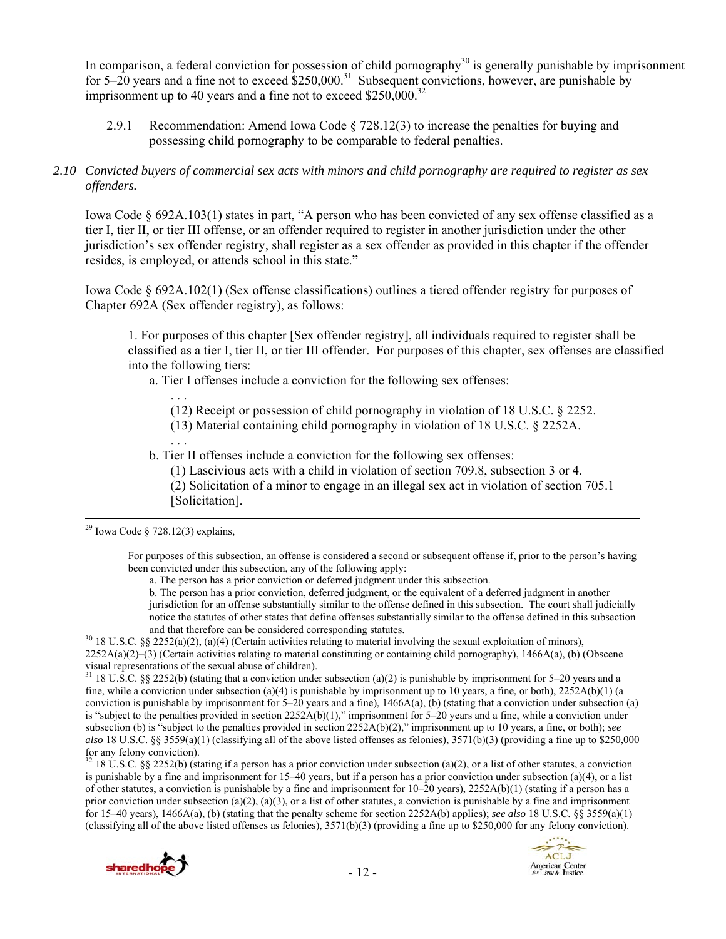In comparison, a federal conviction for possession of child pornography<sup>30</sup> is generally punishable by imprisonment for  $5-20$  years and a fine not to exceed  $$250,000$ <sup>31</sup> Subsequent convictions, however, are punishable by imprisonment up to 40 years and a fine not to exceed  $$250,000.<sup>32</sup>$ 

2.9.1 Recommendation: Amend Iowa Code § 728.12(3) to increase the penalties for buying and possessing child pornography to be comparable to federal penalties.

#### *2.10 Convicted buyers of commercial sex acts with minors and child pornography are required to register as sex offenders.*

Iowa Code § 692A.103(1) states in part, "A person who has been convicted of any sex offense classified as a tier I, tier II, or tier III offense, or an offender required to register in another jurisdiction under the other jurisdiction's sex offender registry, shall register as a sex offender as provided in this chapter if the offender resides, is employed, or attends school in this state."

Iowa Code § 692A.102(1) (Sex offense classifications) outlines a tiered offender registry for purposes of Chapter 692A (Sex offender registry), as follows:

1. For purposes of this chapter [Sex offender registry], all individuals required to register shall be classified as a tier I, tier II, or tier III offender. For purposes of this chapter, sex offenses are classified into the following tiers:

a. Tier I offenses include a conviction for the following sex offenses:

. . . (12) Receipt or possession of child pornography in violation of 18 U.S.C. § 2252.

(13) Material containing child pornography in violation of 18 U.S.C. § 2252A.

. . . b. Tier II offenses include a conviction for the following sex offenses:

(1) Lascivious acts with a child in violation of section 709.8, subsection 3 or 4.

(2) Solicitation of a minor to engage in an illegal sex act in violation of section 705.1 [Solicitation].

For purposes of this subsection, an offense is considered a second or subsequent offense if, prior to the person's having been convicted under this subsection, any of the following apply:

a. The person has a prior conviction or deferred judgment under this subsection.

b. The person has a prior conviction, deferred judgment, or the equivalent of a deferred judgment in another jurisdiction for an offense substantially similar to the offense defined in this subsection. The court shall judicially notice the statutes of other states that define offenses substantially similar to the offense defined in this subsection

and that therefore can be considered corresponding statutes.<br><sup>30</sup> 18 U.S.C. §§ 2252(a)(2), (a)(4) (Certain activities relating to material involving the sexual exploitation of minors), 2252A(a)(2)–(3) (Certain activities relating to material constituting or containing child pornography), 1466A(a), (b) (Obscene visual representations of the sexual abuse of children).

<sup>31</sup> 18 U.S.C. §§ 2252(b) (stating that a conviction under subsection (a)(2) is punishable by imprisonment for 5–20 years and a fine, while a conviction under subsection (a)(4) is punishable by imprisonment up to 10 years, a fine, or both),  $2252A(b)(1)$  (a conviction is punishable by imprisonment for  $5-20$  years and a fine), 1466A(a), (b) (stating that a conviction under subsection (a) is "subject to the penalties provided in section 2252A(b)(1)," imprisonment for 5–20 years and a fine, while a conviction under subsection (b) is "subject to the penalties provided in section 2252A(b)(2)," imprisonment up to 10 years, a fine, or both); *see also* 18 U.S.C. §§ 3559(a)(1) (classifying all of the above listed offenses as felonies), 3571(b)(3) (providing a fine up to \$250,000 for any felony conviction).

<sup>32</sup> 18 U.S.C. §§ 2252(b) (stating if a person has a prior conviction under subsection (a)(2), or a list of other statutes, a conviction is punishable by a fine and imprisonment for 15–40 years, but if a person has a prior conviction under subsection (a)(4), or a list of other statutes, a conviction is punishable by a fine and imprisonment for  $10-20$  years),  $2252A(b)(1)$  (stating if a person has a prior conviction under subsection (a)(2), (a)(3), or a list of other statutes, a conviction is punishable by a fine and imprisonment for 15–40 years), 1466A(a), (b) (stating that the penalty scheme for section 2252A(b) applies); *see also* 18 U.S.C. §§ 3559(a)(1) (classifying all of the above listed offenses as felonies),  $3571(b)(3)$  (providing a fine up to \$250,000 for any felony conviction).





<sup>&</sup>lt;sup>29</sup> Iowa Code § 728.12(3) explains,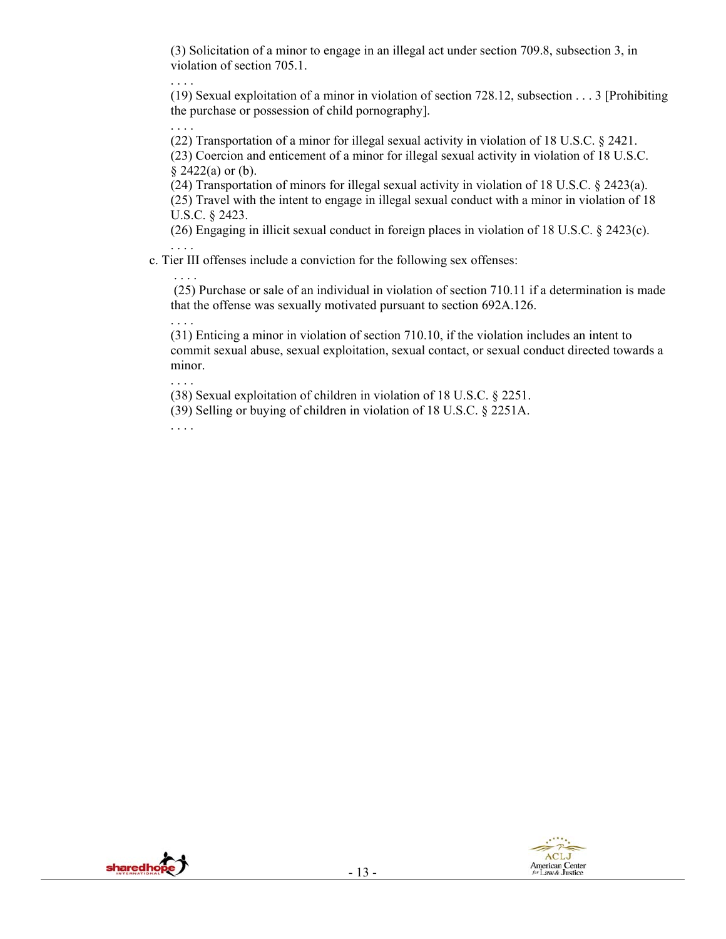(3) Solicitation of a minor to engage in an illegal act under section 709.8, subsection 3, in violation of section 705.1.

(19) Sexual exploitation of a minor in violation of section 728.12, subsection . . . 3 [Prohibiting the purchase or possession of child pornography].

(22) Transportation of a minor for illegal sexual activity in violation of 18 U.S.C. § 2421.

(23) Coercion and enticement of a minor for illegal sexual activity in violation of 18 U.S.C.  $§$  2422(a) or (b).

(24) Transportation of minors for illegal sexual activity in violation of 18 U.S.C. § 2423(a). (25) Travel with the intent to engage in illegal sexual conduct with a minor in violation of 18 U.S.C. § 2423.

(26) Engaging in illicit sexual conduct in foreign places in violation of 18 U.S.C. § 2423(c). . . . .

c. Tier III offenses include a conviction for the following sex offenses:

 (25) Purchase or sale of an individual in violation of section 710.11 if a determination is made that the offense was sexually motivated pursuant to section 692A.126.

(31) Enticing a minor in violation of section 710.10, if the violation includes an intent to commit sexual abuse, sexual exploitation, sexual contact, or sexual conduct directed towards a minor.

. . . . (38) Sexual exploitation of children in violation of 18 U.S.C. § 2251.

(39) Selling or buying of children in violation of 18 U.S.C. § 2251A.

. . . .

. . . .

. . . .

. . . .

. . . .

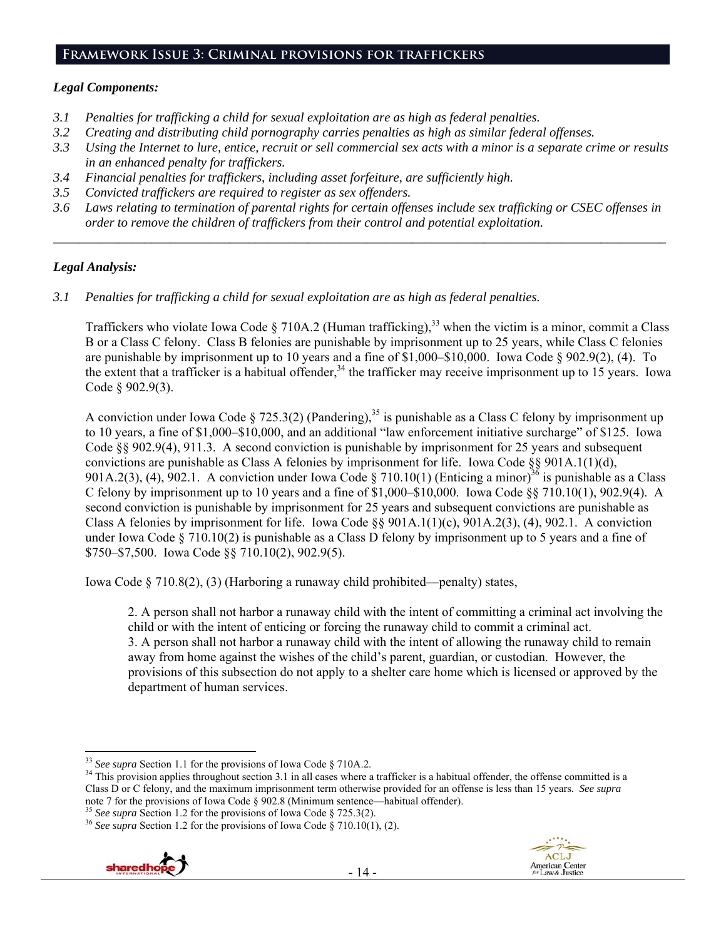#### **Framework Issue 3: Criminal provisions for traffickers**

#### *Legal Components:*

- *3.1 Penalties for trafficking a child for sexual exploitation are as high as federal penalties.*
- *3.2 Creating and distributing child pornography carries penalties as high as similar federal offenses.*
- *3.3 Using the Internet to lure, entice, recruit or sell commercial sex acts with a minor is a separate crime or results in an enhanced penalty for traffickers.*
- *3.4 Financial penalties for traffickers, including asset forfeiture, are sufficiently high.*
- *3.5 Convicted traffickers are required to register as sex offenders.*
- *3.6 Laws relating to termination of parental rights for certain offenses include sex trafficking or CSEC offenses in order to remove the children of traffickers from their control and potential exploitation.*

*\_\_\_\_\_\_\_\_\_\_\_\_\_\_\_\_\_\_\_\_\_\_\_\_\_\_\_\_\_\_\_\_\_\_\_\_\_\_\_\_\_\_\_\_\_\_\_\_\_\_\_\_\_\_\_\_\_\_\_\_\_\_\_\_\_\_\_\_\_\_\_\_\_\_\_\_\_\_\_\_\_\_\_\_\_\_\_\_\_\_\_\_\_\_* 

## *Legal Analysis:*

*3.1 Penalties for trafficking a child for sexual exploitation are as high as federal penalties.* 

Traffickers who violate Iowa Code § 710A.2 (Human trafficking),<sup>33</sup> when the victim is a minor, commit a Class B or a Class C felony. Class B felonies are punishable by imprisonment up to 25 years, while Class C felonies are punishable by imprisonment up to 10 years and a fine of \$1,000–\$10,000. Iowa Code § 902.9(2), (4). To the extent that a trafficker is a habitual offender,<sup>34</sup> the trafficker may receive imprisonment up to 15 years. Iowa Code § 902.9(3).

A conviction under Iowa Code § 725.3(2) (Pandering),<sup>35</sup> is punishable as a Class C felony by imprisonment up to 10 years, a fine of \$1,000–\$10,000, and an additional "law enforcement initiative surcharge" of \$125. Iowa Code §§ 902.9(4), 911.3. A second conviction is punishable by imprisonment for 25 years and subsequent convictions are punishable as Class A felonies by imprisonment for life. Iowa Code §§ 901A.1(1)(d), 901A.2(3), (4), 902.1. A conviction under Iowa Code § 710.10(1) (Enticing a minor)<sup>36</sup> is punishable as a Class C felony by imprisonment up to 10 years and a fine of \$1,000–\$10,000. Iowa Code  $\S$ § 710.10(1), 902.9(4). A second conviction is punishable by imprisonment for 25 years and subsequent convictions are punishable as Class A felonies by imprisonment for life. Iowa Code  $\S$ § 901A.1(1)(c), 901A.2(3), (4), 902.1. A conviction under Iowa Code § 710.10(2) is punishable as a Class D felony by imprisonment up to 5 years and a fine of \$750–\$7,500. Iowa Code §§ 710.10(2), 902.9(5).

Iowa Code § 710.8(2), (3) (Harboring a runaway child prohibited—penalty) states,

2. A person shall not harbor a runaway child with the intent of committing a criminal act involving the child or with the intent of enticing or forcing the runaway child to commit a criminal act. 3. A person shall not harbor a runaway child with the intent of allowing the runaway child to remain away from home against the wishes of the child's parent, guardian, or custodian. However, the provisions of this subsection do not apply to a shelter care home which is licensed or approved by the department of human services.





<sup>&</sup>lt;sup>33</sup> See supra Section 1.1 for the provisions of Iowa Code § 710A.2.

<sup>&</sup>lt;sup>34</sup> This provision applies throughout section 3.1 in all cases where a trafficker is a habitual offender, the offense committed is a Class D or C felony, and the maximum imprisonment term otherwise provided for an offense is less than 15 years. *See supra* note 7 for the provisions of Iowa Code § 902.8 (Minimum sentence—habitual offender).<br><sup>35</sup> See supra Section 1.2 for the provisions of Iowa Code § 725.3(2).<br><sup>36</sup> See supra Section 1.2 for the provisions of Iowa Code § 710.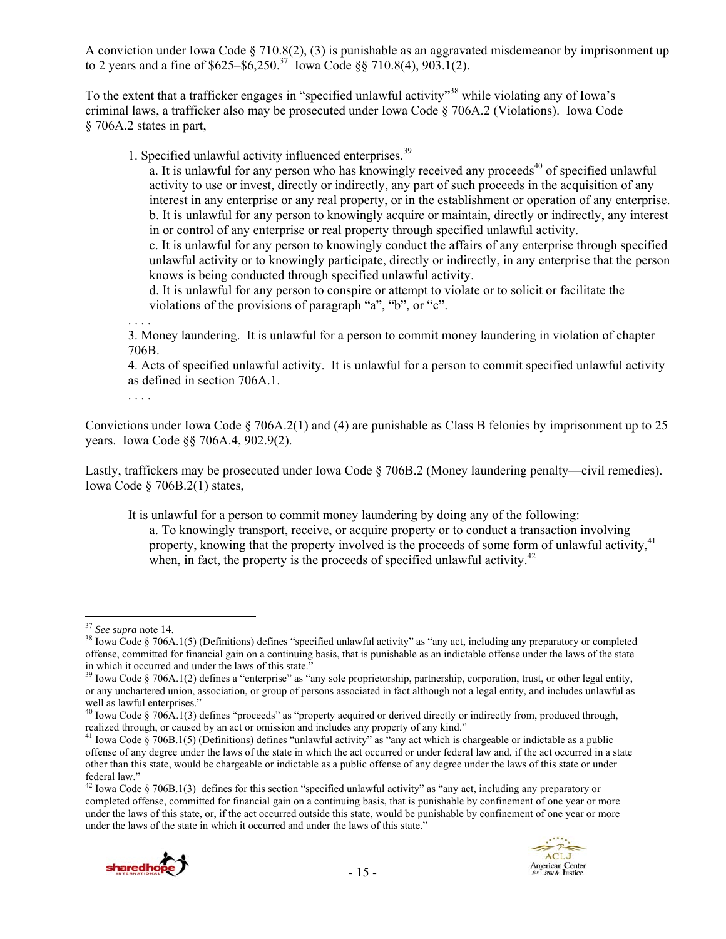A conviction under Iowa Code § 710.8(2), (3) is punishable as an aggravated misdemeanor by imprisonment up to 2 years and a fine of  $$625–$6,250.<sup>37</sup>$  Iowa Code  $$8710.8(4), 903.1(2)$ .

To the extent that a trafficker engages in "specified unlawful activity"<sup>38</sup> while violating any of Iowa's criminal laws, a trafficker also may be prosecuted under Iowa Code § 706A.2 (Violations). Iowa Code § 706A.2 states in part,

1. Specified unlawful activity influenced enterprises.<sup>39</sup>

a. It is unlawful for any person who has knowingly received any proceeds<sup>40</sup> of specified unlawful activity to use or invest, directly or indirectly, any part of such proceeds in the acquisition of any interest in any enterprise or any real property, or in the establishment or operation of any enterprise. b. It is unlawful for any person to knowingly acquire or maintain, directly or indirectly, any interest in or control of any enterprise or real property through specified unlawful activity.

c. It is unlawful for any person to knowingly conduct the affairs of any enterprise through specified unlawful activity or to knowingly participate, directly or indirectly, in any enterprise that the person knows is being conducted through specified unlawful activity.

d. It is unlawful for any person to conspire or attempt to violate or to solicit or facilitate the violations of the provisions of paragraph "a", "b", or "c".

. . . . 3. Money laundering. It is unlawful for a person to commit money laundering in violation of chapter 706B.

4. Acts of specified unlawful activity. It is unlawful for a person to commit specified unlawful activity as defined in section 706A.1.

. . . .

Convictions under Iowa Code § 706A.2(1) and (4) are punishable as Class B felonies by imprisonment up to 25 years. Iowa Code §§ 706A.4, 902.9(2).

Lastly, traffickers may be prosecuted under Iowa Code § 706B.2 (Money laundering penalty—civil remedies). Iowa Code § 706B.2(1) states,

It is unlawful for a person to commit money laundering by doing any of the following:

a. To knowingly transport, receive, or acquire property or to conduct a transaction involving property, knowing that the property involved is the proceeds of some form of unlawful activity.<sup>41</sup> when, in fact, the property is the proceeds of specified unlawful activity.<sup>42</sup>

<sup>42</sup> Iowa Code § 706B.1(3) defines for this section "specified unlawful activity" as "any act, including any preparatory or completed offense, committed for financial gain on a continuing basis, that is punishable by confinement of one year or more under the laws of this state, or, if the act occurred outside this state, would be punishable by confinement of one year or more under the laws of the state in which it occurred and under the laws of this state."





<sup>&</sup>lt;sup>37</sup> See supra note 14.

<sup>&</sup>lt;sup>38</sup> Iowa Code § 706A.1(5) (Definitions) defines "specified unlawful activity" as "any act, including any preparatory or completed offense, committed for financial gain on a continuing basis, that is punishable as an indictable offense under the laws of the state in which it occurred and under the laws of this state."  $\frac{39}{2}$  Iowa Code § 706A.1(2) defines a "enterprise" as "any sole proprietorship, partnership, corporation, trust, or other legal entity,

or any unchartered union, association, or group of persons associated in fact although not a legal entity, and includes unlawful as well as lawful enterprises."

<sup>&</sup>lt;sup>40</sup> Iowa Code § 706A.1(3) defines "proceeds" as "property acquired or derived directly or indirectly from, produced through, realized through, or caused by an act or omission and includes any property of any kind."<br><sup>41</sup> Iowa Code § 706B.1(5) (Definitions) defines "unlawful activity" as "any act which is chargeable or indictable as a public

offense of any degree under the laws of the state in which the act occurred or under federal law and, if the act occurred in a state other than this state, would be chargeable or indictable as a public offense of any degree under the laws of this state or under federal law."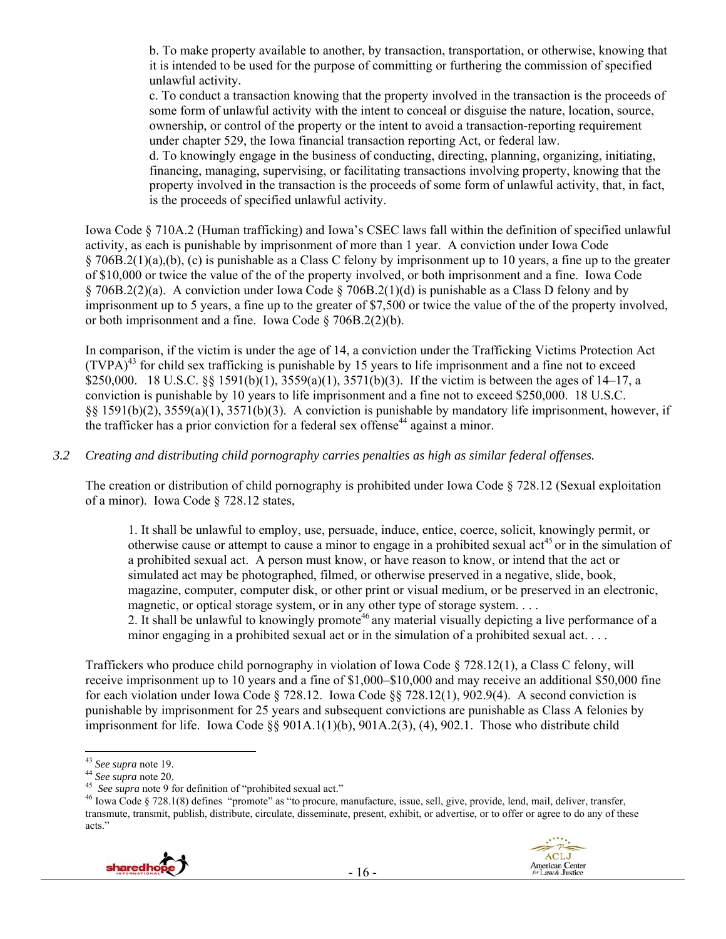b. To make property available to another, by transaction, transportation, or otherwise, knowing that it is intended to be used for the purpose of committing or furthering the commission of specified unlawful activity.

c. To conduct a transaction knowing that the property involved in the transaction is the proceeds of some form of unlawful activity with the intent to conceal or disguise the nature, location, source, ownership, or control of the property or the intent to avoid a transaction-reporting requirement under chapter 529, the Iowa financial transaction reporting Act, or federal law.

d. To knowingly engage in the business of conducting, directing, planning, organizing, initiating, financing, managing, supervising, or facilitating transactions involving property, knowing that the property involved in the transaction is the proceeds of some form of unlawful activity, that, in fact, is the proceeds of specified unlawful activity.

Iowa Code § 710A.2 (Human trafficking) and Iowa's CSEC laws fall within the definition of specified unlawful activity, as each is punishable by imprisonment of more than 1 year. A conviction under Iowa Code § 706B.2(1)(a),(b), (c) is punishable as a Class C felony by imprisonment up to 10 years, a fine up to the greater of \$10,000 or twice the value of the of the property involved, or both imprisonment and a fine. Iowa Code § 706B.2(2)(a). A conviction under Iowa Code § 706B.2(1)(d) is punishable as a Class D felony and by imprisonment up to 5 years, a fine up to the greater of \$7,500 or twice the value of the of the property involved, or both imprisonment and a fine. Iowa Code § 706B.2(2)(b).

In comparison, if the victim is under the age of 14, a conviction under the Trafficking Victims Protection Act  $(TVPA)<sup>43</sup>$  for child sex trafficking is punishable by 15 years to life imprisonment and a fine not to exceed \$250,000. 18 U.S.C. §§ 1591(b)(1), 3559(a)(1), 3571(b)(3). If the victim is between the ages of 14–17, a conviction is punishable by 10 years to life imprisonment and a fine not to exceed \$250,000. 18 U.S.C. §§ 1591(b)(2), 3559(a)(1), 3571(b)(3). A conviction is punishable by mandatory life imprisonment, however, if the trafficker has a prior conviction for a federal sex offense<sup>44</sup> against a minor.

## *3.2 Creating and distributing child pornography carries penalties as high as similar federal offenses.*

The creation or distribution of child pornography is prohibited under Iowa Code § 728.12 (Sexual exploitation of a minor). Iowa Code § 728.12 states,

1. It shall be unlawful to employ, use, persuade, induce, entice, coerce, solicit, knowingly permit, or otherwise cause or attempt to cause a minor to engage in a prohibited sexual  $\text{act}^{45}$  or in the simulation of a prohibited sexual act. A person must know, or have reason to know, or intend that the act or simulated act may be photographed, filmed, or otherwise preserved in a negative, slide, book, magazine, computer, computer disk, or other print or visual medium, or be preserved in an electronic, magnetic, or optical storage system, or in any other type of storage system. . . .

2. It shall be unlawful to knowingly promote<sup>46</sup> any material visually depicting a live performance of a minor engaging in a prohibited sexual act or in the simulation of a prohibited sexual act. . . .

Traffickers who produce child pornography in violation of Iowa Code § 728.12(1), a Class C felony, will receive imprisonment up to 10 years and a fine of \$1,000–\$10,000 and may receive an additional \$50,000 fine for each violation under Iowa Code § 728.12. Iowa Code §§ 728.12(1), 902.9(4). A second conviction is punishable by imprisonment for 25 years and subsequent convictions are punishable as Class A felonies by imprisonment for life. Iowa Code §§ 901A.1(1)(b), 901A.2(3), (4), 902.1. Those who distribute child

<sup>&</sup>lt;sup>44</sup> See supra note 20.<br><sup>45</sup> See supra note 9 for definition of "prohibited sexual act."<br><sup>45</sup> Iowa Code § 728.1(8) defines "promote" as "to procure, manufacture, issue, sell, give, provide, lend, mail, deliver, transfer, transmute, transmit, publish, distribute, circulate, disseminate, present, exhibit, or advertise, or to offer or agree to do any of these acts."



<sup>&</sup>lt;sup>43</sup> See supra note 19.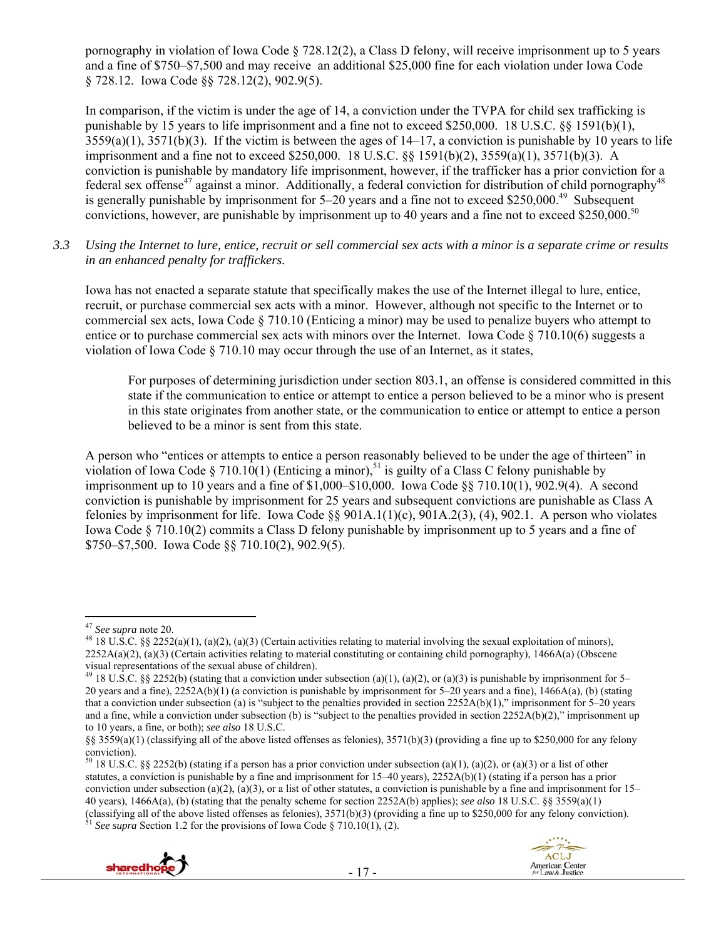pornography in violation of Iowa Code § 728.12(2), a Class D felony, will receive imprisonment up to 5 years and a fine of \$750–\$7,500 and may receive an additional \$25,000 fine for each violation under Iowa Code § 728.12. Iowa Code §§ 728.12(2), 902.9(5).

In comparison, if the victim is under the age of 14, a conviction under the TVPA for child sex trafficking is punishable by 15 years to life imprisonment and a fine not to exceed \$250,000. 18 U.S.C. §§ 1591(b)(1),  $3559(a)(1)$ ,  $3571(b)(3)$ . If the victim is between the ages of  $14-17$ , a conviction is punishable by 10 years to life imprisonment and a fine not to exceed \$250,000. 18 U.S.C. §§ 1591(b)(2), 3559(a)(1), 3571(b)(3). A conviction is punishable by mandatory life imprisonment, however, if the trafficker has a prior conviction for a federal sex offense<sup>47</sup> against a minor. Additionally, a federal conviction for distribution of child pornography<sup>48</sup> is generally punishable by imprisonment for  $5-20$  years and a fine not to exceed \$250,000.<sup>49</sup> Subsequent convictions, however, are punishable by imprisonment up to 40 years and a fine not to exceed \$250,000.<sup>50</sup>

*3.3 Using the Internet to lure, entice, recruit or sell commercial sex acts with a minor is a separate crime or results in an enhanced penalty for traffickers.* 

Iowa has not enacted a separate statute that specifically makes the use of the Internet illegal to lure, entice, recruit, or purchase commercial sex acts with a minor. However, although not specific to the Internet or to commercial sex acts, Iowa Code § 710.10 (Enticing a minor) may be used to penalize buyers who attempt to entice or to purchase commercial sex acts with minors over the Internet. Iowa Code § 710.10(6) suggests a violation of Iowa Code  $\S$  710.10 may occur through the use of an Internet, as it states,

For purposes of determining jurisdiction under section 803.1, an offense is considered committed in this state if the communication to entice or attempt to entice a person believed to be a minor who is present in this state originates from another state, or the communication to entice or attempt to entice a person believed to be a minor is sent from this state.

A person who "entices or attempts to entice a person reasonably believed to be under the age of thirteen" in violation of Iowa Code § 710.10(1) (Enticing a minor),<sup>51</sup> is guilty of a Class C felony punishable by imprisonment up to 10 years and a fine of \$1,000–\$10,000. Iowa Code §§ 710.10(1), 902.9(4). A second conviction is punishable by imprisonment for 25 years and subsequent convictions are punishable as Class A felonies by imprisonment for life. Iowa Code §§ 901A.1(1)(c),  $901A.2(3)$ , (4), 902.1. A person who violates Iowa Code § 710.10(2) commits a Class D felony punishable by imprisonment up to 5 years and a fine of \$750–\$7,500. Iowa Code §§ 710.10(2), 902.9(5).

<sup>&</sup>lt;sup>50</sup> 18 U.S.C. §§ 2252(b) (stating if a person has a prior conviction under subsection (a)(1), (a)(2), or (a)(3) or a list of other statutes, a conviction is punishable by a fine and imprisonment for 15–40 years), 2252A(b)(1) (stating if a person has a prior conviction under subsection (a)(2), (a)(3), or a list of other statutes, a conviction is punishable by a fine and imprisonment for  $15-$ 40 years), 1466A(a), (b) (stating that the penalty scheme for section 2252A(b) applies); *see also* 18 U.S.C. §§ 3559(a)(1) (classifying all of the above listed offenses as felonies),  $3571(b)(3)$  (providing a fine up to \$250,000 for any felony conviction).<br><sup>51</sup> *See supra* Section 1.2 for the provisions of Iowa Code § 710.10(1), (2).





<sup>&</sup>lt;sup>47</sup> See supra note 20.

<sup>&</sup>lt;sup>48</sup> 18 U.S.C. §§ 2252(a)(1), (a)(2), (a)(3) (Certain activities relating to material involving the sexual exploitation of minors),  $2252A(a)(2)$ , (a)(3) (Certain activities relating to material constituting or containing child pornography), 1466A(a) (Obscene visual representations of the sexual abuse of children).

<sup>&</sup>lt;sup>49</sup> 18 U.S.C. §§ 2252(b) (stating that a conviction under subsection (a)(1), (a)(2), or (a)(3) is punishable by imprisonment for 5– 20 years and a fine), 2252A(b)(1) (a conviction is punishable by imprisonment for 5–20 years and a fine), 1466A(a), (b) (stating that a conviction under subsection (a) is "subject to the penalties provided in section  $2252A(b)(1)$ ," imprisonment for 5–20 years and a fine, while a conviction under subsection (b) is "subject to the penalties provided in section  $2252A(b)(2)$ ," imprisonment up to 10 years, a fine, or both); *see also* 18 U.S.C.

<sup>§§ 3559(</sup>a)(1) (classifying all of the above listed offenses as felonies), 3571(b)(3) (providing a fine up to \$250,000 for any felony conviction).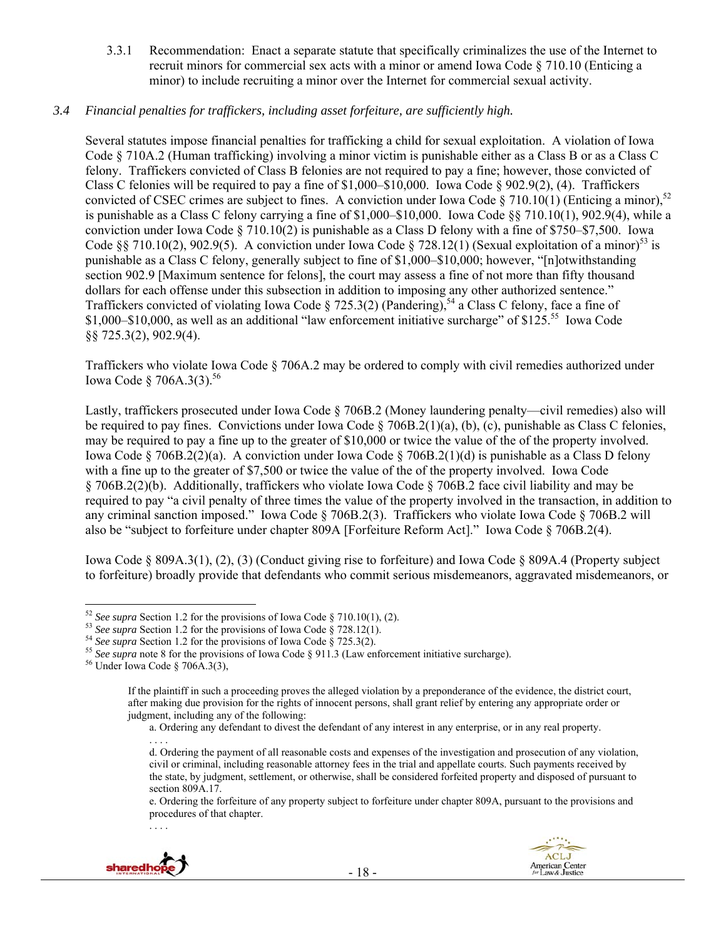3.3.1 Recommendation: Enact a separate statute that specifically criminalizes the use of the Internet to recruit minors for commercial sex acts with a minor or amend Iowa Code § 710.10 (Enticing a minor) to include recruiting a minor over the Internet for commercial sexual activity.

## *3.4 Financial penalties for traffickers, including asset forfeiture, are sufficiently high.*

Several statutes impose financial penalties for trafficking a child for sexual exploitation. A violation of Iowa Code § 710A.2 (Human trafficking) involving a minor victim is punishable either as a Class B or as a Class C felony. Traffickers convicted of Class B felonies are not required to pay a fine; however, those convicted of Class C felonies will be required to pay a fine of  $$1,000–$10,000$ . Iowa Code  $$902.9(2), (4)$ . Traffickers convicted of CSEC crimes are subject to fines. A conviction under Iowa Code § 710.10(1) (Enticing a minor),  $52$ is punishable as a Class C felony carrying a fine of \$1,000–\$10,000. Iowa Code §§ 710.10(1), 902.9(4), while a conviction under Iowa Code § 710.10(2) is punishable as a Class D felony with a fine of \$750–\$7,500. Iowa Code §§ 710.10(2), 902.9(5). A conviction under Iowa Code § 728.12(1) (Sexual exploitation of a minor)<sup>53</sup> is punishable as a Class C felony, generally subject to fine of \$1,000–\$10,000; however, "[n]otwithstanding section 902.9 [Maximum sentence for felons], the court may assess a fine of not more than fifty thousand dollars for each offense under this subsection in addition to imposing any other authorized sentence." Traffickers convicted of violating Iowa Code § 725.3(2) (Pandering),<sup>54</sup> a Class C felony, face a fine of \$1,000–\$10,000, as well as an additional "law enforcement initiative surcharge" of \$125.<sup>55</sup> Iowa Code §§ 725.3(2), 902.9(4).

Traffickers who violate Iowa Code § 706A.2 may be ordered to comply with civil remedies authorized under Iowa Code  $\S 706A.3(3).^{56}$ 

Lastly, traffickers prosecuted under Iowa Code § 706B.2 (Money laundering penalty—civil remedies) also will be required to pay fines. Convictions under Iowa Code § 706B.2(1)(a), (b), (c), punishable as Class C felonies, may be required to pay a fine up to the greater of \$10,000 or twice the value of the of the property involved. Iowa Code § 706B.2(2)(a). A conviction under Iowa Code § 706B.2(1)(d) is punishable as a Class D felony with a fine up to the greater of \$7,500 or twice the value of the of the property involved. Iowa Code § 706B.2(2)(b). Additionally, traffickers who violate Iowa Code § 706B.2 face civil liability and may be required to pay "a civil penalty of three times the value of the property involved in the transaction, in addition to any criminal sanction imposed." Iowa Code § 706B.2(3). Traffickers who violate Iowa Code § 706B.2 will also be "subject to forfeiture under chapter 809A [Forfeiture Reform Act]." Iowa Code § 706B.2(4).

Iowa Code § 809A.3(1), (2), (3) (Conduct giving rise to forfeiture) and Iowa Code § 809A.4 (Property subject to forfeiture) broadly provide that defendants who commit serious misdemeanors, aggravated misdemeanors, or

. . . .

e. Ordering the forfeiture of any property subject to forfeiture under chapter 809A, pursuant to the provisions and procedures of that chapter.





 $\overline{a}$ 

<sup>&</sup>lt;sup>52</sup> See supra Section 1.2 for the provisions of Iowa Code § 710.10(1), (2).<br><sup>53</sup> See supra Section 1.2 for the provisions of Iowa Code § 728.12(1).<br><sup>54</sup> See supra Section 1.2 for the provisions of Iowa Code § 725.3(2).<br><sup></sup>

If the plaintiff in such a proceeding proves the alleged violation by a preponderance of the evidence, the district court, after making due provision for the rights of innocent persons, shall grant relief by entering any appropriate order or judgment, including any of the following:

a. Ordering any defendant to divest the defendant of any interest in any enterprise, or in any real property.

d. Ordering the payment of all reasonable costs and expenses of the investigation and prosecution of any violation, civil or criminal, including reasonable attorney fees in the trial and appellate courts. Such payments received by the state, by judgment, settlement, or otherwise, shall be considered forfeited property and disposed of pursuant to section 809A.17.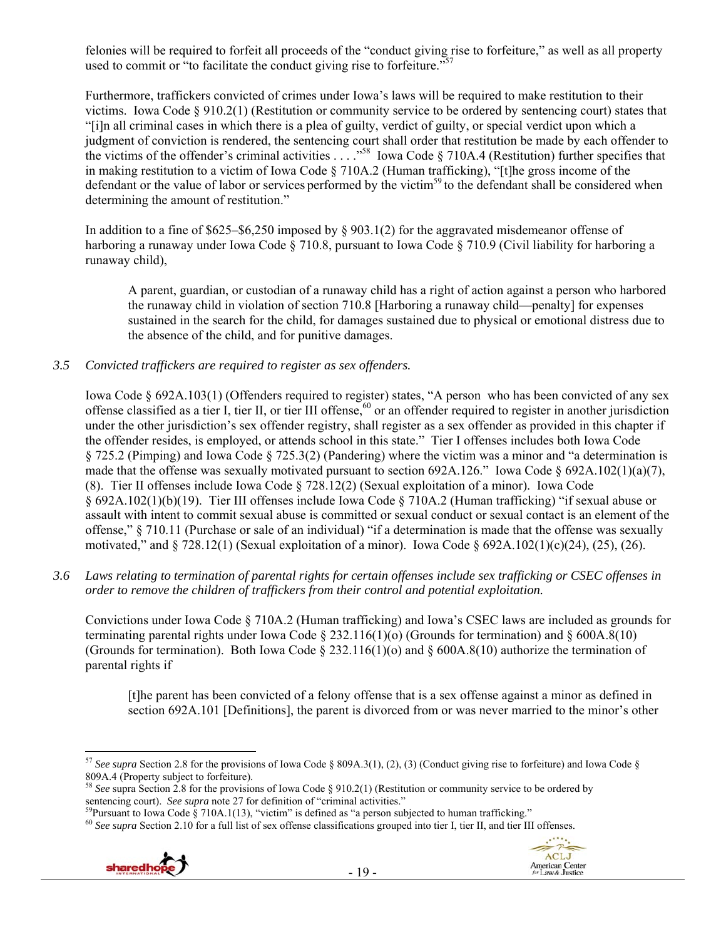felonies will be required to forfeit all proceeds of the "conduct giving rise to forfeiture," as well as all property used to commit or "to facilitate the conduct giving rise to forfeiture."<sup>57</sup>

Furthermore, traffickers convicted of crimes under Iowa's laws will be required to make restitution to their victims. Iowa Code § 910.2(1) (Restitution or community service to be ordered by sentencing court) states that "[i]n all criminal cases in which there is a plea of guilty, verdict of guilty, or special verdict upon which a judgment of conviction is rendered, the sentencing court shall order that restitution be made by each offender to the victims of the offender's criminal activities  $\ldots$  ...<sup>558</sup> Iowa Code § 710A.4 (Restitution) further specifies that in making restitution to a victim of Iowa Code § 710A.2 (Human trafficking), "[t]he gross income of the defendant or the value of labor or services performed by the victim<sup>59</sup> to the defendant shall be considered when determining the amount of restitution."

In addition to a fine of \$625–\$6,250 imposed by § 903.1(2) for the aggravated misdemeanor offense of harboring a runaway under Iowa Code § 710.8, pursuant to Iowa Code § 710.9 (Civil liability for harboring a runaway child),

A parent, guardian, or custodian of a runaway child has a right of action against a person who harbored the runaway child in violation of section 710.8 [Harboring a runaway child—penalty] for expenses sustained in the search for the child, for damages sustained due to physical or emotional distress due to the absence of the child, and for punitive damages.

## *3.5 Convicted traffickers are required to register as sex offenders.*

Iowa Code § 692A.103(1) (Offenders required to register) states, "A person who has been convicted of any sex offense classified as a tier I, tier II, or tier III offense,  $60$  or an offender required to register in another jurisdiction under the other jurisdiction's sex offender registry, shall register as a sex offender as provided in this chapter if the offender resides, is employed, or attends school in this state." Tier I offenses includes both Iowa Code § 725.2 (Pimping) and Iowa Code § 725.3(2) (Pandering) where the victim was a minor and "a determination is made that the offense was sexually motivated pursuant to section 692A.126." Iowa Code  $\S$  692A.102(1)(a)(7), (8). Tier II offenses include Iowa Code § 728.12(2) (Sexual exploitation of a minor). Iowa Code § 692A.102(1)(b)(19). Tier III offenses include Iowa Code § 710A.2 (Human trafficking) "if sexual abuse or assault with intent to commit sexual abuse is committed or sexual conduct or sexual contact is an element of the offense," § 710.11 (Purchase or sale of an individual) "if a determination is made that the offense was sexually motivated," and  $\S 728.12(1)$  (Sexual exploitation of a minor). Iowa Code  $\S 692A.102(1)(c)(24)$ , (25), (26).

*3.6 Laws relating to termination of parental rights for certain offenses include sex trafficking or CSEC offenses in order to remove the children of traffickers from their control and potential exploitation.* 

Convictions under Iowa Code § 710A.2 (Human trafficking) and Iowa's CSEC laws are included as grounds for terminating parental rights under Iowa Code  $\S 232.116(1)(o)$  (Grounds for termination) and  $\S 600A.8(10)$ (Grounds for termination). Both Iowa Code  $\S 232.116(1)(o)$  and  $\S 600A.8(10)$  authorize the termination of parental rights if

[t]he parent has been convicted of a felony offense that is a sex offense against a minor as defined in section 692A.101 [Definitions], the parent is divorced from or was never married to the minor's other

ACLJ

American Center<br>for Law & Justice

<sup>&</sup>lt;sup>59</sup>Pursuant to Iowa Code § 710A.1(13), "victim" is defined as "a person subjected to human trafficking."<br><sup>60</sup> See supra Section 2.10 for a full list of sex offense classifications grouped into tier I, tier II, and tier I



<sup>&</sup>lt;sup>57</sup> See supra Section 2.8 for the provisions of Iowa Code § 809A.3(1), (2), (3) (Conduct giving rise to forfeiture) and Iowa Code §

<sup>809</sup>A.4 (Property subject to forfeiture).<br><sup>58</sup> *See* supra Section 2.8 for the provisions of Iowa Code § 910.2(1) (Restitution or community service to be ordered by sentencing court). *See supra* note 27 for definition of "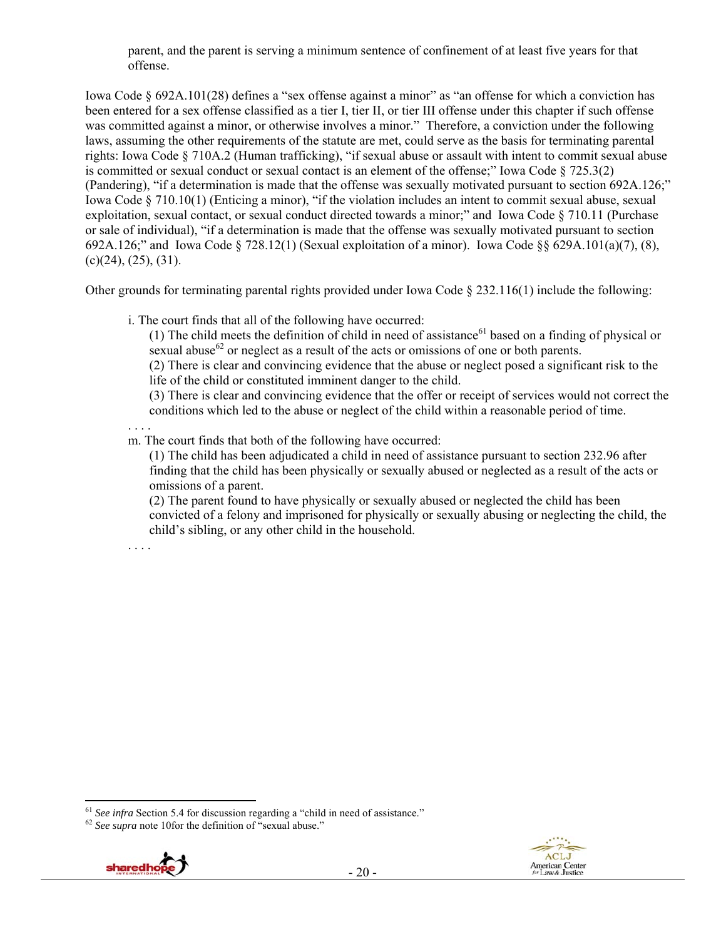parent, and the parent is serving a minimum sentence of confinement of at least five years for that offense.

Iowa Code § 692A.101(28) defines a "sex offense against a minor" as "an offense for which a conviction has been entered for a sex offense classified as a tier I, tier II, or tier III offense under this chapter if such offense was committed against a minor, or otherwise involves a minor." Therefore, a conviction under the following laws, assuming the other requirements of the statute are met, could serve as the basis for terminating parental rights: Iowa Code § 710A.2 (Human trafficking), "if sexual abuse or assault with intent to commit sexual abuse is committed or sexual conduct or sexual contact is an element of the offense;" Iowa Code § 725.3(2) (Pandering), "if a determination is made that the offense was sexually motivated pursuant to section 692A.126;" Iowa Code § 710.10(1) (Enticing a minor), "if the violation includes an intent to commit sexual abuse, sexual exploitation, sexual contact, or sexual conduct directed towards a minor;" and Iowa Code § 710.11 (Purchase or sale of individual), "if a determination is made that the offense was sexually motivated pursuant to section 692A.126;" and Iowa Code § 728.12(1) (Sexual exploitation of a minor). Iowa Code §§ 629A.101(a)(7), (8),  $(c)(24)$ ,  $(25)$ ,  $(31)$ .

Other grounds for terminating parental rights provided under Iowa Code  $\S$  232.116(1) include the following:

i. The court finds that all of the following have occurred:

(1) The child meets the definition of child in need of assistance<sup>61</sup> based on a finding of physical or sexual abuse $^{62}$  or neglect as a result of the acts or omissions of one or both parents.

(2) There is clear and convincing evidence that the abuse or neglect posed a significant risk to the life of the child or constituted imminent danger to the child.

(3) There is clear and convincing evidence that the offer or receipt of services would not correct the conditions which led to the abuse or neglect of the child within a reasonable period of time.

. . . .

m. The court finds that both of the following have occurred:

(1) The child has been adjudicated a child in need of assistance pursuant to section 232.96 after finding that the child has been physically or sexually abused or neglected as a result of the acts or omissions of a parent.

(2) The parent found to have physically or sexually abused or neglected the child has been convicted of a felony and imprisoned for physically or sexually abusing or neglecting the child, the child's sibling, or any other child in the household.

. . . .



<sup>&</sup>lt;sup>61</sup> *See infra* Section 5.4 for discussion regarding a "child in need of assistance." <sup>62</sup> *See supra* note 10for the definition of "sexual abuse."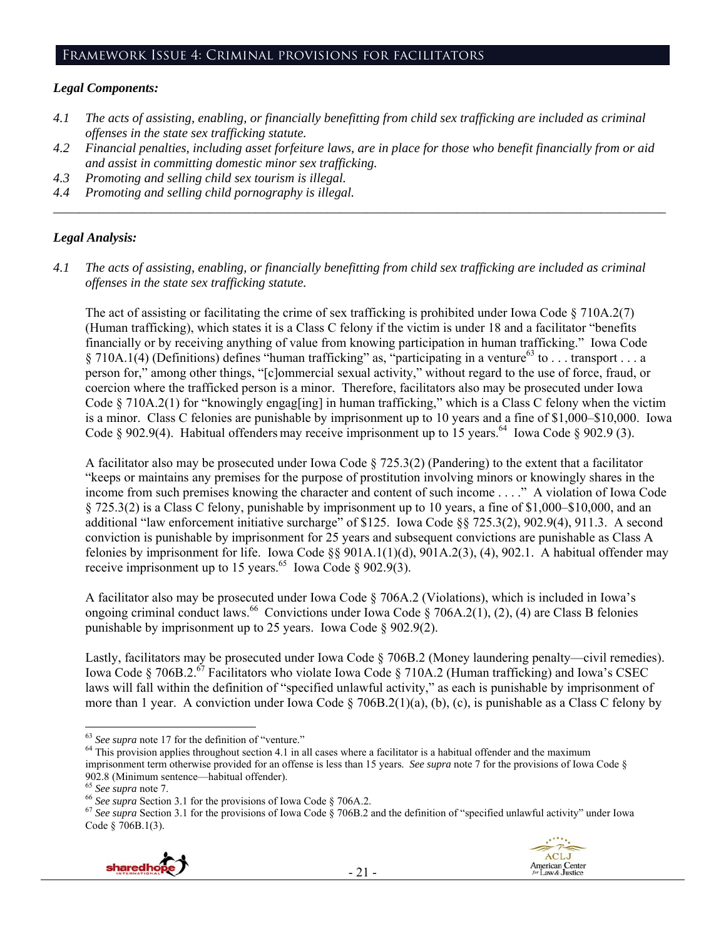## *Legal Components:*

- *4.1 The acts of assisting, enabling, or financially benefitting from child sex trafficking are included as criminal offenses in the state sex trafficking statute.*
- *4.2 Financial penalties, including asset forfeiture laws, are in place for those who benefit financially from or aid and assist in committing domestic minor sex trafficking.*

*\_\_\_\_\_\_\_\_\_\_\_\_\_\_\_\_\_\_\_\_\_\_\_\_\_\_\_\_\_\_\_\_\_\_\_\_\_\_\_\_\_\_\_\_\_\_\_\_\_\_\_\_\_\_\_\_\_\_\_\_\_\_\_\_\_\_\_\_\_\_\_\_\_\_\_\_\_\_\_\_\_\_\_\_\_\_\_\_\_\_\_\_\_\_* 

- *4.3 Promoting and selling child sex tourism is illegal.*
- *4.4 Promoting and selling child pornography is illegal.*

## *Legal Analysis:*

*4.1 The acts of assisting, enabling, or financially benefitting from child sex trafficking are included as criminal offenses in the state sex trafficking statute.* 

The act of assisting or facilitating the crime of sex trafficking is prohibited under Iowa Code  $\S 710A.2(7)$ (Human trafficking), which states it is a Class C felony if the victim is under 18 and a facilitator "benefits financially or by receiving anything of value from knowing participation in human trafficking." Iowa Code § 710A.1(4) (Definitions) defines "human trafficking" as, "participating in a venture<sup>63</sup> to . . . transport . . . a person for," among other things, "[c]ommercial sexual activity," without regard to the use of force, fraud, or coercion where the trafficked person is a minor. Therefore, facilitators also may be prosecuted under Iowa Code  $\S 710A.2(1)$  for "knowingly engag[ing] in human trafficking," which is a Class C felony when the victim is a minor. Class C felonies are punishable by imprisonment up to 10 years and a fine of \$1,000–\$10,000. Iowa Code  $\S$  902.9(4). Habitual offenders may receive imprisonment up to 15 years.<sup>64</sup> Iowa Code  $\S$  902.9 (3).

A facilitator also may be prosecuted under Iowa Code § 725.3(2) (Pandering) to the extent that a facilitator "keeps or maintains any premises for the purpose of prostitution involving minors or knowingly shares in the income from such premises knowing the character and content of such income . . . ." A violation of Iowa Code § 725.3(2) is a Class C felony, punishable by imprisonment up to 10 years, a fine of \$1,000–\$10,000, and an additional "law enforcement initiative surcharge" of \$125. Iowa Code §§ 725.3(2), 902.9(4), 911.3. A second conviction is punishable by imprisonment for 25 years and subsequent convictions are punishable as Class A felonies by imprisonment for life. Iowa Code §§ 901A.1(1)(d), 901A.2(3), (4), 902.1. A habitual offender may receive imprisonment up to 15 years.<sup>65</sup> Iowa Code § 902.9(3).

A facilitator also may be prosecuted under Iowa Code § 706A.2 (Violations), which is included in Iowa's ongoing criminal conduct laws.<sup>66</sup> Convictions under Iowa Code § 706A.2(1), (2), (4) are Class B felonies punishable by imprisonment up to 25 years. Iowa Code § 902.9(2).

Lastly, facilitators may be prosecuted under Iowa Code § 706B.2 (Money laundering penalty—civil remedies). Iowa Code § 706B.2.<sup>67</sup> Facilitators who violate Iowa Code § 710A.2 (Human trafficking) and Iowa's CSEC laws will fall within the definition of "specified unlawful activity," as each is punishable by imprisonment of more than 1 year. A conviction under Iowa Code § 706B.2(1)(a), (b), (c), is punishable as a Class C felony by

- 21 -





 $63$  See supra note 17 for the definition of "venture."

<sup>&</sup>lt;sup>64</sup> This provision applies throughout section 4.1 in all cases where a facilitator is a habitual offender and the maximum imprisonment term otherwise provided for an offense is less than 15 years. *See supra* note 7 for the provisions of Iowa Code §

<sup>902.8 (</sup>Minimum sentence—habitual offender).<br>
<sup>65</sup> See supra note 7.<br>
<sup>66</sup> See supra Section 3.1 for the provisions of Iowa Code § 706A.2.<br>
<sup>67</sup> See supra Section 3.1 for the provisions of Iowa Code § 706B.2 and the defini Code § 706B.1(3).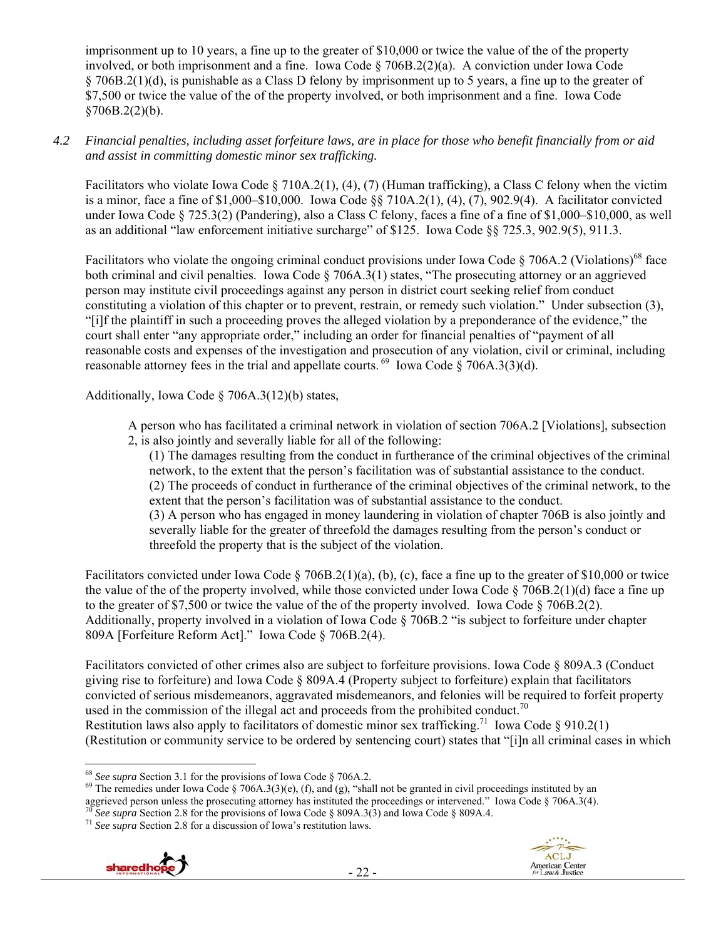imprisonment up to 10 years, a fine up to the greater of \$10,000 or twice the value of the of the property involved, or both imprisonment and a fine. Iowa Code § 706B.2(2)(a). A conviction under Iowa Code § 706B.2(1)(d), is punishable as a Class D felony by imprisonment up to 5 years, a fine up to the greater of \$7,500 or twice the value of the of the property involved, or both imprisonment and a fine. Iowa Code  $$706B.2(2)(b).$ 

*4.2 Financial penalties, including asset forfeiture laws, are in place for those who benefit financially from or aid and assist in committing domestic minor sex trafficking.* 

Facilitators who violate Iowa Code § 710A.2(1), (4), (7) (Human trafficking), a Class C felony when the victim is a minor, face a fine of \$1,000–\$10,000. Iowa Code §§ 710A.2(1), (4), (7), 902.9(4). A facilitator convicted under Iowa Code § 725.3(2) (Pandering), also a Class C felony, faces a fine of a fine of \$1,000–\$10,000, as well as an additional "law enforcement initiative surcharge" of \$125. Iowa Code §§ 725.3, 902.9(5), 911.3.

Facilitators who violate the ongoing criminal conduct provisions under Iowa Code § 706A.2 (Violations)<sup>68</sup> face both criminal and civil penalties. Iowa Code § 706A.3(1) states, "The prosecuting attorney or an aggrieved person may institute civil proceedings against any person in district court seeking relief from conduct constituting a violation of this chapter or to prevent, restrain, or remedy such violation." Under subsection (3), "[i]f the plaintiff in such a proceeding proves the alleged violation by a preponderance of the evidence," the court shall enter "any appropriate order," including an order for financial penalties of "payment of all reasonable costs and expenses of the investigation and prosecution of any violation, civil or criminal, including reasonable attorney fees in the trial and appellate courts.  $^{69}$  Iowa Code § 706A.3(3)(d).

Additionally, Iowa Code § 706A.3(12)(b) states,

A person who has facilitated a criminal network in violation of section 706A.2 [Violations], subsection 2, is also jointly and severally liable for all of the following:

(1) The damages resulting from the conduct in furtherance of the criminal objectives of the criminal network, to the extent that the person's facilitation was of substantial assistance to the conduct. (2) The proceeds of conduct in furtherance of the criminal objectives of the criminal network, to the extent that the person's facilitation was of substantial assistance to the conduct.

(3) A person who has engaged in money laundering in violation of chapter 706B is also jointly and severally liable for the greater of threefold the damages resulting from the person's conduct or threefold the property that is the subject of the violation.

Facilitators convicted under Iowa Code § 706B.2(1)(a), (b), (c), face a fine up to the greater of \$10,000 or twice the value of the of the property involved, while those convicted under Iowa Code § 706B.2(1)(d) face a fine up to the greater of \$7,500 or twice the value of the of the property involved. Iowa Code  $\S 706B.2(2)$ . Additionally, property involved in a violation of Iowa Code § 706B.2 "is subject to forfeiture under chapter 809A [Forfeiture Reform Act]." Iowa Code § 706B.2(4).

Facilitators convicted of other crimes also are subject to forfeiture provisions. Iowa Code § 809A.3 (Conduct giving rise to forfeiture) and Iowa Code § 809A.4 (Property subject to forfeiture) explain that facilitators convicted of serious misdemeanors, aggravated misdemeanors, and felonies will be required to forfeit property used in the commission of the illegal act and proceeds from the prohibited conduct.<sup>70</sup> Restitution laws also apply to facilitators of domestic minor sex trafficking.<sup>71</sup> Iowa Code § 910.2(1) (Restitution or community service to be ordered by sentencing court) states that "[i]n all criminal cases in which





<sup>&</sup>lt;sup>68</sup> See supra Section 3.1 for the provisions of Iowa Code  $\S$  706A.2.

<sup>&</sup>lt;sup>69</sup> The remedies under Iowa Code § 706A.3(3)(e), (f), and (g), "shall not be granted in civil proceedings instituted by an aggrieved person unless the prosecuting attorney has instituted the proceedings or intervened." Iowa Code § 706A.3(4).<br><sup>70</sup> See supra Section 2.8 for the provisions of Iowa Code § 809A.3(3) and Iowa Code § 809A.4.<br><sup>71</sup> Se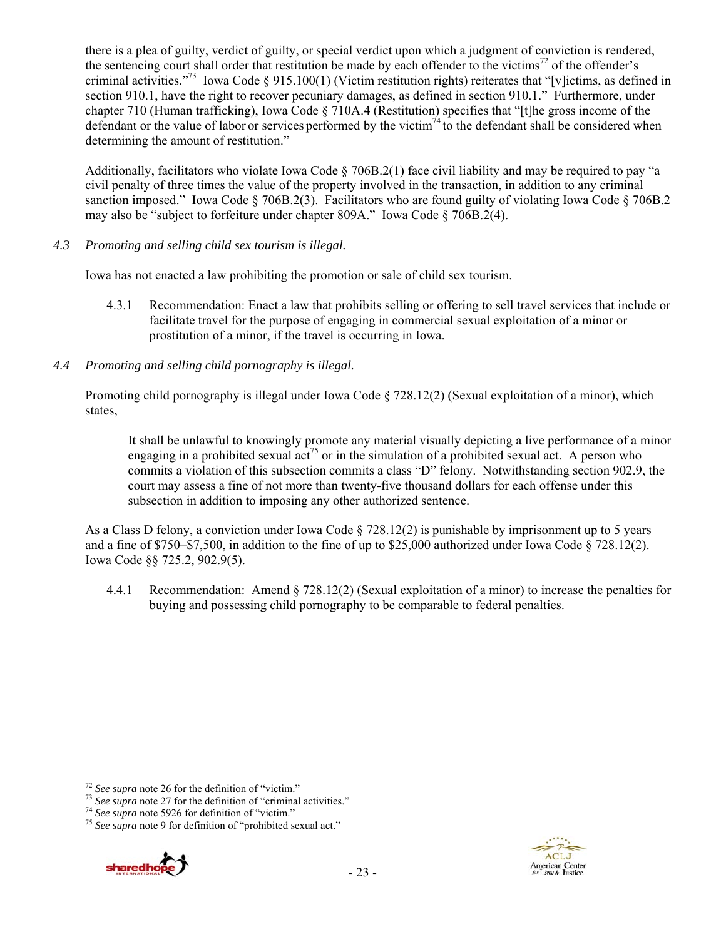there is a plea of guilty, verdict of guilty, or special verdict upon which a judgment of conviction is rendered, the sentencing court shall order that restitution be made by each offender to the victims<sup>72</sup> of the offender's criminal activities."<sup>73</sup> Iowa Code  $\S 915.100(1)$  (Victim restitution rights) reiterates that "[v]ictims, as defined in section 910.1, have the right to recover pecuniary damages, as defined in section 910.1." Furthermore, under chapter 710 (Human trafficking), Iowa Code § 710A.4 (Restitution) specifies that "[t]he gross income of the defendant or the value of labor or services performed by the victim<sup>74</sup> to the defendant shall be considered when determining the amount of restitution."

Additionally, facilitators who violate Iowa Code § 706B.2(1) face civil liability and may be required to pay "a civil penalty of three times the value of the property involved in the transaction, in addition to any criminal sanction imposed." Iowa Code § 706B.2(3). Facilitators who are found guilty of violating Iowa Code § 706B.2 may also be "subject to forfeiture under chapter 809A." Iowa Code § 706B.2(4).

*4.3 Promoting and selling child sex tourism is illegal.* 

Iowa has not enacted a law prohibiting the promotion or sale of child sex tourism.

- 4.3.1 Recommendation: Enact a law that prohibits selling or offering to sell travel services that include or facilitate travel for the purpose of engaging in commercial sexual exploitation of a minor or prostitution of a minor, if the travel is occurring in Iowa.
- *4.4 Promoting and selling child pornography is illegal.*

Promoting child pornography is illegal under Iowa Code § 728.12(2) (Sexual exploitation of a minor), which states,

It shall be unlawful to knowingly promote any material visually depicting a live performance of a minor engaging in a prohibited sexual act<sup>75</sup> or in the simulation of a prohibited sexual act. A person who commits a violation of this subsection commits a class "D" felony. Notwithstanding section 902.9, the court may assess a fine of not more than twenty-five thousand dollars for each offense under this subsection in addition to imposing any other authorized sentence.

As a Class D felony, a conviction under Iowa Code  $\S$  728.12(2) is punishable by imprisonment up to 5 years and a fine of \$750–\$7,500, in addition to the fine of up to \$25,000 authorized under Iowa Code § 728.12(2). Iowa Code §§ 725.2, 902.9(5).

4.4.1 Recommendation: Amend § 728.12(2) (Sexual exploitation of a minor) to increase the penalties for buying and possessing child pornography to be comparable to federal penalties.



 $\overline{a}$ 

<sup>&</sup>lt;sup>72</sup> See supra note 26 for the definition of "victim."<br><sup>73</sup> See supra note 27 for the definition of "criminal activities."<br><sup>74</sup> See supra note 5926 for definition of "victim."<br><sup>75</sup> See supra note 9 for definition of "proh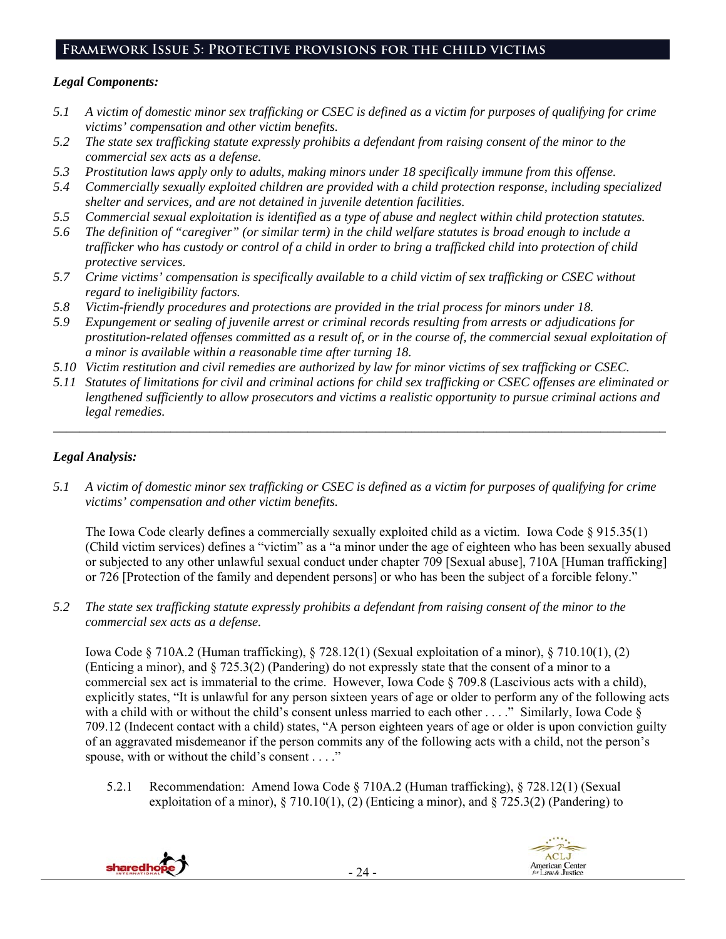## **Framework Issue 5: Protective provisions for the child victims**

#### *Legal Components:*

- *5.1 A victim of domestic minor sex trafficking or CSEC is defined as a victim for purposes of qualifying for crime victims' compensation and other victim benefits.*
- *5.2 The state sex trafficking statute expressly prohibits a defendant from raising consent of the minor to the commercial sex acts as a defense.*
- *5.3 Prostitution laws apply only to adults, making minors under 18 specifically immune from this offense.*
- *5.4 Commercially sexually exploited children are provided with a child protection response, including specialized shelter and services, and are not detained in juvenile detention facilities.*
- *5.5 Commercial sexual exploitation is identified as a type of abuse and neglect within child protection statutes.*
- *5.6 The definition of "caregiver" (or similar term) in the child welfare statutes is broad enough to include a trafficker who has custody or control of a child in order to bring a trafficked child into protection of child protective services.*
- *5.7 Crime victims' compensation is specifically available to a child victim of sex trafficking or CSEC without regard to ineligibility factors.*
- *5.8 Victim-friendly procedures and protections are provided in the trial process for minors under 18.*
- *5.9 Expungement or sealing of juvenile arrest or criminal records resulting from arrests or adjudications for prostitution-related offenses committed as a result of, or in the course of, the commercial sexual exploitation of a minor is available within a reasonable time after turning 18.*
- *5.10 Victim restitution and civil remedies are authorized by law for minor victims of sex trafficking or CSEC.*
- *5.11 Statutes of limitations for civil and criminal actions for child sex trafficking or CSEC offenses are eliminated or lengthened sufficiently to allow prosecutors and victims a realistic opportunity to pursue criminal actions and legal remedies.*

*\_\_\_\_\_\_\_\_\_\_\_\_\_\_\_\_\_\_\_\_\_\_\_\_\_\_\_\_\_\_\_\_\_\_\_\_\_\_\_\_\_\_\_\_\_\_\_\_\_\_\_\_\_\_\_\_\_\_\_\_\_\_\_\_\_\_\_\_\_\_\_\_\_\_\_\_\_\_\_\_\_\_\_\_\_\_\_\_\_\_\_\_\_\_* 

## *Legal Analysis:*

*5.1 A victim of domestic minor sex trafficking or CSEC is defined as a victim for purposes of qualifying for crime victims' compensation and other victim benefits.* 

The Iowa Code clearly defines a commercially sexually exploited child as a victim. Iowa Code  $\S 915.35(1)$ (Child victim services) defines a "victim" as a "a minor under the age of eighteen who has been sexually abused or subjected to any other unlawful sexual conduct under chapter 709 [Sexual abuse], 710A [Human trafficking] or 726 [Protection of the family and dependent persons] or who has been the subject of a forcible felony."

*5.2 The state sex trafficking statute expressly prohibits a defendant from raising consent of the minor to the commercial sex acts as a defense.* 

Iowa Code § 710A.2 (Human trafficking), § 728.12(1) (Sexual exploitation of a minor), § 710.10(1), (2) (Enticing a minor), and § 725.3(2) (Pandering) do not expressly state that the consent of a minor to a commercial sex act is immaterial to the crime. However, Iowa Code § 709.8 (Lascivious acts with a child), explicitly states, "It is unlawful for any person sixteen years of age or older to perform any of the following acts with a child with or without the child's consent unless married to each other . . . ." Similarly, Iowa Code § 709.12 (Indecent contact with a child) states, "A person eighteen years of age or older is upon conviction guilty of an aggravated misdemeanor if the person commits any of the following acts with a child, not the person's spouse, with or without the child's consent . . . ."

5.2.1 Recommendation: Amend Iowa Code § 710A.2 (Human trafficking), § 728.12(1) (Sexual exploitation of a minor),  $\S 710.10(1)$ , (2) (Enticing a minor), and  $\S 725.3(2)$  (Pandering) to

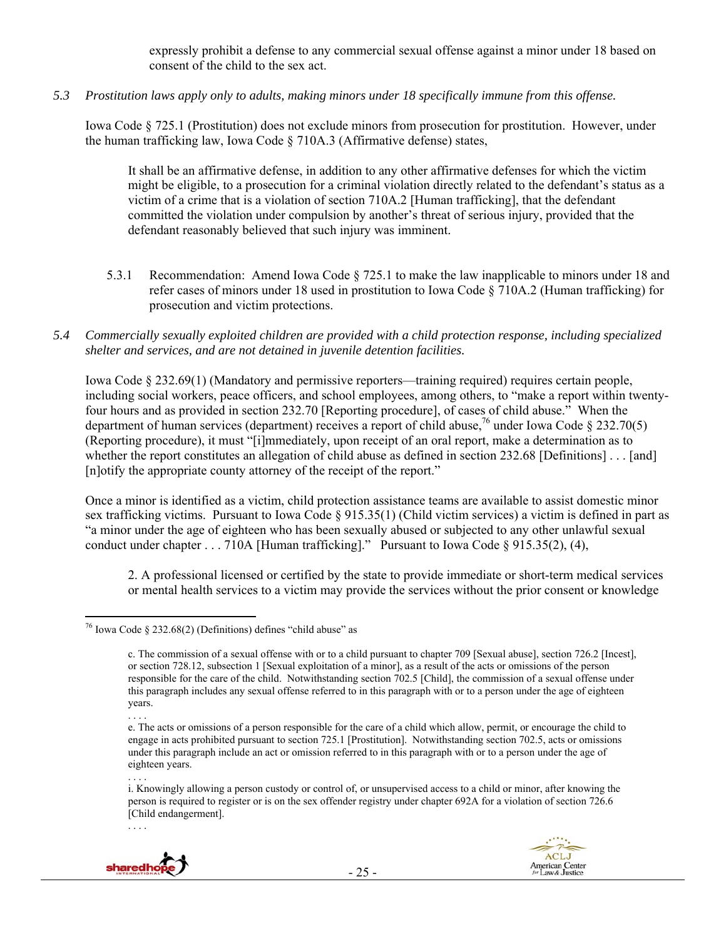expressly prohibit a defense to any commercial sexual offense against a minor under 18 based on consent of the child to the sex act.

*5.3 Prostitution laws apply only to adults, making minors under 18 specifically immune from this offense.* 

Iowa Code § 725.1 (Prostitution) does not exclude minors from prosecution for prostitution. However, under the human trafficking law, Iowa Code § 710A.3 (Affirmative defense) states,

It shall be an affirmative defense, in addition to any other affirmative defenses for which the victim might be eligible, to a prosecution for a criminal violation directly related to the defendant's status as a victim of a crime that is a violation of section 710A.2 [Human trafficking], that the defendant committed the violation under compulsion by another's threat of serious injury, provided that the defendant reasonably believed that such injury was imminent.

- 5.3.1 Recommendation: Amend Iowa Code § 725.1 to make the law inapplicable to minors under 18 and refer cases of minors under 18 used in prostitution to Iowa Code § 710A.2 (Human trafficking) for prosecution and victim protections.
- *5.4 Commercially sexually exploited children are provided with a child protection response, including specialized shelter and services, and are not detained in juvenile detention facilities.*

Iowa Code § 232.69(1) (Mandatory and permissive reporters—training required) requires certain people, including social workers, peace officers, and school employees, among others, to "make a report within twentyfour hours and as provided in section 232.70 [Reporting procedure], of cases of child abuse." When the department of human services (department) receives a report of child abuse,<sup>76</sup> under Iowa Code § 232.70(5) (Reporting procedure), it must "[i]mmediately, upon receipt of an oral report, make a determination as to whether the report constitutes an allegation of child abuse as defined in section 232.68 [Definitions] . . . [and] [n]otify the appropriate county attorney of the receipt of the report."

Once a minor is identified as a victim, child protection assistance teams are available to assist domestic minor sex trafficking victims. Pursuant to Iowa Code § 915.35(1) (Child victim services) a victim is defined in part as "a minor under the age of eighteen who has been sexually abused or subjected to any other unlawful sexual conduct under chapter . . . 710A [Human trafficking]." Pursuant to Iowa Code § 915.35(2), (4),

2. A professional licensed or certified by the state to provide immediate or short-term medical services or mental health services to a victim may provide the services without the prior consent or knowledge

<sup>. . . .</sup>  i. Knowingly allowing a person custody or control of, or unsupervised access to a child or minor, after knowing the person is required to register or is on the sex offender registry under chapter 692A for a violation of section 726.6 [Child endangerment].



. . . .



 $\overline{a}$ <sup>76</sup> Iowa Code § 232.68(2) (Definitions) defines "child abuse" as

c. The commission of a sexual offense with or to a child pursuant to chapter 709 [Sexual abuse], section 726.2 [Incest], or section 728.12, subsection 1 [Sexual exploitation of a minor], as a result of the acts or omissions of the person responsible for the care of the child. Notwithstanding section 702.5 [Child], the commission of a sexual offense under this paragraph includes any sexual offense referred to in this paragraph with or to a person under the age of eighteen years.

<sup>. . . .</sup>  e. The acts or omissions of a person responsible for the care of a child which allow, permit, or encourage the child to engage in acts prohibited pursuant to section 725.1 [Prostitution]. Notwithstanding section 702.5, acts or omissions under this paragraph include an act or omission referred to in this paragraph with or to a person under the age of eighteen years.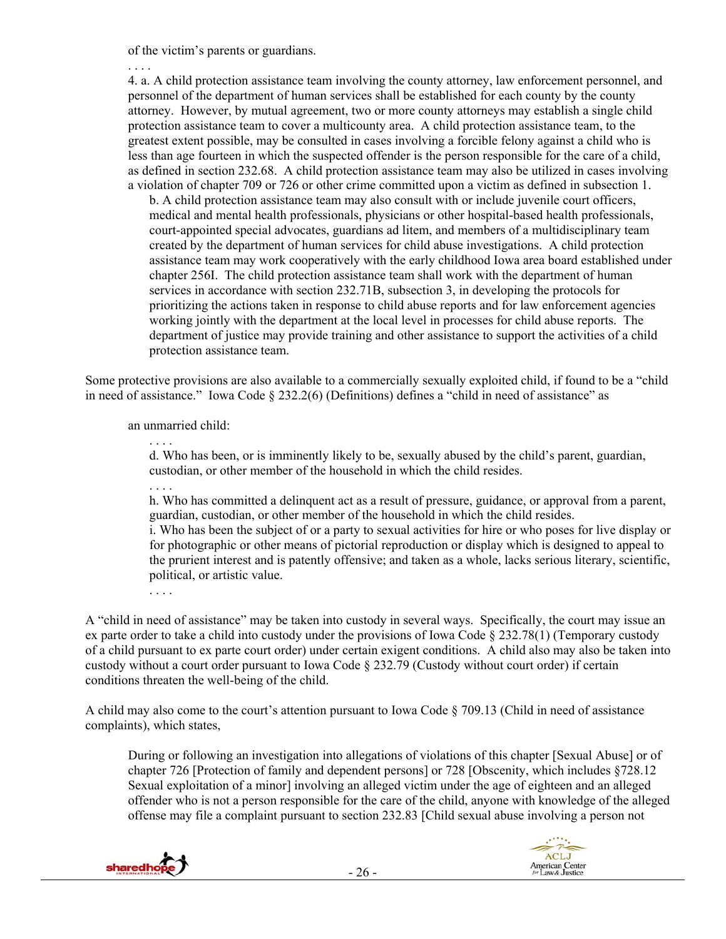of the victim's parents or guardians.

. . . .

4. a. A child protection assistance team involving the county attorney, law enforcement personnel, and personnel of the department of human services shall be established for each county by the county attorney. However, by mutual agreement, two or more county attorneys may establish a single child protection assistance team to cover a multicounty area. A child protection assistance team, to the greatest extent possible, may be consulted in cases involving a forcible felony against a child who is less than age fourteen in which the suspected offender is the person responsible for the care of a child, as defined in section 232.68. A child protection assistance team may also be utilized in cases involving a violation of chapter 709 or 726 or other crime committed upon a victim as defined in subsection 1.

b. A child protection assistance team may also consult with or include juvenile court officers, medical and mental health professionals, physicians or other hospital-based health professionals, court-appointed special advocates, guardians ad litem, and members of a multidisciplinary team created by the department of human services for child abuse investigations. A child protection assistance team may work cooperatively with the early childhood Iowa area board established under chapter 256I. The child protection assistance team shall work with the department of human services in accordance with section 232.71B, subsection 3, in developing the protocols for prioritizing the actions taken in response to child abuse reports and for law enforcement agencies working jointly with the department at the local level in processes for child abuse reports. The department of justice may provide training and other assistance to support the activities of a child protection assistance team.

Some protective provisions are also available to a commercially sexually exploited child, if found to be a "child in need of assistance." Iowa Code § 232.2(6) (Definitions) defines a "child in need of assistance" as

an unmarried child:

. . . .

. . . . d. Who has been, or is imminently likely to be, sexually abused by the child's parent, guardian, custodian, or other member of the household in which the child resides.

. . . . h. Who has committed a delinquent act as a result of pressure, guidance, or approval from a parent, guardian, custodian, or other member of the household in which the child resides. i. Who has been the subject of or a party to sexual activities for hire or who poses for live display or for photographic or other means of pictorial reproduction or display which is designed to appeal to the prurient interest and is patently offensive; and taken as a whole, lacks serious literary, scientific, political, or artistic value.

A "child in need of assistance" may be taken into custody in several ways. Specifically, the court may issue an ex parte order to take a child into custody under the provisions of Iowa Code § 232.78(1) (Temporary custody of a child pursuant to ex parte court order) under certain exigent conditions. A child also may also be taken into custody without a court order pursuant to Iowa Code § 232.79 (Custody without court order) if certain conditions threaten the well-being of the child.

A child may also come to the court's attention pursuant to Iowa Code § 709.13 (Child in need of assistance complaints), which states,

During or following an investigation into allegations of violations of this chapter [Sexual Abuse] or of chapter 726 [Protection of family and dependent persons] or 728 [Obscenity, which includes §728.12 Sexual exploitation of a minor] involving an alleged victim under the age of eighteen and an alleged offender who is not a person responsible for the care of the child, anyone with knowledge of the alleged offense may file a complaint pursuant to section 232.83 [Child sexual abuse involving a person not



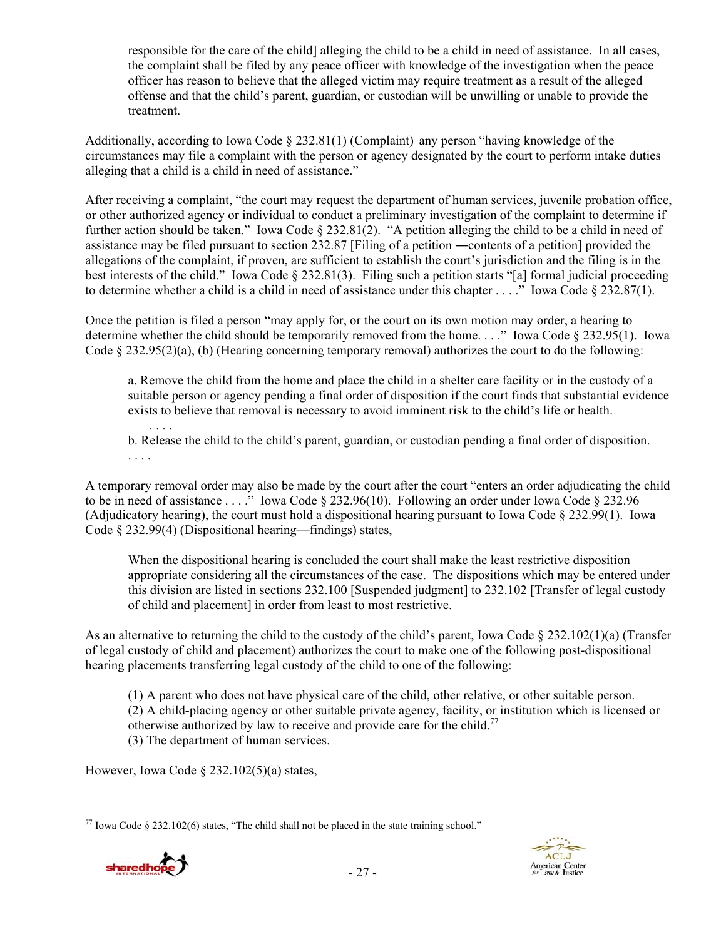responsible for the care of the child] alleging the child to be a child in need of assistance. In all cases, the complaint shall be filed by any peace officer with knowledge of the investigation when the peace officer has reason to believe that the alleged victim may require treatment as a result of the alleged offense and that the child's parent, guardian, or custodian will be unwilling or unable to provide the treatment.

Additionally, according to Iowa Code  $\S 232.81(1)$  (Complaint) any person "having knowledge of the circumstances may file a complaint with the person or agency designated by the court to perform intake duties alleging that a child is a child in need of assistance."

After receiving a complaint, "the court may request the department of human services, juvenile probation office, or other authorized agency or individual to conduct a preliminary investigation of the complaint to determine if further action should be taken." Iowa Code § 232.81(2). "A petition alleging the child to be a child in need of assistance may be filed pursuant to section 232.87 [Filing of a petition ―contents of a petition] provided the allegations of the complaint, if proven, are sufficient to establish the court's jurisdiction and the filing is in the best interests of the child." Iowa Code § 232.81(3). Filing such a petition starts "[a] formal judicial proceeding to determine whether a child is a child in need of assistance under this chapter . . . ." Iowa Code § 232.87(1).

Once the petition is filed a person "may apply for, or the court on its own motion may order, a hearing to determine whether the child should be temporarily removed from the home. . . ." Iowa Code § 232.95(1). Iowa Code § 232.95(2)(a), (b) (Hearing concerning temporary removal) authorizes the court to do the following:

a. Remove the child from the home and place the child in a shelter care facility or in the custody of a suitable person or agency pending a final order of disposition if the court finds that substantial evidence exists to believe that removal is necessary to avoid imminent risk to the child's life or health.

. . . . b. Release the child to the child's parent, guardian, or custodian pending a final order of disposition. . . . .

A temporary removal order may also be made by the court after the court "enters an order adjudicating the child to be in need of assistance . . . ." Iowa Code § 232.96(10). Following an order under Iowa Code § 232.96 (Adjudicatory hearing), the court must hold a dispositional hearing pursuant to Iowa Code § 232.99(1). Iowa Code § 232.99(4) (Dispositional hearing—findings) states,

When the dispositional hearing is concluded the court shall make the least restrictive disposition appropriate considering all the circumstances of the case. The dispositions which may be entered under this division are listed in sections 232.100 [Suspended judgment] to 232.102 [Transfer of legal custody of child and placement] in order from least to most restrictive.

As an alternative to returning the child to the custody of the child's parent, Iowa Code  $\S 232.102(1)(a)$  (Transfer of legal custody of child and placement) authorizes the court to make one of the following post-dispositional hearing placements transferring legal custody of the child to one of the following:

(1) A parent who does not have physical care of the child, other relative, or other suitable person. (2) A child-placing agency or other suitable private agency, facility, or institution which is licensed or otherwise authorized by law to receive and provide care for the child.<sup>77</sup> (3) The department of human services.

However, Iowa Code  $\S$  232.102(5)(a) states,

 $\overline{a}$  $^{77}$  Iowa Code § 232.102(6) states, "The child shall not be placed in the state training school."



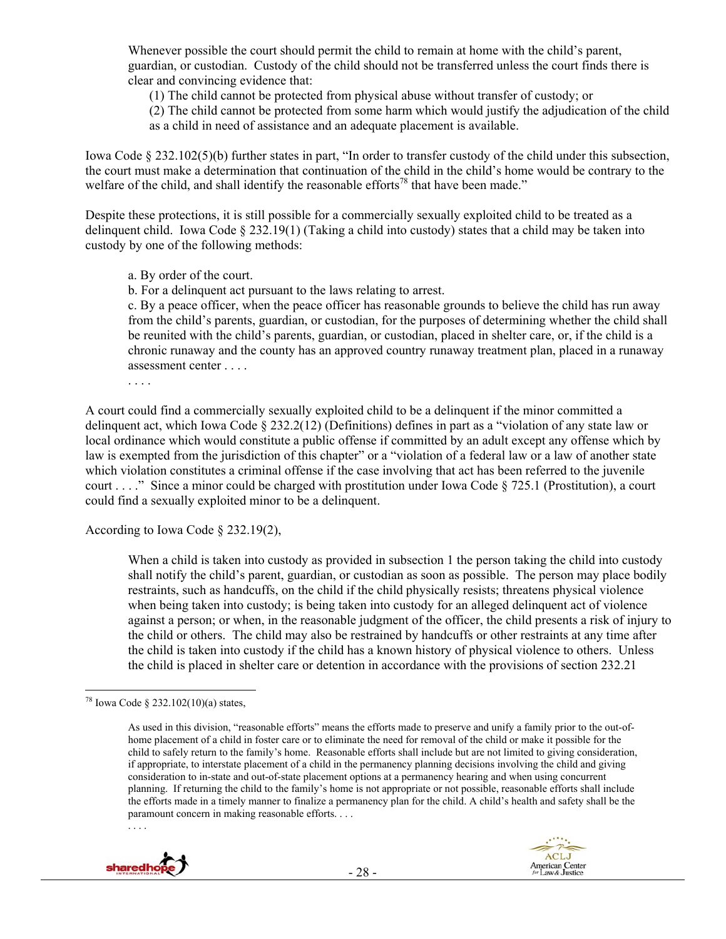Whenever possible the court should permit the child to remain at home with the child's parent, guardian, or custodian. Custody of the child should not be transferred unless the court finds there is clear and convincing evidence that:

(1) The child cannot be protected from physical abuse without transfer of custody; or

(2) The child cannot be protected from some harm which would justify the adjudication of the child as a child in need of assistance and an adequate placement is available.

Iowa Code § 232.102(5)(b) further states in part, "In order to transfer custody of the child under this subsection, the court must make a determination that continuation of the child in the child's home would be contrary to the welfare of the child, and shall identify the reasonable efforts<sup>78</sup> that have been made."

Despite these protections, it is still possible for a commercially sexually exploited child to be treated as a delinquent child. Iowa Code § 232.19(1) (Taking a child into custody) states that a child may be taken into custody by one of the following methods:

a. By order of the court.

b. For a delinquent act pursuant to the laws relating to arrest.

c. By a peace officer, when the peace officer has reasonable grounds to believe the child has run away from the child's parents, guardian, or custodian, for the purposes of determining whether the child shall be reunited with the child's parents, guardian, or custodian, placed in shelter care, or, if the child is a chronic runaway and the county has an approved country runaway treatment plan, placed in a runaway assessment center . . . .

. . . .

A court could find a commercially sexually exploited child to be a delinquent if the minor committed a delinquent act, which Iowa Code § 232.2(12) (Definitions) defines in part as a "violation of any state law or local ordinance which would constitute a public offense if committed by an adult except any offense which by law is exempted from the jurisdiction of this chapter" or a "violation of a federal law or a law of another state which violation constitutes a criminal offense if the case involving that act has been referred to the juvenile court . . . ." Since a minor could be charged with prostitution under Iowa Code § 725.1 (Prostitution), a court could find a sexually exploited minor to be a delinquent.

According to Iowa Code § 232.19(2),

When a child is taken into custody as provided in subsection 1 the person taking the child into custody shall notify the child's parent, guardian, or custodian as soon as possible. The person may place bodily restraints, such as handcuffs, on the child if the child physically resists; threatens physical violence when being taken into custody; is being taken into custody for an alleged delinquent act of violence against a person; or when, in the reasonable judgment of the officer, the child presents a risk of injury to the child or others. The child may also be restrained by handcuffs or other restraints at any time after the child is taken into custody if the child has a known history of physical violence to others. Unless the child is placed in shelter care or detention in accordance with the provisions of section 232.21

 $\overline{a}$ 

As used in this division, "reasonable efforts" means the efforts made to preserve and unify a family prior to the out-ofhome placement of a child in foster care or to eliminate the need for removal of the child or make it possible for the child to safely return to the family's home. Reasonable efforts shall include but are not limited to giving consideration, if appropriate, to interstate placement of a child in the permanency planning decisions involving the child and giving consideration to in-state and out-of-state placement options at a permanency hearing and when using concurrent planning. If returning the child to the family's home is not appropriate or not possible, reasonable efforts shall include the efforts made in a timely manner to finalize a permanency plan for the child. A child's health and safety shall be the paramount concern in making reasonable efforts. . . .



sharedho





<sup>&</sup>lt;sup>78</sup> Iowa Code § 232.102(10)(a) states,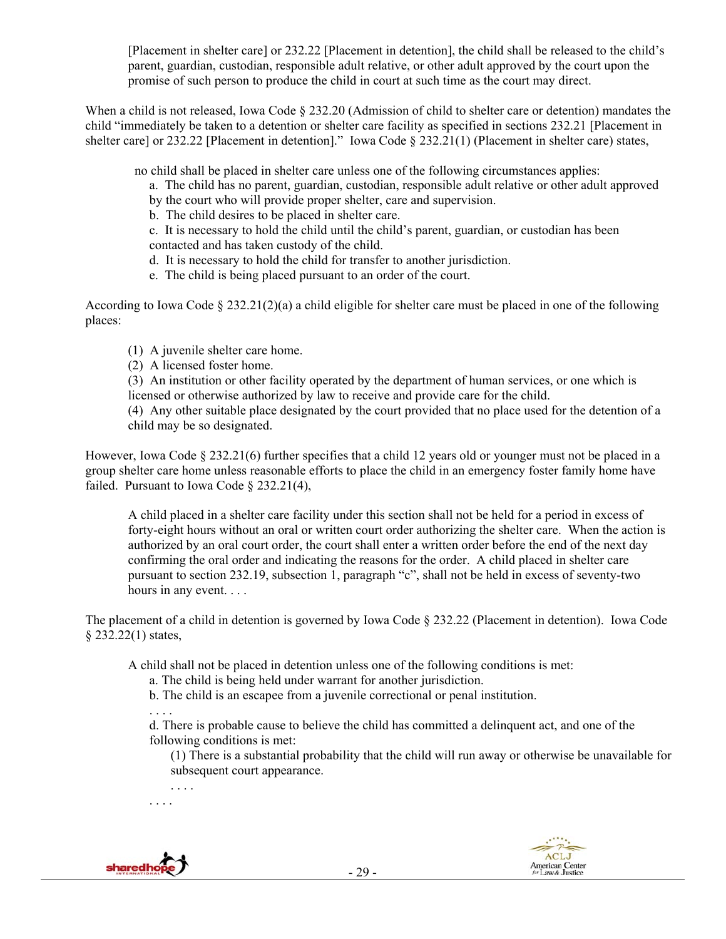[Placement in shelter care] or 232.22 [Placement in detention], the child shall be released to the child's parent, guardian, custodian, responsible adult relative, or other adult approved by the court upon the promise of such person to produce the child in court at such time as the court may direct.

When a child is not released, Iowa Code § 232.20 (Admission of child to shelter care or detention) mandates the child "immediately be taken to a detention or shelter care facility as specified in sections 232.21 [Placement in shelter care] or 232.22 [Placement in detention]." Iowa Code § 232.21(1) (Placement in shelter care) states,

no child shall be placed in shelter care unless one of the following circumstances applies:

- a. The child has no parent, guardian, custodian, responsible adult relative or other adult approved by the court who will provide proper shelter, care and supervision.
- b. The child desires to be placed in shelter care.

c. It is necessary to hold the child until the child's parent, guardian, or custodian has been contacted and has taken custody of the child.

- d. It is necessary to hold the child for transfer to another jurisdiction.
- e. The child is being placed pursuant to an order of the court.

According to Iowa Code § 232.21(2)(a) a child eligible for shelter care must be placed in one of the following places:

- (1) A juvenile shelter care home.
- (2) A licensed foster home.

(3) An institution or other facility operated by the department of human services, or one which is licensed or otherwise authorized by law to receive and provide care for the child.

(4) Any other suitable place designated by the court provided that no place used for the detention of a child may be so designated.

However, Iowa Code § 232.21(6) further specifies that a child 12 years old or younger must not be placed in a group shelter care home unless reasonable efforts to place the child in an emergency foster family home have failed. Pursuant to Iowa Code § 232.21(4),

A child placed in a shelter care facility under this section shall not be held for a period in excess of forty-eight hours without an oral or written court order authorizing the shelter care. When the action is authorized by an oral court order, the court shall enter a written order before the end of the next day confirming the oral order and indicating the reasons for the order. A child placed in shelter care pursuant to section 232.19, subsection 1, paragraph "c", shall not be held in excess of seventy-two hours in any event...

The placement of a child in detention is governed by Iowa Code § 232.22 (Placement in detention). Iowa Code § 232.22(1) states,

A child shall not be placed in detention unless one of the following conditions is met:

- a. The child is being held under warrant for another jurisdiction.
- b. The child is an escapee from a juvenile correctional or penal institution.

. . . . d. There is probable cause to believe the child has committed a delinquent act, and one of the following conditions is met:

(1) There is a substantial probability that the child will run away or otherwise be unavailable for subsequent court appearance.

. . . . . . . .



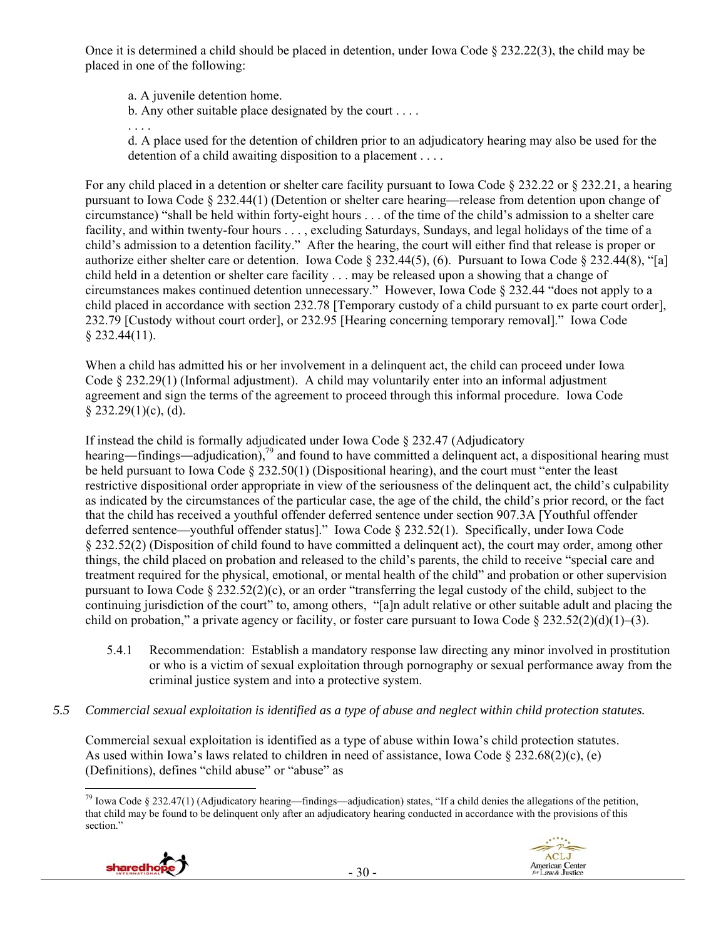Once it is determined a child should be placed in detention, under Iowa Code § 232.22(3), the child may be placed in one of the following:

a. A juvenile detention home.

b. Any other suitable place designated by the court . . . .

. . . .

d. A place used for the detention of children prior to an adjudicatory hearing may also be used for the detention of a child awaiting disposition to a placement . . . .

For any child placed in a detention or shelter care facility pursuant to Iowa Code § 232.22 or § 232.21, a hearing pursuant to Iowa Code § 232.44(1) (Detention or shelter care hearing—release from detention upon change of circumstance) "shall be held within forty-eight hours . . . of the time of the child's admission to a shelter care facility, and within twenty-four hours . . . , excluding Saturdays, Sundays, and legal holidays of the time of a child's admission to a detention facility." After the hearing, the court will either find that release is proper or authorize either shelter care or detention. Iowa Code § 232.44(5), (6). Pursuant to Iowa Code § 232.44(8), "[a] child held in a detention or shelter care facility . . . may be released upon a showing that a change of circumstances makes continued detention unnecessary." However, Iowa Code § 232.44 "does not apply to a child placed in accordance with section 232.78 [Temporary custody of a child pursuant to ex parte court order], 232.79 [Custody without court order], or 232.95 [Hearing concerning temporary removal]." Iowa Code § 232.44(11).

When a child has admitted his or her involvement in a delinquent act, the child can proceed under Iowa Code § 232.29(1) (Informal adjustment). A child may voluntarily enter into an informal adjustment agreement and sign the terms of the agreement to proceed through this informal procedure. Iowa Code  $§$  232.29(1)(c), (d).

If instead the child is formally adjudicated under Iowa Code § 232.47 (Adjudicatory hearing—findings—adjudication),<sup>79</sup> and found to have committed a delinquent act, a dispositional hearing must be held pursuant to Iowa Code § 232.50(1) (Dispositional hearing), and the court must "enter the least restrictive dispositional order appropriate in view of the seriousness of the delinquent act, the child's culpability as indicated by the circumstances of the particular case, the age of the child, the child's prior record, or the fact that the child has received a youthful offender deferred sentence under section 907.3A [Youthful offender deferred sentence—youthful offender status]." Iowa Code § 232.52(1). Specifically, under Iowa Code § 232.52(2) (Disposition of child found to have committed a delinquent act), the court may order, among other things, the child placed on probation and released to the child's parents, the child to receive "special care and treatment required for the physical, emotional, or mental health of the child" and probation or other supervision pursuant to Iowa Code  $\S 232.52(2)(c)$ , or an order "transferring the legal custody of the child, subject to the continuing jurisdiction of the court" to, among others, "[a]n adult relative or other suitable adult and placing the child on probation," a private agency or facility, or foster care pursuant to Iowa Code  $\S 232.52(2)(d)(1)–(3)$ .

- 5.4.1 Recommendation: Establish a mandatory response law directing any minor involved in prostitution or who is a victim of sexual exploitation through pornography or sexual performance away from the criminal justice system and into a protective system.
- *5.5 Commercial sexual exploitation is identified as a type of abuse and neglect within child protection statutes.*

Commercial sexual exploitation is identified as a type of abuse within Iowa's child protection statutes. As used within Iowa's laws related to children in need of assistance, Iowa Code  $\S 232.68(2)(c)$ , (e) (Definitions), defines "child abuse" or "abuse" as

 $\overline{a}$ <sup>79</sup> Iowa Code § 232.47(1) (Adjudicatory hearing—findings—adjudication) states, "If a child denies the allegations of the petition, that child may be found to be delinquent only after an adjudicatory hearing conducted in accordance with the provisions of this section."

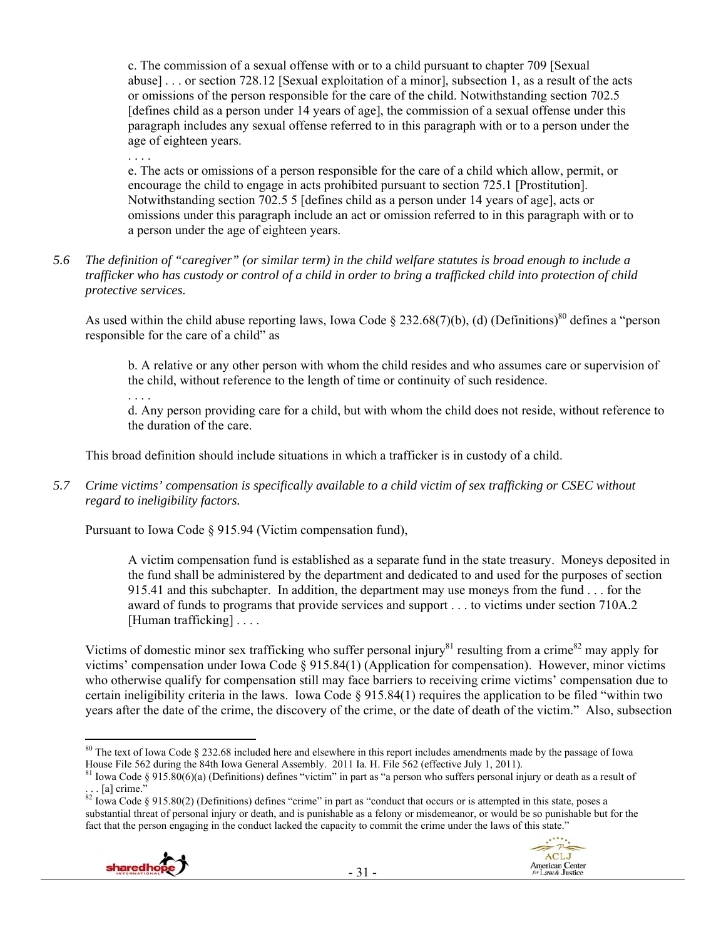c. The commission of a sexual offense with or to a child pursuant to chapter 709 [Sexual abuse] . . . or section 728.12 [Sexual exploitation of a minor], subsection 1, as a result of the acts or omissions of the person responsible for the care of the child. Notwithstanding section 702.5 [defines child as a person under 14 years of age], the commission of a sexual offense under this paragraph includes any sexual offense referred to in this paragraph with or to a person under the age of eighteen years.

. . . .

e. The acts or omissions of a person responsible for the care of a child which allow, permit, or encourage the child to engage in acts prohibited pursuant to section 725.1 [Prostitution]. Notwithstanding section 702.5 5 [defines child as a person under 14 years of age], acts or omissions under this paragraph include an act or omission referred to in this paragraph with or to a person under the age of eighteen years.

*5.6 The definition of "caregiver" (or similar term) in the child welfare statutes is broad enough to include a trafficker who has custody or control of a child in order to bring a trafficked child into protection of child protective services.* 

As used within the child abuse reporting laws, Iowa Code § 232.68(7)(b), (d) (Definitions)<sup>80</sup> defines a "person responsible for the care of a child" as

b. A relative or any other person with whom the child resides and who assumes care or supervision of the child, without reference to the length of time or continuity of such residence.

. . . .

d. Any person providing care for a child, but with whom the child does not reside, without reference to the duration of the care.

This broad definition should include situations in which a trafficker is in custody of a child.

*5.7 Crime victims' compensation is specifically available to a child victim of sex trafficking or CSEC without regard to ineligibility factors.* 

Pursuant to Iowa Code § 915.94 (Victim compensation fund),

A victim compensation fund is established as a separate fund in the state treasury. Moneys deposited in the fund shall be administered by the department and dedicated to and used for the purposes of section 915.41 and this subchapter. In addition, the department may use moneys from the fund . . . for the award of funds to programs that provide services and support . . . to victims under section 710A.2 [Human trafficking] . . . .

Victims of domestic minor sex trafficking who suffer personal injury<sup>81</sup> resulting from a crime<sup>82</sup> may apply for victims' compensation under Iowa Code § 915.84(1) (Application for compensation). However, minor victims who otherwise qualify for compensation still may face barriers to receiving crime victims' compensation due to certain ineligibility criteria in the laws. Iowa Code § 915.84(1) requires the application to be filed "within two years after the date of the crime, the discovery of the crime, or the date of death of the victim." Also, subsection

 $82$  Iowa Code § 915.80(2) (Definitions) defines "crime" in part as "conduct that occurs or is attempted in this state, poses a substantial threat of personal injury or death, and is punishable as a felony or misdemeanor, or would be so punishable but for the fact that the person engaging in the conduct lacked the capacity to commit the crime under the laws of this state."



 $\overline{a}$  $80$  The text of Iowa Code § 232.68 included here and elsewhere in this report includes amendments made by the passage of Iowa House File 562 during the 84th Iowa General Assembly. 2011 Ia. H. File 562 (effective July 1, 2011).<br><sup>81</sup> Iowa Code § 915.80(6)(a) (Definitions) defines "victim" in part as "a person who suffers personal injury or death a

 $\lceil a \rceil$  crime."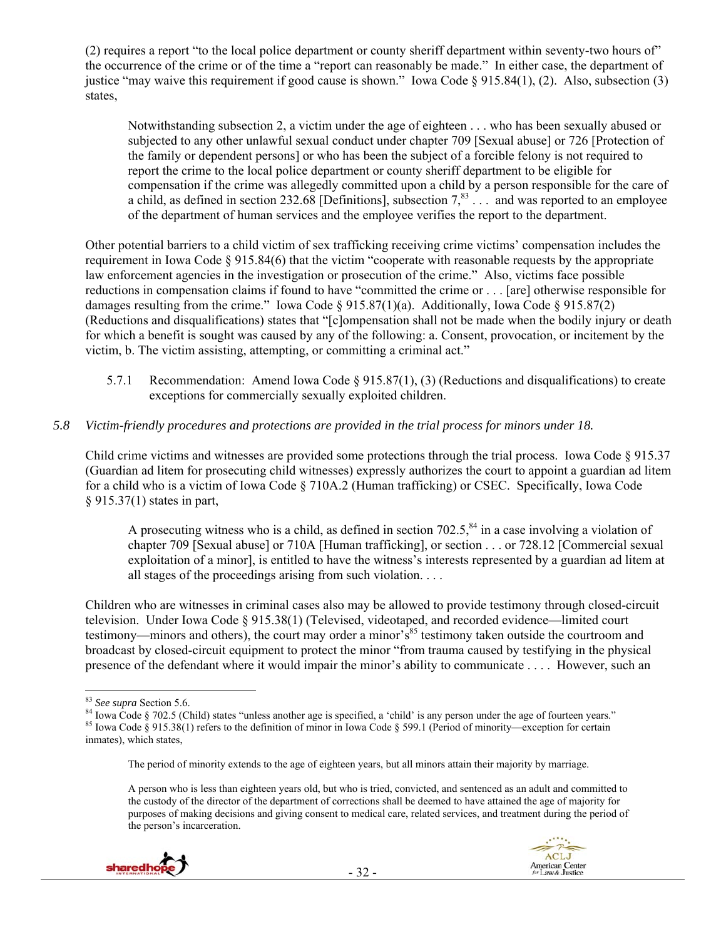(2) requires a report "to the local police department or county sheriff department within seventy-two hours of" the occurrence of the crime or of the time a "report can reasonably be made." In either case, the department of justice "may waive this requirement if good cause is shown." Iowa Code § 915.84(1), (2). Also, subsection (3) states,

Notwithstanding subsection 2, a victim under the age of eighteen . . . who has been sexually abused or subjected to any other unlawful sexual conduct under chapter 709 [Sexual abuse] or 726 [Protection of the family or dependent persons] or who has been the subject of a forcible felony is not required to report the crime to the local police department or county sheriff department to be eligible for compensation if the crime was allegedly committed upon a child by a person responsible for the care of a child, as defined in section 232.68 [Definitions], subsection  $7<sup>83</sup>$ ... and was reported to an employee of the department of human services and the employee verifies the report to the department.

Other potential barriers to a child victim of sex trafficking receiving crime victims' compensation includes the requirement in Iowa Code § 915.84(6) that the victim "cooperate with reasonable requests by the appropriate law enforcement agencies in the investigation or prosecution of the crime." Also, victims face possible reductions in compensation claims if found to have "committed the crime or . . . [are] otherwise responsible for damages resulting from the crime." Iowa Code § 915.87(1)(a). Additionally, Iowa Code § 915.87(2) (Reductions and disqualifications) states that "[c]ompensation shall not be made when the bodily injury or death for which a benefit is sought was caused by any of the following: a. Consent, provocation, or incitement by the victim, b. The victim assisting, attempting, or committing a criminal act."

- 5.7.1 Recommendation: Amend Iowa Code § 915.87(1), (3) (Reductions and disqualifications) to create exceptions for commercially sexually exploited children.
- *5.8 Victim-friendly procedures and protections are provided in the trial process for minors under 18.*

Child crime victims and witnesses are provided some protections through the trial process. Iowa Code § 915.37 (Guardian ad litem for prosecuting child witnesses) expressly authorizes the court to appoint a guardian ad litem for a child who is a victim of Iowa Code § 710A.2 (Human trafficking) or CSEC. Specifically, Iowa Code § 915.37(1) states in part,

A prosecuting witness who is a child, as defined in section  $702.5$ ,  $84$  in a case involving a violation of chapter 709 [Sexual abuse] or 710A [Human trafficking], or section . . . or 728.12 [Commercial sexual exploitation of a minor], is entitled to have the witness's interests represented by a guardian ad litem at all stages of the proceedings arising from such violation. . . .

Children who are witnesses in criminal cases also may be allowed to provide testimony through closed-circuit television. Under Iowa Code § 915.38(1) (Televised, videotaped, and recorded evidence—limited court testimony—minors and others), the court may order a minor's<sup>85</sup> testimony taken outside the courtroom and broadcast by closed-circuit equipment to protect the minor "from trauma caused by testifying in the physical presence of the defendant where it would impair the minor's ability to communicate . . . . However, such an

The period of minority extends to the age of eighteen years, but all minors attain their majority by marriage.

A person who is less than eighteen years old, but who is tried, convicted, and sentenced as an adult and committed to the custody of the director of the department of corrections shall be deemed to have attained the age of majority for purposes of making decisions and giving consent to medical care, related services, and treatment during the period of the person's incarceration.



<sup>&</sup>lt;sup>83</sup> See supra Section 5.6.

<sup>&</sup>lt;sup>84</sup> Iowa Code § 702.5 (Child) states "unless another age is specified, a 'child' is any person under the age of fourteen years."<br><sup>85</sup> Iowa Code § 915.38(1) refers to the definition of minor in Iowa Code § 599.1 (Period o inmates), which states,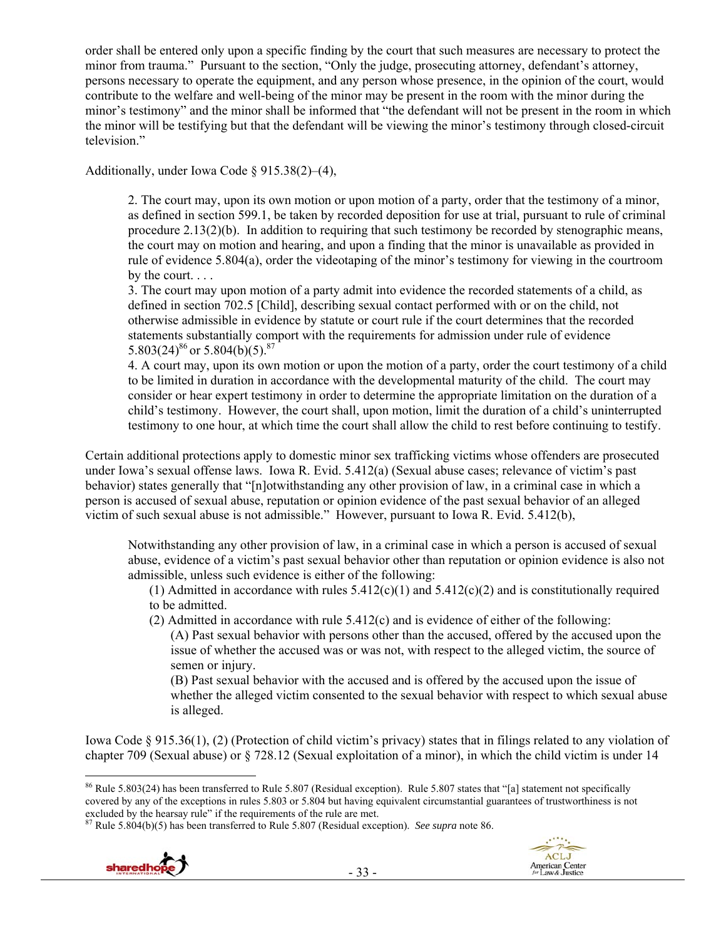order shall be entered only upon a specific finding by the court that such measures are necessary to protect the minor from trauma." Pursuant to the section, "Only the judge, prosecuting attorney, defendant's attorney, persons necessary to operate the equipment, and any person whose presence, in the opinion of the court, would contribute to the welfare and well-being of the minor may be present in the room with the minor during the minor's testimony" and the minor shall be informed that "the defendant will not be present in the room in which the minor will be testifying but that the defendant will be viewing the minor's testimony through closed-circuit television."

Additionally, under Iowa Code § 915.38(2)–(4),

2. The court may, upon its own motion or upon motion of a party, order that the testimony of a minor, as defined in section 599.1, be taken by recorded deposition for use at trial, pursuant to rule of criminal procedure 2.13(2)(b). In addition to requiring that such testimony be recorded by stenographic means, the court may on motion and hearing, and upon a finding that the minor is unavailable as provided in rule of evidence 5.804(a), order the videotaping of the minor's testimony for viewing in the courtroom by the court. . . .

3. The court may upon motion of a party admit into evidence the recorded statements of a child, as defined in section 702.5 [Child], describing sexual contact performed with or on the child, not otherwise admissible in evidence by statute or court rule if the court determines that the recorded statements substantially comport with the requirements for admission under rule of evidence 5.803(24)<sup>86</sup> or 5.804(b)(5).<sup>87</sup>

4. A court may, upon its own motion or upon the motion of a party, order the court testimony of a child to be limited in duration in accordance with the developmental maturity of the child. The court may consider or hear expert testimony in order to determine the appropriate limitation on the duration of a child's testimony. However, the court shall, upon motion, limit the duration of a child's uninterrupted testimony to one hour, at which time the court shall allow the child to rest before continuing to testify.

Certain additional protections apply to domestic minor sex trafficking victims whose offenders are prosecuted under Iowa's sexual offense laws. Iowa R. Evid. 5.412(a) (Sexual abuse cases; relevance of victim's past behavior) states generally that "[n]otwithstanding any other provision of law, in a criminal case in which a person is accused of sexual abuse, reputation or opinion evidence of the past sexual behavior of an alleged victim of such sexual abuse is not admissible." However, pursuant to Iowa R. Evid. 5.412(b),

Notwithstanding any other provision of law, in a criminal case in which a person is accused of sexual abuse, evidence of a victim's past sexual behavior other than reputation or opinion evidence is also not admissible, unless such evidence is either of the following:

(1) Admitted in accordance with rules  $5.412(c)(1)$  and  $5.412(c)(2)$  and is constitutionally required to be admitted.

- (2) Admitted in accordance with rule 5.412(c) and is evidence of either of the following:
	- (A) Past sexual behavior with persons other than the accused, offered by the accused upon the issue of whether the accused was or was not, with respect to the alleged victim, the source of semen or injury.

(B) Past sexual behavior with the accused and is offered by the accused upon the issue of whether the alleged victim consented to the sexual behavior with respect to which sexual abuse is alleged.

Iowa Code § 915.36(1), (2) (Protection of child victim's privacy) states that in filings related to any violation of chapter 709 (Sexual abuse) or § 728.12 (Sexual exploitation of a minor), in which the child victim is under 14



<sup>86</sup> Rule 5.803(24) has been transferred to Rule 5.807 (Residual exception). Rule 5.807 states that "[a] statement not specifically covered by any of the exceptions in rules 5.803 or 5.804 but having equivalent circumstantial guarantees of trustworthiness is not excluded by the hearsay rule" if the requirements of the rule are met.<br><sup>87</sup> Rule 5.804(b)(5) has been transferred to Rule 5.807 (Residual exception). *See supra* note 86.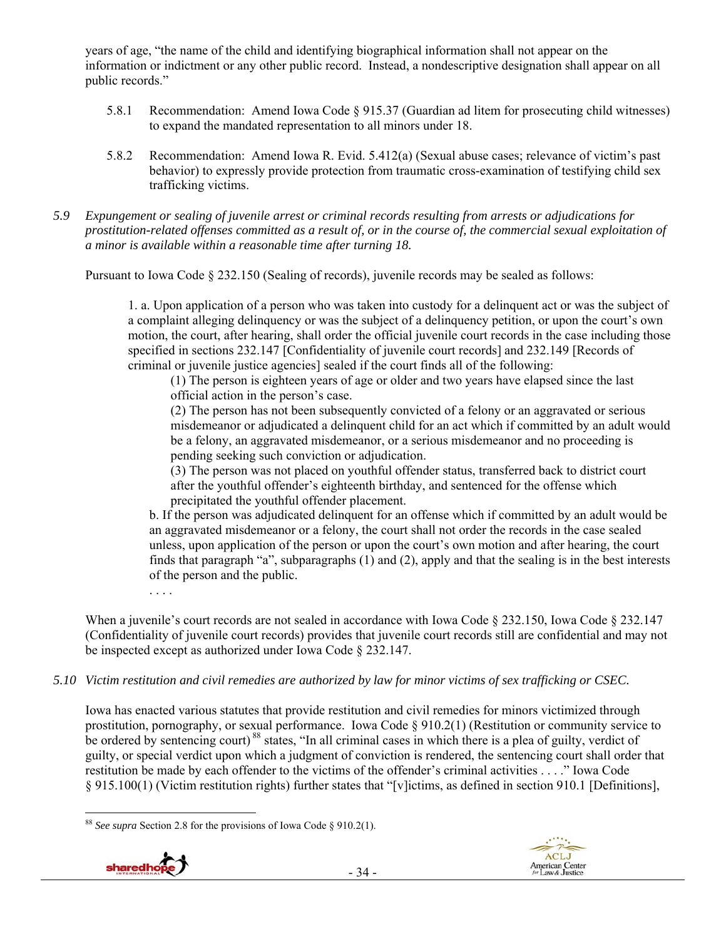years of age, "the name of the child and identifying biographical information shall not appear on the information or indictment or any other public record. Instead, a nondescriptive designation shall appear on all public records."

- 5.8.1 Recommendation: Amend Iowa Code § 915.37 (Guardian ad litem for prosecuting child witnesses) to expand the mandated representation to all minors under 18.
- 5.8.2 Recommendation: Amend Iowa R. Evid. 5.412(a) (Sexual abuse cases; relevance of victim's past behavior) to expressly provide protection from traumatic cross-examination of testifying child sex trafficking victims.
- *5.9 Expungement or sealing of juvenile arrest or criminal records resulting from arrests or adjudications for prostitution-related offenses committed as a result of, or in the course of, the commercial sexual exploitation of a minor is available within a reasonable time after turning 18.*

Pursuant to Iowa Code § 232.150 (Sealing of records), juvenile records may be sealed as follows:

1. a. Upon application of a person who was taken into custody for a delinquent act or was the subject of a complaint alleging delinquency or was the subject of a delinquency petition, or upon the court's own motion, the court, after hearing, shall order the official juvenile court records in the case including those specified in sections 232.147 [Confidentiality of juvenile court records] and 232.149 [Records of criminal or juvenile justice agencies] sealed if the court finds all of the following:

(1) The person is eighteen years of age or older and two years have elapsed since the last official action in the person's case.

(2) The person has not been subsequently convicted of a felony or an aggravated or serious misdemeanor or adjudicated a delinquent child for an act which if committed by an adult would be a felony, an aggravated misdemeanor, or a serious misdemeanor and no proceeding is pending seeking such conviction or adjudication.

(3) The person was not placed on youthful offender status, transferred back to district court after the youthful offender's eighteenth birthday, and sentenced for the offense which precipitated the youthful offender placement.

b. If the person was adjudicated delinquent for an offense which if committed by an adult would be an aggravated misdemeanor or a felony, the court shall not order the records in the case sealed unless, upon application of the person or upon the court's own motion and after hearing, the court finds that paragraph "a", subparagraphs (1) and (2), apply and that the sealing is in the best interests of the person and the public.

. . . .

When a juvenile's court records are not sealed in accordance with Iowa Code § 232.150, Iowa Code § 232.147 (Confidentiality of juvenile court records) provides that juvenile court records still are confidential and may not be inspected except as authorized under Iowa Code § 232.147.

*5.10 Victim restitution and civil remedies are authorized by law for minor victims of sex trafficking or CSEC.* 

Iowa has enacted various statutes that provide restitution and civil remedies for minors victimized through prostitution, pornography, or sexual performance. Iowa Code § 910.2(1) (Restitution or community service to be ordered by sentencing court)<sup>88</sup> states, "In all criminal cases in which there is a plea of guilty, verdict of guilty, or special verdict upon which a judgment of conviction is rendered, the sentencing court shall order that restitution be made by each offender to the victims of the offender's criminal activities . . . ." Iowa Code § 915.100(1) (Victim restitution rights) further states that "[v]ictims, as defined in section 910.1 [Definitions],

 $\overline{a}$ <sup>88</sup> *See supra* Section 2.8 for the provisions of Iowa Code § 910.2(1).



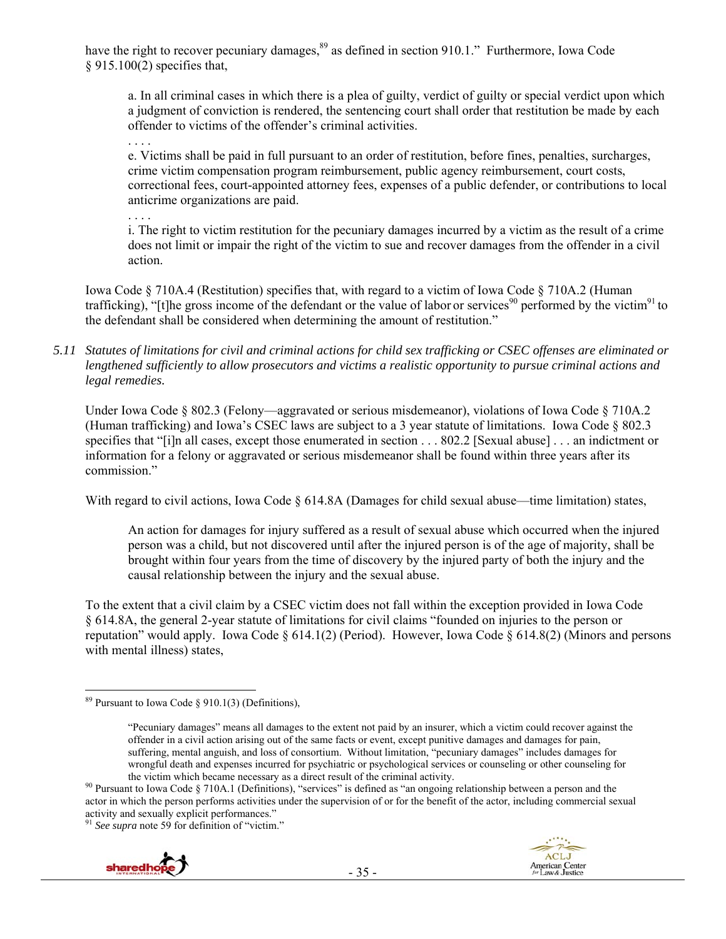have the right to recover pecuniary damages,<sup>89</sup> as defined in section 910.1." Furthermore, Iowa Code § 915.100(2) specifies that,

a. In all criminal cases in which there is a plea of guilty, verdict of guilty or special verdict upon which a judgment of conviction is rendered, the sentencing court shall order that restitution be made by each offender to victims of the offender's criminal activities.

e. Victims shall be paid in full pursuant to an order of restitution, before fines, penalties, surcharges, crime victim compensation program reimbursement, public agency reimbursement, court costs, correctional fees, court-appointed attorney fees, expenses of a public defender, or contributions to local anticrime organizations are paid.

. . . .

. . . .

i. The right to victim restitution for the pecuniary damages incurred by a victim as the result of a crime does not limit or impair the right of the victim to sue and recover damages from the offender in a civil action.

Iowa Code § 710A.4 (Restitution) specifies that, with regard to a victim of Iowa Code § 710A.2 (Human trafficking), "[t]he gross income of the defendant or the value of labor or services<sup>90</sup> performed by the victim<sup>91</sup> to the defendant shall be considered when determining the amount of restitution."

*5.11 Statutes of limitations for civil and criminal actions for child sex trafficking or CSEC offenses are eliminated or lengthened sufficiently to allow prosecutors and victims a realistic opportunity to pursue criminal actions and legal remedies.* 

Under Iowa Code § 802.3 (Felony—aggravated or serious misdemeanor), violations of Iowa Code § 710A.2 (Human trafficking) and Iowa's CSEC laws are subject to a 3 year statute of limitations. Iowa Code § 802.3 specifies that "[i]n all cases, except those enumerated in section . . . 802.2 [Sexual abuse] . . . an indictment or information for a felony or aggravated or serious misdemeanor shall be found within three years after its commission."

With regard to civil actions, Iowa Code § 614.8A (Damages for child sexual abuse—time limitation) states,

An action for damages for injury suffered as a result of sexual abuse which occurred when the injured person was a child, but not discovered until after the injured person is of the age of majority, shall be brought within four years from the time of discovery by the injured party of both the injury and the causal relationship between the injury and the sexual abuse.

To the extent that a civil claim by a CSEC victim does not fall within the exception provided in Iowa Code § 614.8A, the general 2-year statute of limitations for civil claims "founded on injuries to the person or reputation" would apply. Iowa Code § 614.1(2) (Period). However, Iowa Code § 614.8(2) (Minors and persons with mental illness) states,

<sup>91</sup> *See supra* note 59 for definition of "victim."





 $\overline{a}$ <sup>89</sup> Pursuant to Iowa Code § 910.1(3) (Definitions),

<sup>&</sup>quot;Pecuniary damages" means all damages to the extent not paid by an insurer, which a victim could recover against the offender in a civil action arising out of the same facts or event, except punitive damages and damages for pain, suffering, mental anguish, and loss of consortium. Without limitation, "pecuniary damages" includes damages for wrongful death and expenses incurred for psychiatric or psychological services or counseling or other counseling for

the victim which became necessary as a direct result of the criminal activity.<br><sup>90</sup> Pursuant to Iowa Code § 710A.1 (Definitions), "services" is defined as "an ongoing relationship between a person and the actor in which the person performs activities under the supervision of or for the benefit of the actor, including commercial sexual activity and sexually explicit performances."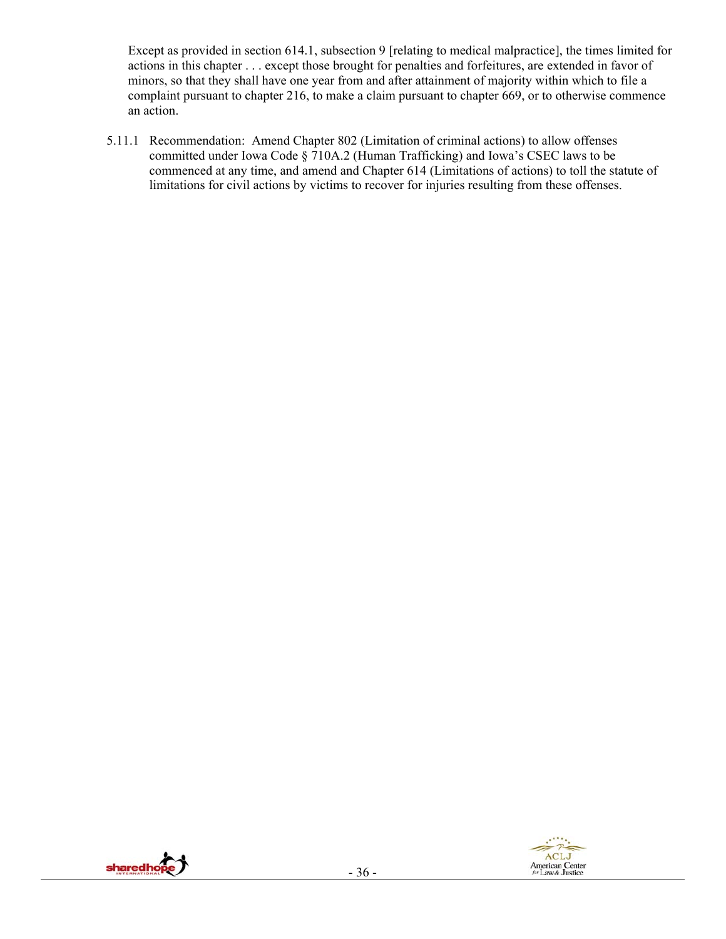Except as provided in section 614.1, subsection 9 [relating to medical malpractice], the times limited for actions in this chapter . . . except those brought for penalties and forfeitures, are extended in favor of minors, so that they shall have one year from and after attainment of majority within which to file a complaint pursuant to chapter 216, to make a claim pursuant to chapter 669, or to otherwise commence an action.

5.11.1 Recommendation: Amend Chapter 802 (Limitation of criminal actions) to allow offenses committed under Iowa Code § 710A.2 (Human Trafficking) and Iowa's CSEC laws to be commenced at any time, and amend and Chapter 614 (Limitations of actions) to toll the statute of limitations for civil actions by victims to recover for injuries resulting from these offenses.



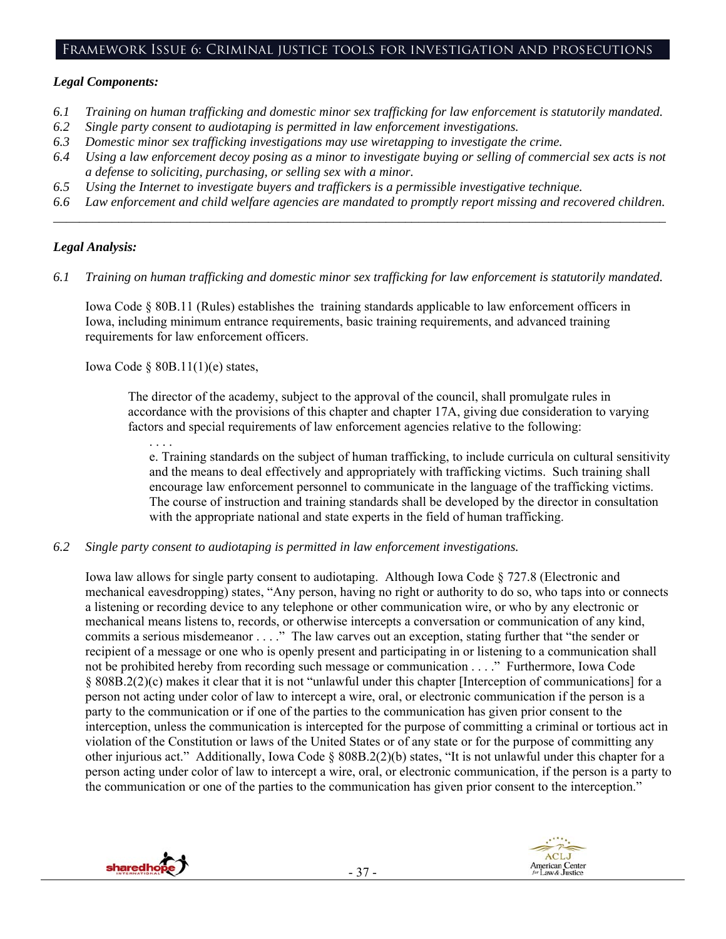#### Framework Issue 6: Criminal justice tools for investigation and prosecutions

#### *Legal Components:*

- *6.1 Training on human trafficking and domestic minor sex trafficking for law enforcement is statutorily mandated.*
- *6.2 Single party consent to audiotaping is permitted in law enforcement investigations.*
- *6.3 Domestic minor sex trafficking investigations may use wiretapping to investigate the crime.*
- *6.4 Using a law enforcement decoy posing as a minor to investigate buying or selling of commercial sex acts is not a defense to soliciting, purchasing, or selling sex with a minor.*
- *6.5 Using the Internet to investigate buyers and traffickers is a permissible investigative technique.*
- *6.6 Law enforcement and child welfare agencies are mandated to promptly report missing and recovered children. \_\_\_\_\_\_\_\_\_\_\_\_\_\_\_\_\_\_\_\_\_\_\_\_\_\_\_\_\_\_\_\_\_\_\_\_\_\_\_\_\_\_\_\_\_\_\_\_\_\_\_\_\_\_\_\_\_\_\_\_\_\_\_\_\_\_\_\_\_\_\_\_\_\_\_\_\_\_\_\_\_\_\_\_\_\_\_\_\_\_\_\_\_\_*

#### *Legal Analysis:*

*6.1 Training on human trafficking and domestic minor sex trafficking for law enforcement is statutorily mandated.* 

Iowa Code § 80B.11 (Rules) establishes the training standards applicable to law enforcement officers in Iowa, including minimum entrance requirements, basic training requirements, and advanced training requirements for law enforcement officers.

Iowa Code § 80B.11(1)(e) states,

The director of the academy, subject to the approval of the council, shall promulgate rules in accordance with the provisions of this chapter and chapter 17A, giving due consideration to varying factors and special requirements of law enforcement agencies relative to the following:

. . . . e. Training standards on the subject of human trafficking, to include curricula on cultural sensitivity and the means to deal effectively and appropriately with trafficking victims. Such training shall encourage law enforcement personnel to communicate in the language of the trafficking victims. The course of instruction and training standards shall be developed by the director in consultation with the appropriate national and state experts in the field of human trafficking.

*6.2 Single party consent to audiotaping is permitted in law enforcement investigations.* 

Iowa law allows for single party consent to audiotaping. Although Iowa Code § 727.8 (Electronic and mechanical eavesdropping) states, "Any person, having no right or authority to do so, who taps into or connects a listening or recording device to any telephone or other communication wire, or who by any electronic or mechanical means listens to, records, or otherwise intercepts a conversation or communication of any kind, commits a serious misdemeanor . . . ." The law carves out an exception, stating further that "the sender or recipient of a message or one who is openly present and participating in or listening to a communication shall not be prohibited hereby from recording such message or communication . . . ." Furthermore, Iowa Code § 808B.2(2)(c) makes it clear that it is not "unlawful under this chapter [Interception of communications] for a person not acting under color of law to intercept a wire, oral, or electronic communication if the person is a party to the communication or if one of the parties to the communication has given prior consent to the interception, unless the communication is intercepted for the purpose of committing a criminal or tortious act in violation of the Constitution or laws of the United States or of any state or for the purpose of committing any other injurious act." Additionally, Iowa Code § 808B.2(2)(b) states, "It is not unlawful under this chapter for a person acting under color of law to intercept a wire, oral, or electronic communication, if the person is a party to the communication or one of the parties to the communication has given prior consent to the interception."



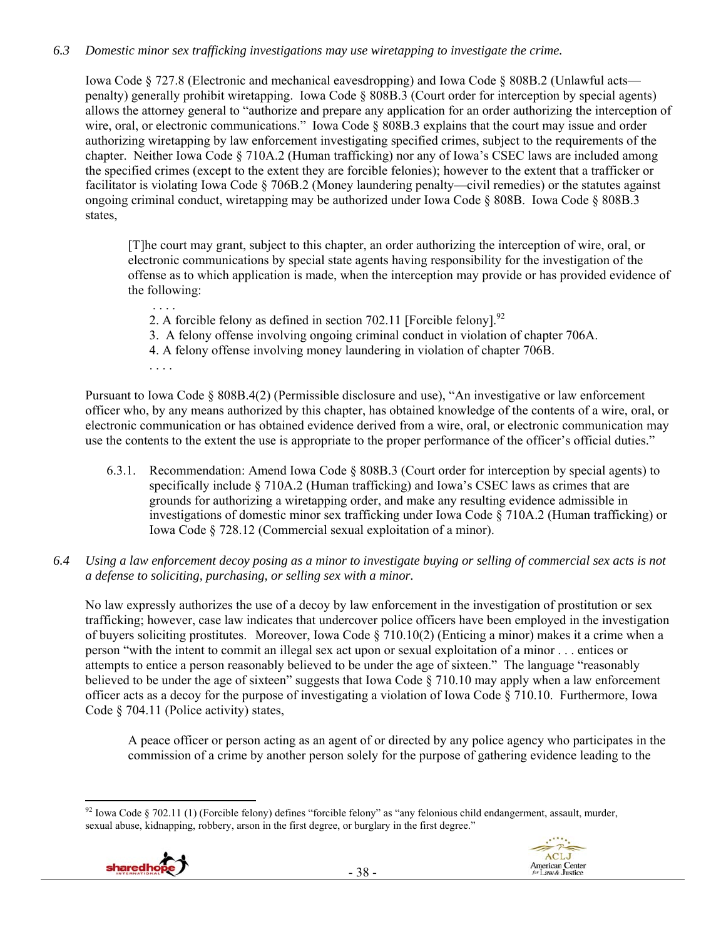## *6.3 Domestic minor sex trafficking investigations may use wiretapping to investigate the crime.*

Iowa Code § 727.8 (Electronic and mechanical eavesdropping) and Iowa Code § 808B.2 (Unlawful acts penalty) generally prohibit wiretapping. Iowa Code § 808B.3 (Court order for interception by special agents) allows the attorney general to "authorize and prepare any application for an order authorizing the interception of wire, oral, or electronic communications." Iowa Code § 808B.3 explains that the court may issue and order authorizing wiretapping by law enforcement investigating specified crimes, subject to the requirements of the chapter. Neither Iowa Code § 710A.2 (Human trafficking) nor any of Iowa's CSEC laws are included among the specified crimes (except to the extent they are forcible felonies); however to the extent that a trafficker or facilitator is violating Iowa Code § 706B.2 (Money laundering penalty—civil remedies) or the statutes against ongoing criminal conduct, wiretapping may be authorized under Iowa Code § 808B. Iowa Code § 808B.3 states,

[T]he court may grant, subject to this chapter, an order authorizing the interception of wire, oral, or electronic communications by special state agents having responsibility for the investigation of the offense as to which application is made, when the interception may provide or has provided evidence of the following:

- . . . . 2. A forcible felony as defined in section 702.11 [Forcible felony].<sup>92</sup>
- 3. A felony offense involving ongoing criminal conduct in violation of chapter 706A.
- 4. A felony offense involving money laundering in violation of chapter 706B.
- . . . .

Pursuant to Iowa Code § 808B.4(2) (Permissible disclosure and use), "An investigative or law enforcement officer who, by any means authorized by this chapter, has obtained knowledge of the contents of a wire, oral, or electronic communication or has obtained evidence derived from a wire, oral, or electronic communication may use the contents to the extent the use is appropriate to the proper performance of the officer's official duties."

- 6.3.1. Recommendation: Amend Iowa Code § 808B.3 (Court order for interception by special agents) to specifically include § 710A.2 (Human trafficking) and Iowa's CSEC laws as crimes that are grounds for authorizing a wiretapping order, and make any resulting evidence admissible in investigations of domestic minor sex trafficking under Iowa Code § 710A.2 (Human trafficking) or Iowa Code § 728.12 (Commercial sexual exploitation of a minor).
- *6.4 Using a law enforcement decoy posing as a minor to investigate buying or selling of commercial sex acts is not a defense to soliciting, purchasing, or selling sex with a minor.*

No law expressly authorizes the use of a decoy by law enforcement in the investigation of prostitution or sex trafficking; however, case law indicates that undercover police officers have been employed in the investigation of buyers soliciting prostitutes. Moreover, Iowa Code § 710.10(2) (Enticing a minor) makes it a crime when a person "with the intent to commit an illegal sex act upon or sexual exploitation of a minor . . . entices or attempts to entice a person reasonably believed to be under the age of sixteen." The language "reasonably believed to be under the age of sixteen" suggests that Iowa Code § 710.10 may apply when a law enforcement officer acts as a decoy for the purpose of investigating a violation of Iowa Code § 710.10. Furthermore, Iowa Code § 704.11 (Police activity) states,

A peace officer or person acting as an agent of or directed by any police agency who participates in the commission of a crime by another person solely for the purpose of gathering evidence leading to the

 $\overline{a}$  $92$  Iowa Code § 702.11 (1) (Forcible felony) defines "forcible felony" as "any felonious child endangerment, assault, murder, sexual abuse, kidnapping, robbery, arson in the first degree, or burglary in the first degree."



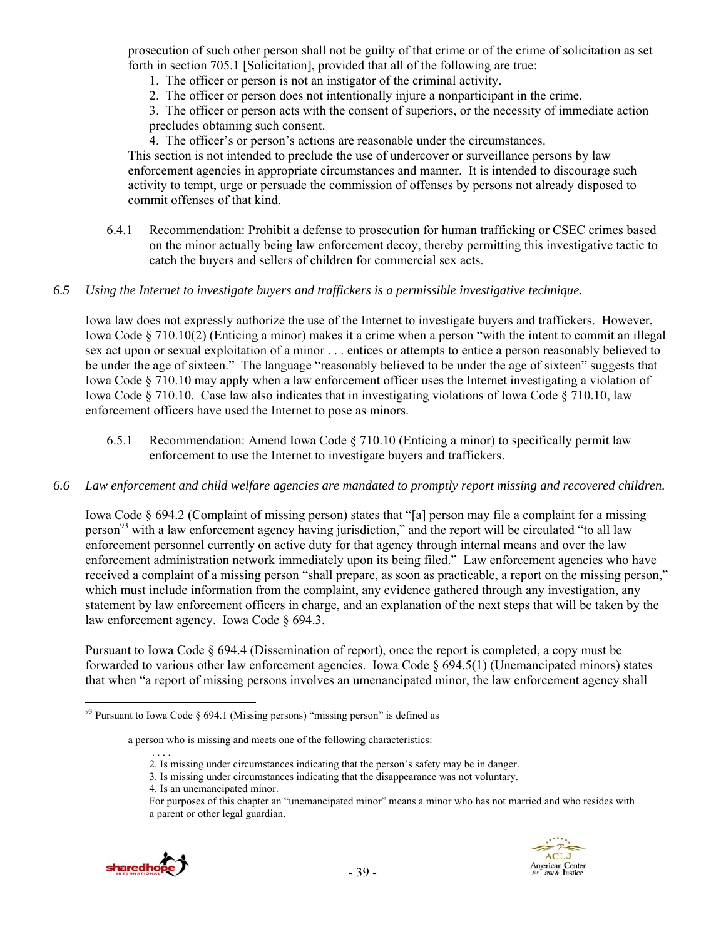prosecution of such other person shall not be guilty of that crime or of the crime of solicitation as set forth in section 705.1 [Solicitation], provided that all of the following are true:

- 1. The officer or person is not an instigator of the criminal activity.
- 2. The officer or person does not intentionally injure a nonparticipant in the crime.

3. The officer or person acts with the consent of superiors, or the necessity of immediate action precludes obtaining such consent.

4. The officer's or person's actions are reasonable under the circumstances.

This section is not intended to preclude the use of undercover or surveillance persons by law enforcement agencies in appropriate circumstances and manner. It is intended to discourage such activity to tempt, urge or persuade the commission of offenses by persons not already disposed to commit offenses of that kind.

6.4.1 Recommendation: Prohibit a defense to prosecution for human trafficking or CSEC crimes based on the minor actually being law enforcement decoy, thereby permitting this investigative tactic to catch the buyers and sellers of children for commercial sex acts.

#### *6.5 Using the Internet to investigate buyers and traffickers is a permissible investigative technique.*

Iowa law does not expressly authorize the use of the Internet to investigate buyers and traffickers. However, Iowa Code § 710.10(2) (Enticing a minor) makes it a crime when a person "with the intent to commit an illegal sex act upon or sexual exploitation of a minor . . . entices or attempts to entice a person reasonably believed to be under the age of sixteen." The language "reasonably believed to be under the age of sixteen" suggests that Iowa Code § 710.10 may apply when a law enforcement officer uses the Internet investigating a violation of Iowa Code § 710.10. Case law also indicates that in investigating violations of Iowa Code § 710.10, law enforcement officers have used the Internet to pose as minors.

- 6.5.1 Recommendation: Amend Iowa Code § 710.10 (Enticing a minor) to specifically permit law enforcement to use the Internet to investigate buyers and traffickers.
- *6.6 Law enforcement and child welfare agencies are mandated to promptly report missing and recovered children.*

Iowa Code § 694.2 (Complaint of missing person) states that "[a] person may file a complaint for a missing person<sup>93</sup> with a law enforcement agency having jurisdiction," and the report will be circulated "to all law enforcement personnel currently on active duty for that agency through internal means and over the law enforcement administration network immediately upon its being filed." Law enforcement agencies who have received a complaint of a missing person "shall prepare, as soon as practicable, a report on the missing person," which must include information from the complaint, any evidence gathered through any investigation, any statement by law enforcement officers in charge, and an explanation of the next steps that will be taken by the law enforcement agency. Iowa Code § 694.3.

Pursuant to Iowa Code § 694.4 (Dissemination of report), once the report is completed, a copy must be forwarded to various other law enforcement agencies. Iowa Code § 694.5(1) (Unemancipated minors) states that when "a report of missing persons involves an umenancipated minor, the law enforcement agency shall

For purposes of this chapter an "unemancipated minor" means a minor who has not married and who resides with a parent or other legal guardian.



<sup>&</sup>lt;sup>93</sup> Pursuant to Iowa Code § 694.1 (Missing persons) "missing person" is defined as

a person who is missing and meets one of the following characteristics:

 <sup>. . . .</sup>  2. Is missing under circumstances indicating that the person's safety may be in danger.

<sup>3.</sup> Is missing under circumstances indicating that the disappearance was not voluntary.

<sup>4.</sup> Is an unemancipated minor.